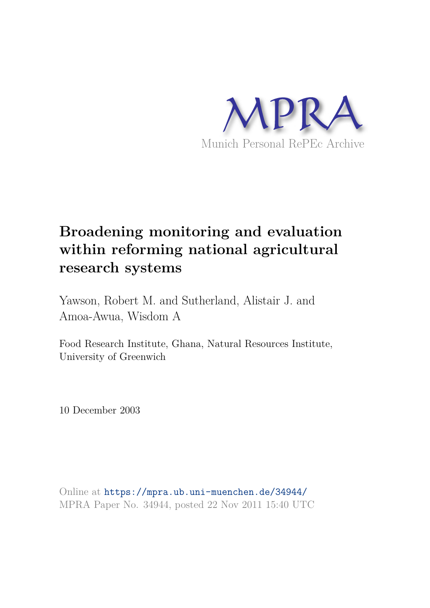

# **Broadening monitoring and evaluation within reforming national agricultural research systems**

Yawson, Robert M. and Sutherland, Alistair J. and Amoa-Awua, Wisdom A

Food Research Institute, Ghana, Natural Resources Institute, University of Greenwich

10 December 2003

Online at https://mpra.ub.uni-muenchen.de/34944/ MPRA Paper No. 34944, posted 22 Nov 2011 15:40 UTC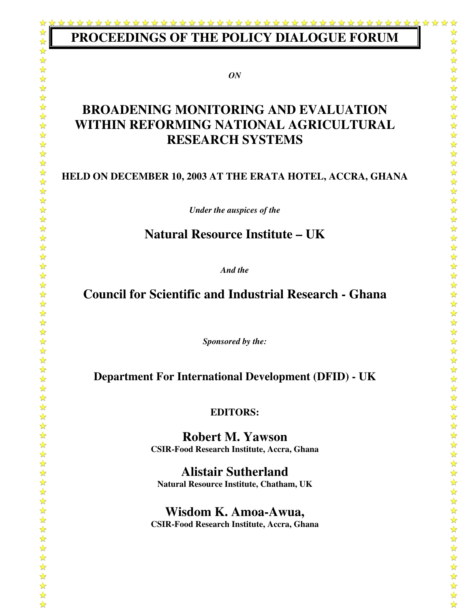# \*\*\*\*\*\*\*\*\*\*\*\*\*\*\*\*\*\*\*\*\*\*\*\*\*\*\*\*\*\* **PROCEEDINGS OF THE POLICY DIALOGUE FORUM**

☆ ☆

 $\frac{1}{2}$ 

*ON* 

# **BROADENING MONITORING AND EVALUATION WITHIN REFORMING NATIONAL AGRICULTURAL RESEARCH SYSTEMS**

# **HELD ON DECEMBER 10, 2003 AT THE ERATA HOTEL, ACCRA, GHANA**

*Under the auspices of the* 

# **Natural Resource Institute – UK**

*And the* 

# **Council for Scientific and Industrial Research - Ghana**

*Sponsored by the:* 

**Department For International Development (DFID) - UK** 

**EDITORS:** 

**Robert M. Yawson CSIR-Food Research Institute, Accra, Ghana** 

**Alistair Sutherland Natural Resource Institute, Chatham, UK** 

**Wisdom K. Amoa-Awua, CSIR-Food Research Institute, Accra, Ghana**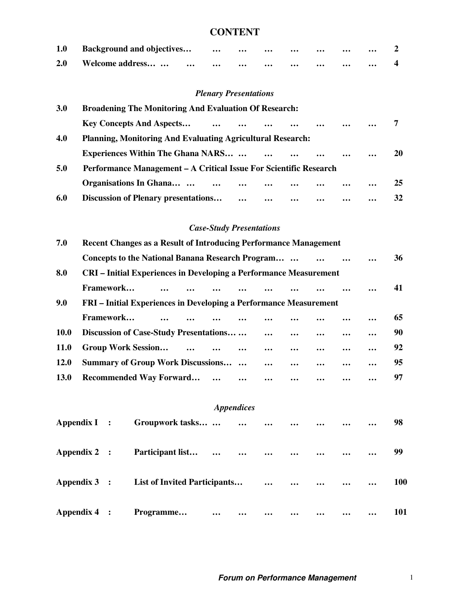# **CONTENT**

| 1.0 | <b>Background and objectives</b> | $\cdots$ | $\cdots$ |          |          |          |          |          |  |
|-----|----------------------------------|----------|----------|----------|----------|----------|----------|----------|--|
| 2.0 | Welcome address<br>$\cdots$      | $\cdots$ | $\cdots$ | $\cdots$ | $\cdots$ | $\cdots$ | $\cdots$ | $\cdots$ |  |

## *Plenary Presentations*

| <b>3.0</b> | <b>Broadening The Monitoring And Evaluation Of Research:</b>      |          |           |          |          |          |           |    |
|------------|-------------------------------------------------------------------|----------|-----------|----------|----------|----------|-----------|----|
|            | <b>Key Concepts And Aspects</b><br>$\cdots$                       | $\cdots$ | $\cdots$  | $\cdots$ | $\cdots$ | $\cdots$ | $\cdots$  |    |
| 4.0        | <b>Planning, Monitoring And Evaluating Agricultural Research:</b> |          |           |          |          |          |           |    |
|            | <b>Experiences Within The Ghana NARS</b>                          |          | $\cdots$  | $\cdots$ |          |          | $\cdots$  | 20 |
| 5.0        | Performance Management – A Critical Issue For Scientific Research |          |           |          |          |          |           |    |
|            | Organisations In Ghana<br>$\ddotsc$                               | $\cdots$ | $\cdots$  | $\cdots$ |          | $\cdots$ | $\ddotsc$ | 25 |
| 6.0        | <b>Discussion of Plenary presentations</b>                        | $\cdots$ | $\ddotsc$ | $\cdots$ |          |          | $\ddotsc$ | 32 |

## *Case-Study Presentations*

| 7.0         | <b>Recent Changes as a Result of Introducing Performance Management</b> |                                                                          |          |          |          |          |           |    |  |  |  |
|-------------|-------------------------------------------------------------------------|--------------------------------------------------------------------------|----------|----------|----------|----------|-----------|----|--|--|--|
|             | Concepts to the National Banana Research Program                        |                                                                          |          |          |          | $\cdots$ |           | 36 |  |  |  |
| 8.0         |                                                                         | <b>CRI</b> - Initial Experiences in Developing a Performance Measurement |          |          |          |          |           |    |  |  |  |
|             | Framework                                                               |                                                                          |          |          |          |          |           | 41 |  |  |  |
| 9.0         | FRI - Initial Experiences in Developing a Performance Measurement       |                                                                          |          |          |          |          |           |    |  |  |  |
|             | Framework                                                               |                                                                          | $\cdots$ |          |          |          |           | 65 |  |  |  |
| <b>10.0</b> | Discussion of Case-Study Presentations                                  |                                                                          | $\cdots$ | $\cdots$ |          | $\cdots$ | $\ddotsc$ | 90 |  |  |  |
| <b>11.0</b> | Group Work Session                                                      |                                                                          |          |          |          |          | $\ddotsc$ | 92 |  |  |  |
| <b>12.0</b> | <b>Summary of Group Work Discussions</b>                                |                                                                          | $\cdots$ | $\cdots$ | $\cdots$ | $\cdots$ | $\ddotsc$ | 95 |  |  |  |
| <b>13.0</b> | <b>Recommended Way Forward </b>                                         | $\dddotsc$                                                               | $\cdots$ | $\cdots$ |          | $\cdots$ | $\ddotsc$ | 97 |  |  |  |

## *Appendices*

| Appendix I ::     |          | Groupwork tasks                     |          | $\cdots$ | $\cdots$                                                       | $\cdots$ | $\cdots$ | $\cdots$ | $\cdots$ | 98         |
|-------------------|----------|-------------------------------------|----------|----------|----------------------------------------------------------------|----------|----------|----------|----------|------------|
| Appendix $2$ :    |          | Participant list                    | $\cdots$ | $\cdots$ | $\cdots$ .<br><br><br><br><br><br><br><br><br><br><br><br><br> | $\cdots$ | $\cdots$ | $\cdots$ | $\cdots$ | 99         |
| Appendix $3$ :    |          | <b>List of Invited Participants</b> |          |          | $\cdots$                                                       | $\cdots$ | $\cdots$ | $\cdots$ | $\cdots$ | <b>100</b> |
| <b>Appendix 4</b> | $\sim$ : | Programme                           | $\cdots$ | $\cdots$ | $\cdots$                                                       | $\cdots$ | $\cdots$ | $\cdots$ | $\cdots$ | 101        |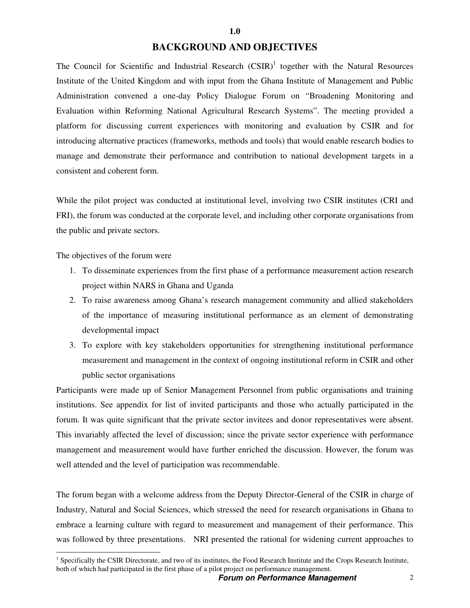## **BACKGROUND AND OBJECTIVES**

The Council for Scientific and Industrial Research  $(CSIR)^1$  together with the Natural Resources Institute of the United Kingdom and with input from the Ghana Institute of Management and Public Administration convened a one-day Policy Dialogue Forum on "Broadening Monitoring and Evaluation within Reforming National Agricultural Research Systems". The meeting provided a platform for discussing current experiences with monitoring and evaluation by CSIR and for introducing alternative practices (frameworks, methods and tools) that would enable research bodies to manage and demonstrate their performance and contribution to national development targets in a consistent and coherent form.

While the pilot project was conducted at institutional level, involving two CSIR institutes (CRI and FRI), the forum was conducted at the corporate level, and including other corporate organisations from the public and private sectors.

The objectives of the forum were

 $\ddot{\phantom{a}}$ 

- 1. To disseminate experiences from the first phase of a performance measurement action research project within NARS in Ghana and Uganda
- 2. To raise awareness among Ghana's research management community and allied stakeholders of the importance of measuring institutional performance as an element of demonstrating developmental impact
- 3. To explore with key stakeholders opportunities for strengthening institutional performance measurement and management in the context of ongoing institutional reform in CSIR and other public sector organisations

Participants were made up of Senior Management Personnel from public organisations and training institutions. See appendix for list of invited participants and those who actually participated in the forum. It was quite significant that the private sector invitees and donor representatives were absent. This invariably affected the level of discussion; since the private sector experience with performance management and measurement would have further enriched the discussion. However, the forum was well attended and the level of participation was recommendable.

The forum began with a welcome address from the Deputy Director-General of the CSIR in charge of Industry, Natural and Social Sciences, which stressed the need for research organisations in Ghana to embrace a learning culture with regard to measurement and management of their performance. This was followed by three presentations. NRI presented the rational for widening current approaches to

<sup>&</sup>lt;sup>1</sup> Specifically the CSIR Directorate, and two of its institutes, the Food Research Institute and the Crops Research Institute, both of which had participated in the first phase of a pilot project on performance management.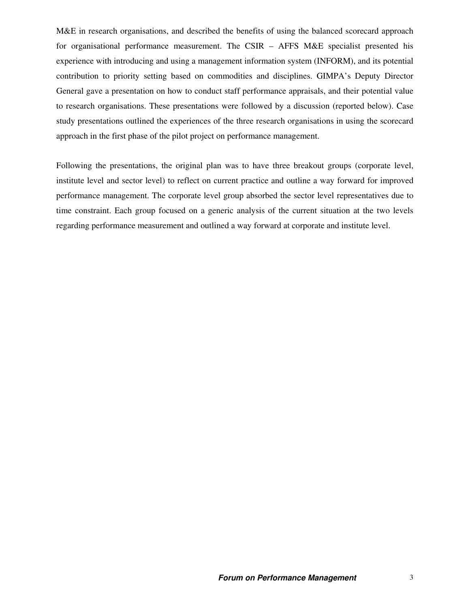M&E in research organisations, and described the benefits of using the balanced scorecard approach for organisational performance measurement. The CSIR – AFFS M&E specialist presented his experience with introducing and using a management information system (INFORM), and its potential contribution to priority setting based on commodities and disciplines. GIMPA's Deputy Director General gave a presentation on how to conduct staff performance appraisals, and their potential value to research organisations. These presentations were followed by a discussion (reported below). Case study presentations outlined the experiences of the three research organisations in using the scorecard approach in the first phase of the pilot project on performance management.

Following the presentations, the original plan was to have three breakout groups (corporate level, institute level and sector level) to reflect on current practice and outline a way forward for improved performance management. The corporate level group absorbed the sector level representatives due to time constraint. Each group focused on a generic analysis of the current situation at the two levels regarding performance measurement and outlined a way forward at corporate and institute level.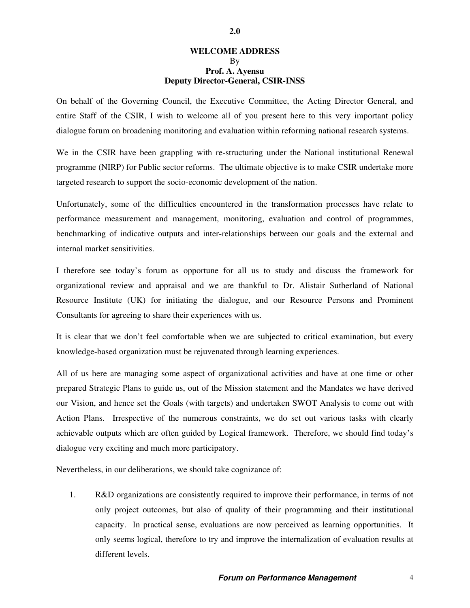## **WELCOME ADDRESS**  By **Prof. A. Ayensu Deputy Director-General, CSIR-INSS**

On behalf of the Governing Council, the Executive Committee, the Acting Director General, and entire Staff of the CSIR, I wish to welcome all of you present here to this very important policy dialogue forum on broadening monitoring and evaluation within reforming national research systems.

We in the CSIR have been grappling with re-structuring under the National institutional Renewal programme (NIRP) for Public sector reforms. The ultimate objective is to make CSIR undertake more targeted research to support the socio-economic development of the nation.

Unfortunately, some of the difficulties encountered in the transformation processes have relate to performance measurement and management, monitoring, evaluation and control of programmes, benchmarking of indicative outputs and inter-relationships between our goals and the external and internal market sensitivities.

I therefore see today's forum as opportune for all us to study and discuss the framework for organizational review and appraisal and we are thankful to Dr. Alistair Sutherland of National Resource Institute (UK) for initiating the dialogue, and our Resource Persons and Prominent Consultants for agreeing to share their experiences with us.

It is clear that we don't feel comfortable when we are subjected to critical examination, but every knowledge-based organization must be rejuvenated through learning experiences.

All of us here are managing some aspect of organizational activities and have at one time or other prepared Strategic Plans to guide us, out of the Mission statement and the Mandates we have derived our Vision, and hence set the Goals (with targets) and undertaken SWOT Analysis to come out with Action Plans. Irrespective of the numerous constraints, we do set out various tasks with clearly achievable outputs which are often guided by Logical framework. Therefore, we should find today's dialogue very exciting and much more participatory.

Nevertheless, in our deliberations, we should take cognizance of:

1. R&D organizations are consistently required to improve their performance, in terms of not only project outcomes, but also of quality of their programming and their institutional capacity. In practical sense, evaluations are now perceived as learning opportunities. It only seems logical, therefore to try and improve the internalization of evaluation results at different levels.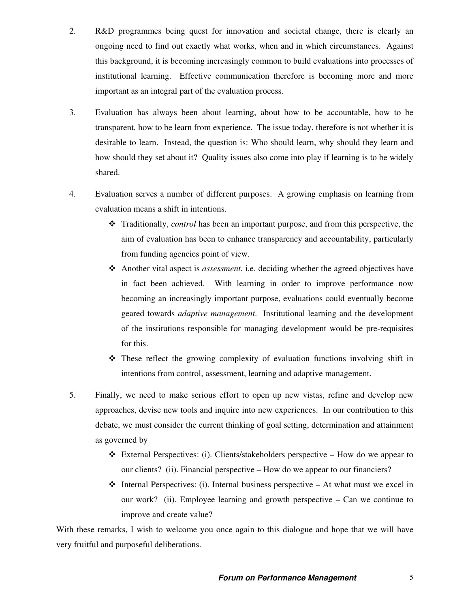- 2. R&D programmes being quest for innovation and societal change, there is clearly an ongoing need to find out exactly what works, when and in which circumstances. Against this background, it is becoming increasingly common to build evaluations into processes of institutional learning. Effective communication therefore is becoming more and more important as an integral part of the evaluation process.
- 3. Evaluation has always been about learning, about how to be accountable, how to be transparent, how to be learn from experience. The issue today, therefore is not whether it is desirable to learn. Instead, the question is: Who should learn, why should they learn and how should they set about it? Quality issues also come into play if learning is to be widely shared.
- 4. Evaluation serves a number of different purposes. A growing emphasis on learning from evaluation means a shift in intentions.
	- \* Traditionally, *control* has been an important purpose, and from this perspective, the aim of evaluation has been to enhance transparency and accountability, particularly from funding agencies point of view.
	- Another vital aspect is *assessment*, i.e. deciding whether the agreed objectives have in fact been achieved. With learning in order to improve performance now becoming an increasingly important purpose, evaluations could eventually become geared towards *adaptive management*. Institutional learning and the development of the institutions responsible for managing development would be pre-requisites for this.
	- These reflect the growing complexity of evaluation functions involving shift in intentions from control, assessment, learning and adaptive management.
- 5. Finally, we need to make serious effort to open up new vistas, refine and develop new approaches, devise new tools and inquire into new experiences. In our contribution to this debate, we must consider the current thinking of goal setting, determination and attainment as governed by
	- $\triangleleft$  External Perspectives: (i). Clients/stakeholders perspective How do we appear to our clients? (ii). Financial perspective – How do we appear to our financiers?
	- $\triangle$  Internal Perspectives: (i). Internal business perspective At what must we excel in our work? (ii). Employee learning and growth perspective – Can we continue to improve and create value?

With these remarks, I wish to welcome you once again to this dialogue and hope that we will have very fruitful and purposeful deliberations.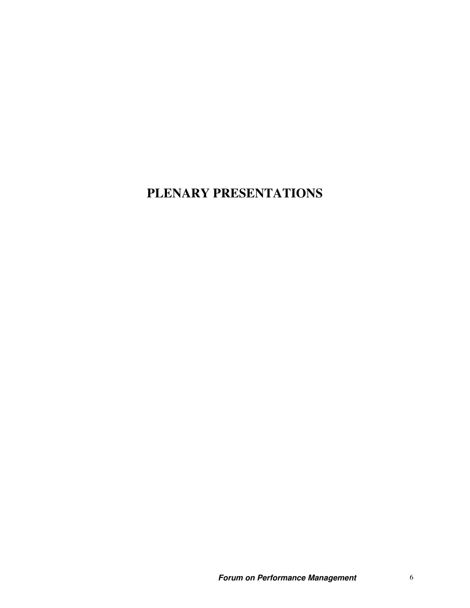# **PLENARY PRESENTATIONS**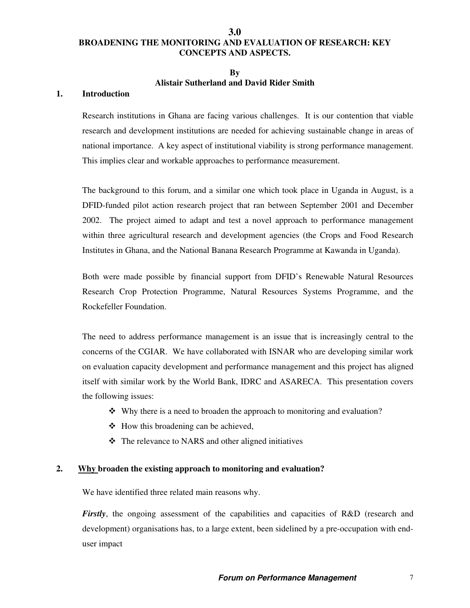## **3.0 BROADENING THE MONITORING AND EVALUATION OF RESEARCH: KEY CONCEPTS AND ASPECTS.**

#### **By Alistair Sutherland and David Rider Smith**

#### **1. Introduction**

Research institutions in Ghana are facing various challenges. It is our contention that viable research and development institutions are needed for achieving sustainable change in areas of national importance. A key aspect of institutional viability is strong performance management. This implies clear and workable approaches to performance measurement.

The background to this forum, and a similar one which took place in Uganda in August, is a DFID-funded pilot action research project that ran between September 2001 and December 2002. The project aimed to adapt and test a novel approach to performance management within three agricultural research and development agencies (the Crops and Food Research Institutes in Ghana, and the National Banana Research Programme at Kawanda in Uganda).

Both were made possible by financial support from DFID's Renewable Natural Resources Research Crop Protection Programme, Natural Resources Systems Programme, and the Rockefeller Foundation.

The need to address performance management is an issue that is increasingly central to the concerns of the CGIAR. We have collaborated with ISNAR who are developing similar work on evaluation capacity development and performance management and this project has aligned itself with similar work by the World Bank, IDRC and ASARECA. This presentation covers the following issues:

- $\div$  Why there is a need to broaden the approach to monitoring and evaluation?
- $\triangleleft$  How this broadening can be achieved,
- The relevance to NARS and other aligned initiatives

#### **2. Why broaden the existing approach to monitoring and evaluation?**

We have identified three related main reasons why.

*Firstly*, the ongoing assessment of the capabilities and capacities of R&D (research and development) organisations has, to a large extent, been sidelined by a pre-occupation with enduser impact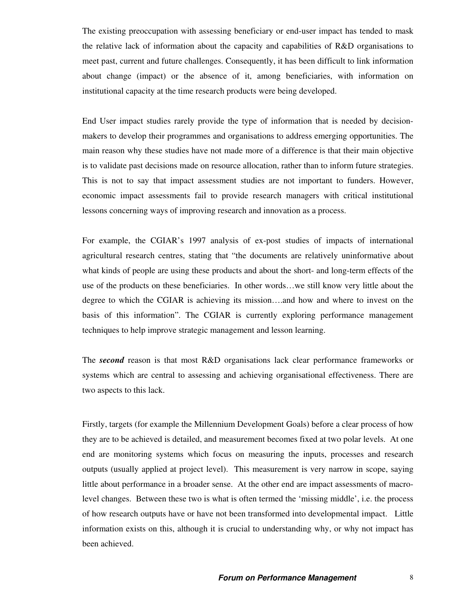The existing preoccupation with assessing beneficiary or end-user impact has tended to mask the relative lack of information about the capacity and capabilities of R&D organisations to meet past, current and future challenges. Consequently, it has been difficult to link information about change (impact) or the absence of it, among beneficiaries, with information on institutional capacity at the time research products were being developed.

End User impact studies rarely provide the type of information that is needed by decisionmakers to develop their programmes and organisations to address emerging opportunities. The main reason why these studies have not made more of a difference is that their main objective is to validate past decisions made on resource allocation, rather than to inform future strategies. This is not to say that impact assessment studies are not important to funders. However, economic impact assessments fail to provide research managers with critical institutional lessons concerning ways of improving research and innovation as a process.

For example, the CGIAR's 1997 analysis of ex-post studies of impacts of international agricultural research centres, stating that "the documents are relatively uninformative about what kinds of people are using these products and about the short- and long-term effects of the use of the products on these beneficiaries. In other words…we still know very little about the degree to which the CGIAR is achieving its mission….and how and where to invest on the basis of this information". The CGIAR is currently exploring performance management techniques to help improve strategic management and lesson learning.

The *second* reason is that most R&D organisations lack clear performance frameworks or systems which are central to assessing and achieving organisational effectiveness. There are two aspects to this lack.

Firstly, targets (for example the Millennium Development Goals) before a clear process of how they are to be achieved is detailed, and measurement becomes fixed at two polar levels. At one end are monitoring systems which focus on measuring the inputs, processes and research outputs (usually applied at project level). This measurement is very narrow in scope, saying little about performance in a broader sense. At the other end are impact assessments of macrolevel changes. Between these two is what is often termed the 'missing middle', i.e. the process of how research outputs have or have not been transformed into developmental impact. Little information exists on this, although it is crucial to understanding why, or why not impact has been achieved.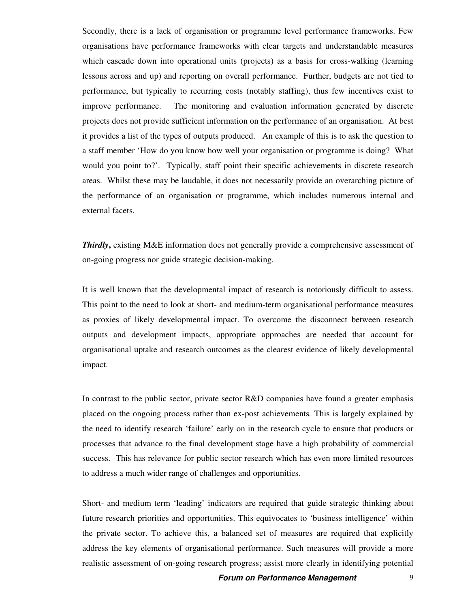Secondly, there is a lack of organisation or programme level performance frameworks. Few organisations have performance frameworks with clear targets and understandable measures which cascade down into operational units (projects) as a basis for cross-walking (learning lessons across and up) and reporting on overall performance. Further, budgets are not tied to performance, but typically to recurring costs (notably staffing), thus few incentives exist to improve performance. The monitoring and evaluation information generated by discrete projects does not provide sufficient information on the performance of an organisation. At best it provides a list of the types of outputs produced. An example of this is to ask the question to a staff member 'How do you know how well your organisation or programme is doing? What would you point to?'. Typically, staff point their specific achievements in discrete research areas. Whilst these may be laudable, it does not necessarily provide an overarching picture of the performance of an organisation or programme, which includes numerous internal and external facets.

**Thirdly**, existing M&E information does not generally provide a comprehensive assessment of on-going progress nor guide strategic decision-making.

It is well known that the developmental impact of research is notoriously difficult to assess. This point to the need to look at short- and medium-term organisational performance measures as proxies of likely developmental impact. To overcome the disconnect between research outputs and development impacts, appropriate approaches are needed that account for organisational uptake and research outcomes as the clearest evidence of likely developmental impact.

In contrast to the public sector, private sector R&D companies have found a greater emphasis placed on the ongoing process rather than ex-post achievements*.* This is largely explained by the need to identify research 'failure' early on in the research cycle to ensure that products or processes that advance to the final development stage have a high probability of commercial success. This has relevance for public sector research which has even more limited resources to address a much wider range of challenges and opportunities.

Short- and medium term 'leading' indicators are required that guide strategic thinking about future research priorities and opportunities. This equivocates to 'business intelligence' within the private sector. To achieve this, a balanced set of measures are required that explicitly address the key elements of organisational performance. Such measures will provide a more realistic assessment of on-going research progress; assist more clearly in identifying potential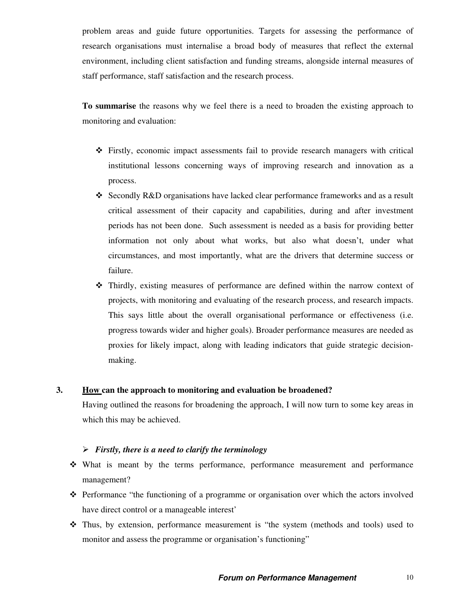problem areas and guide future opportunities. Targets for assessing the performance of research organisations must internalise a broad body of measures that reflect the external environment, including client satisfaction and funding streams, alongside internal measures of staff performance, staff satisfaction and the research process.

**To summarise** the reasons why we feel there is a need to broaden the existing approach to monitoring and evaluation:

- Firstly, economic impact assessments fail to provide research managers with critical institutional lessons concerning ways of improving research and innovation as a process.
- $\div$  Secondly R&D organisations have lacked clear performance frameworks and as a result critical assessment of their capacity and capabilities, during and after investment periods has not been done. Such assessment is needed as a basis for providing better information not only about what works, but also what doesn't, under what circumstances, and most importantly, what are the drivers that determine success or failure.
- Thirdly, existing measures of performance are defined within the narrow context of projects, with monitoring and evaluating of the research process, and research impacts. This says little about the overall organisational performance or effectiveness (i.e. progress towards wider and higher goals). Broader performance measures are needed as proxies for likely impact, along with leading indicators that guide strategic decisionmaking.

#### **3. How can the approach to monitoring and evaluation be broadened?**

Having outlined the reasons for broadening the approach, I will now turn to some key areas in which this may be achieved.

#### *Firstly, there is a need to clarify the terminology*

- What is meant by the terms performance, performance measurement and performance management?
- $\triangle$  Performance "the functioning of a programme or organisation over which the actors involved have direct control or a manageable interest'
- $\hat{\mathbf{v}}$  Thus, by extension, performance measurement is "the system (methods and tools) used to monitor and assess the programme or organisation's functioning"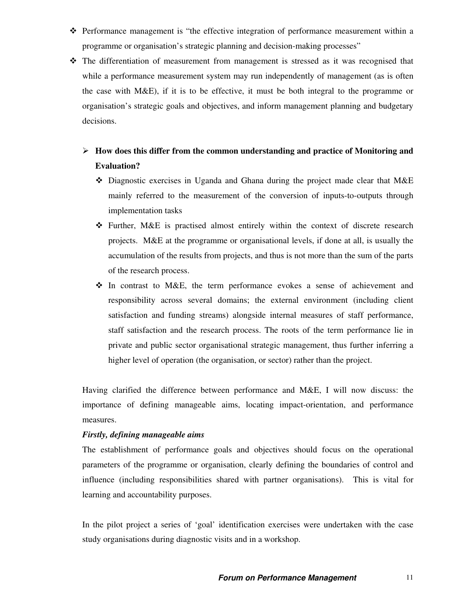- $\hat{\mathbf{v}}$  Performance management is "the effective integration of performance measurement within a programme or organisation's strategic planning and decision-making processes"
- $\hat{\cdot}$  The differentiation of measurement from management is stressed as it was recognised that while a performance measurement system may run independently of management (as is often the case with M&E), if it is to be effective, it must be both integral to the programme or organisation's strategic goals and objectives, and inform management planning and budgetary decisions.

# $\triangleright$  How does this differ from the common understanding and practice of Monitoring and **Evaluation?**

- Diagnostic exercises in Uganda and Ghana during the project made clear that M&E mainly referred to the measurement of the conversion of inputs-to-outputs through implementation tasks
- Further, M&E is practised almost entirely within the context of discrete research projects. M&E at the programme or organisational levels, if done at all, is usually the accumulation of the results from projects, and thus is not more than the sum of the parts of the research process.
- $\div$  In contrast to M&E, the term performance evokes a sense of achievement and responsibility across several domains; the external environment (including client satisfaction and funding streams) alongside internal measures of staff performance, staff satisfaction and the research process. The roots of the term performance lie in private and public sector organisational strategic management, thus further inferring a higher level of operation (the organisation, or sector) rather than the project.

Having clarified the difference between performance and M&E, I will now discuss: the importance of defining manageable aims, locating impact-orientation, and performance measures.

## *Firstly, defining manageable aims*

The establishment of performance goals and objectives should focus on the operational parameters of the programme or organisation, clearly defining the boundaries of control and influence (including responsibilities shared with partner organisations). This is vital for learning and accountability purposes.

In the pilot project a series of 'goal' identification exercises were undertaken with the case study organisations during diagnostic visits and in a workshop.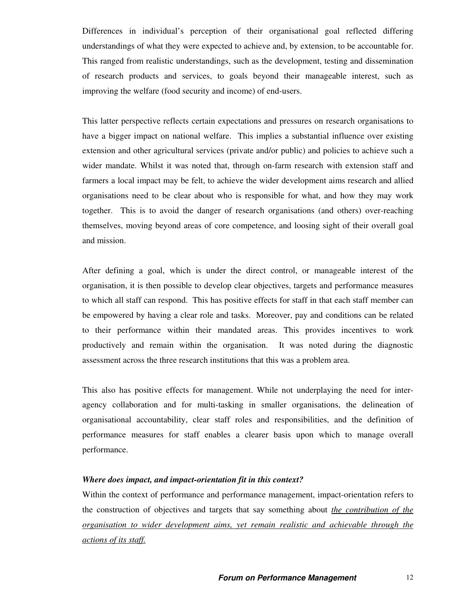Differences in individual's perception of their organisational goal reflected differing understandings of what they were expected to achieve and, by extension, to be accountable for. This ranged from realistic understandings, such as the development, testing and dissemination of research products and services, to goals beyond their manageable interest, such as improving the welfare (food security and income) of end-users.

This latter perspective reflects certain expectations and pressures on research organisations to have a bigger impact on national welfare. This implies a substantial influence over existing extension and other agricultural services (private and/or public) and policies to achieve such a wider mandate. Whilst it was noted that, through on-farm research with extension staff and farmers a local impact may be felt, to achieve the wider development aims research and allied organisations need to be clear about who is responsible for what, and how they may work together. This is to avoid the danger of research organisations (and others) over-reaching themselves, moving beyond areas of core competence, and loosing sight of their overall goal and mission.

After defining a goal, which is under the direct control, or manageable interest of the organisation, it is then possible to develop clear objectives, targets and performance measures to which all staff can respond. This has positive effects for staff in that each staff member can be empowered by having a clear role and tasks. Moreover, pay and conditions can be related to their performance within their mandated areas. This provides incentives to work productively and remain within the organisation. It was noted during the diagnostic assessment across the three research institutions that this was a problem area.

This also has positive effects for management. While not underplaying the need for interagency collaboration and for multi-tasking in smaller organisations, the delineation of organisational accountability, clear staff roles and responsibilities, and the definition of performance measures for staff enables a clearer basis upon which to manage overall performance.

#### *Where does impact, and impact-orientation fit in this context?*

Within the context of performance and performance management, impact-orientation refers to the construction of objectives and targets that say something about *the contribution of the organisation to wider development aims, yet remain realistic and achievable through the actions of its staff.*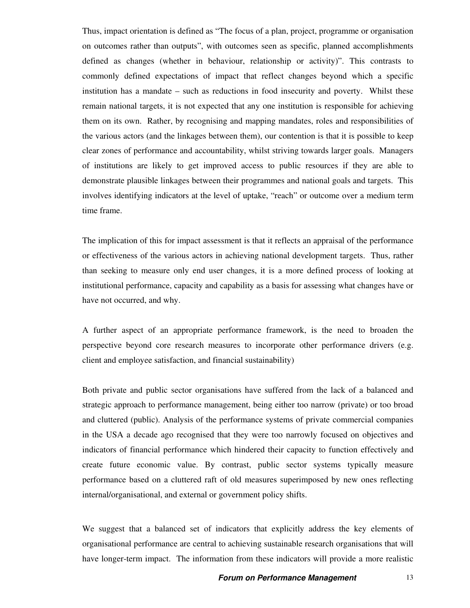Thus, impact orientation is defined as "The focus of a plan, project, programme or organisation on outcomes rather than outputs", with outcomes seen as specific, planned accomplishments defined as changes (whether in behaviour, relationship or activity)". This contrasts to commonly defined expectations of impact that reflect changes beyond which a specific institution has a mandate – such as reductions in food insecurity and poverty. Whilst these remain national targets, it is not expected that any one institution is responsible for achieving them on its own. Rather, by recognising and mapping mandates, roles and responsibilities of the various actors (and the linkages between them), our contention is that it is possible to keep clear zones of performance and accountability, whilst striving towards larger goals. Managers of institutions are likely to get improved access to public resources if they are able to demonstrate plausible linkages between their programmes and national goals and targets. This involves identifying indicators at the level of uptake, "reach" or outcome over a medium term time frame.

The implication of this for impact assessment is that it reflects an appraisal of the performance or effectiveness of the various actors in achieving national development targets. Thus, rather than seeking to measure only end user changes, it is a more defined process of looking at institutional performance, capacity and capability as a basis for assessing what changes have or have not occurred, and why.

A further aspect of an appropriate performance framework, is the need to broaden the perspective beyond core research measures to incorporate other performance drivers (e.g. client and employee satisfaction, and financial sustainability)

Both private and public sector organisations have suffered from the lack of a balanced and strategic approach to performance management, being either too narrow (private) or too broad and cluttered (public). Analysis of the performance systems of private commercial companies in the USA a decade ago recognised that they were too narrowly focused on objectives and indicators of financial performance which hindered their capacity to function effectively and create future economic value. By contrast, public sector systems typically measure performance based on a cluttered raft of old measures superimposed by new ones reflecting internal/organisational, and external or government policy shifts.

We suggest that a balanced set of indicators that explicitly address the key elements of organisational performance are central to achieving sustainable research organisations that will have longer-term impact. The information from these indicators will provide a more realistic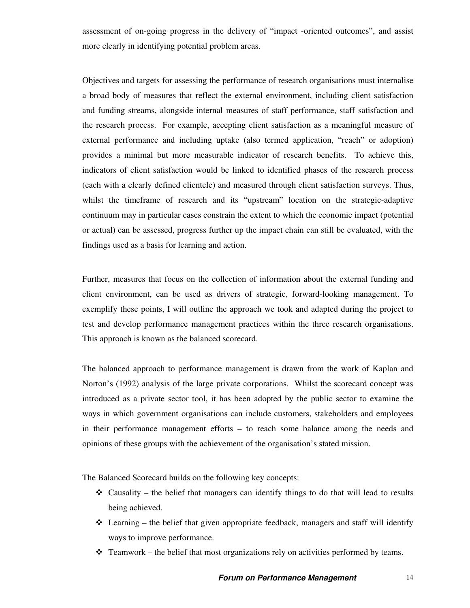assessment of on-going progress in the delivery of "impact -oriented outcomes", and assist more clearly in identifying potential problem areas.

Objectives and targets for assessing the performance of research organisations must internalise a broad body of measures that reflect the external environment, including client satisfaction and funding streams, alongside internal measures of staff performance, staff satisfaction and the research process. For example, accepting client satisfaction as a meaningful measure of external performance and including uptake (also termed application, "reach" or adoption) provides a minimal but more measurable indicator of research benefits. To achieve this, indicators of client satisfaction would be linked to identified phases of the research process (each with a clearly defined clientele) and measured through client satisfaction surveys. Thus, whilst the timeframe of research and its "upstream" location on the strategic-adaptive continuum may in particular cases constrain the extent to which the economic impact (potential or actual) can be assessed, progress further up the impact chain can still be evaluated, with the findings used as a basis for learning and action.

Further, measures that focus on the collection of information about the external funding and client environment, can be used as drivers of strategic, forward-looking management. To exemplify these points, I will outline the approach we took and adapted during the project to test and develop performance management practices within the three research organisations. This approach is known as the balanced scorecard.

The balanced approach to performance management is drawn from the work of Kaplan and Norton's (1992) analysis of the large private corporations. Whilst the scorecard concept was introduced as a private sector tool, it has been adopted by the public sector to examine the ways in which government organisations can include customers, stakeholders and employees in their performance management efforts – to reach some balance among the needs and opinions of these groups with the achievement of the organisation's stated mission.

The Balanced Scorecard builds on the following key concepts:

- $\div$  Causality the belief that managers can identify things to do that will lead to results being achieved.
- $\triangleleft$  Learning the belief that given appropriate feedback, managers and staff will identify ways to improve performance.
- $\div$  Teamwork the belief that most organizations rely on activities performed by teams.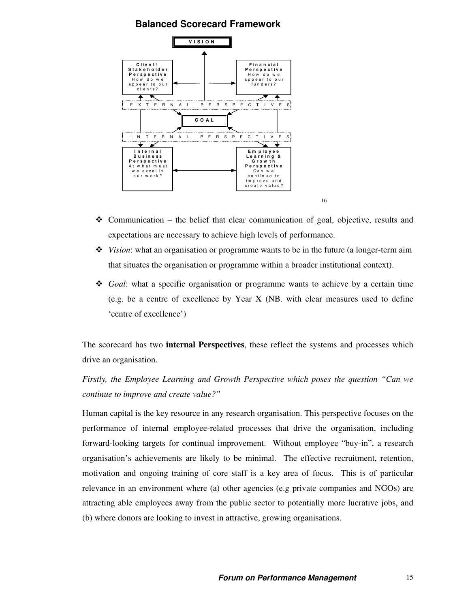## **Balanced Scorecard Framework**



• Communication – the belief that clear communication of goal, objective, results and expectations are necessary to achieve high levels of performance.

16

- *Vision*: what an organisation or programme wants to be in the future (a longer-term aim that situates the organisation or programme within a broader institutional context).
- *Goal*: what a specific organisation or programme wants to achieve by a certain time (e.g. be a centre of excellence by Year X (NB. with clear measures used to define 'centre of excellence')

The scorecard has two **internal Perspectives**, these reflect the systems and processes which drive an organisation.

*Firstly, the Employee Learning and Growth Perspective which poses the question "Can we continue to improve and create value?"* 

Human capital is the key resource in any research organisation. This perspective focuses on the performance of internal employee-related processes that drive the organisation, including forward-looking targets for continual improvement. Without employee "buy-in", a research organisation's achievements are likely to be minimal. The effective recruitment, retention, motivation and ongoing training of core staff is a key area of focus. This is of particular relevance in an environment where (a) other agencies (e.g private companies and NGOs) are attracting able employees away from the public sector to potentially more lucrative jobs, and (b) where donors are looking to invest in attractive, growing organisations.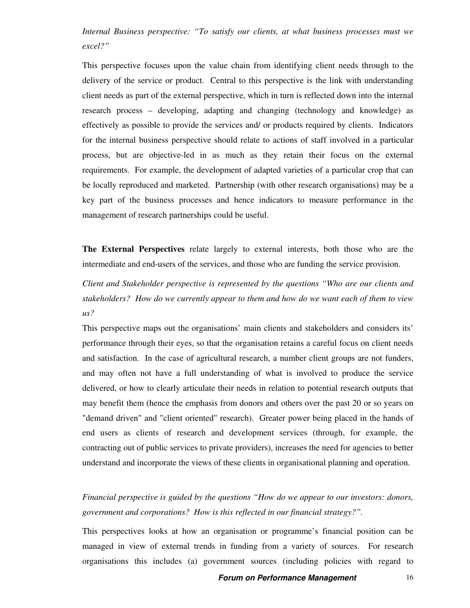## *Internal Business perspective: "To satisfy our clients, at what business processes must we excel?"*

This perspective focuses upon the value chain from identifying client needs through to the delivery of the service or product. Central to this perspective is the link with understanding client needs as part of the external perspective, which in turn is reflected down into the internal research process – developing, adapting and changing (technology and knowledge) as effectively as possible to provide the services and/ or products required by clients. Indicators for the internal business perspective should relate to actions of staff involved in a particular process, but are objective-led in as much as they retain their focus on the external requirements. For example, the development of adapted varieties of a particular crop that can be locally reproduced and marketed. Partnership (with other research organisations) may be a key part of the business processes and hence indicators to measure performance in the management of research partnerships could be useful.

**The External Perspectives** relate largely to external interests, both those who are the intermediate and end-users of the services, and those who are funding the service provision.

*Client and Stakeholder perspective is represented by the questions "Who are our clients and stakeholders? How do we currently appear to them and how do we want each of them to view us?* 

This perspective maps out the organisations' main clients and stakeholders and considers its' performance through their eyes, so that the organisation retains a careful focus on client needs and satisfaction. In the case of agricultural research, a number client groups are not funders, and may often not have a full understanding of what is involved to produce the service delivered, or how to clearly articulate their needs in relation to potential research outputs that may benefit them (hence the emphasis from donors and others over the past 20 or so years on "demand driven" and "client oriented" research). Greater power being placed in the hands of end users as clients of research and development services (through, for example, the contracting out of public services to private providers), increases the need for agencies to better understand and incorporate the views of these clients in organisational planning and operation.

## *Financial perspective is guided by the questions "How do we appear to our investors: donors, government and corporations? How is this reflected in our financial strategy?".*

This perspectives looks at how an organisation or programme's financial position can be managed in view of external trends in funding from a variety of sources. For research organisations this includes (a) government sources (including policies with regard to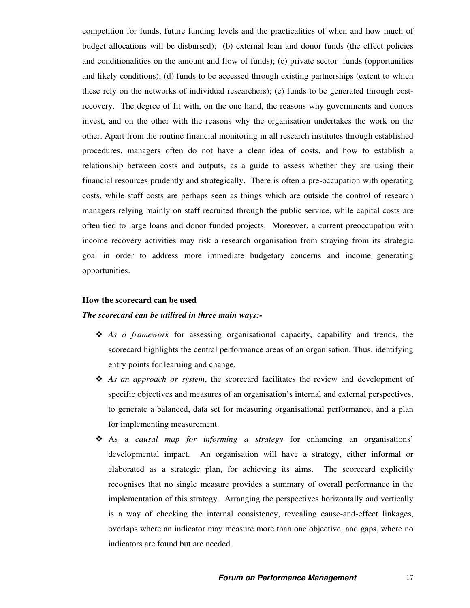competition for funds, future funding levels and the practicalities of when and how much of budget allocations will be disbursed); (b) external loan and donor funds (the effect policies and conditionalities on the amount and flow of funds); (c) private sector funds (opportunities and likely conditions); (d) funds to be accessed through existing partnerships (extent to which these rely on the networks of individual researchers); (e) funds to be generated through costrecovery. The degree of fit with, on the one hand, the reasons why governments and donors invest, and on the other with the reasons why the organisation undertakes the work on the other. Apart from the routine financial monitoring in all research institutes through established procedures, managers often do not have a clear idea of costs, and how to establish a relationship between costs and outputs, as a guide to assess whether they are using their financial resources prudently and strategically. There is often a pre-occupation with operating costs, while staff costs are perhaps seen as things which are outside the control of research managers relying mainly on staff recruited through the public service, while capital costs are often tied to large loans and donor funded projects. Moreover, a current preoccupation with income recovery activities may risk a research organisation from straying from its strategic goal in order to address more immediate budgetary concerns and income generating opportunities.

#### **How the scorecard can be used**

#### *The scorecard can be utilised in three main ways:-*

- *As a framework* for assessing organisational capacity, capability and trends, the scorecard highlights the central performance areas of an organisation. Thus, identifying entry points for learning and change.
- *As an approach or system*, the scorecard facilitates the review and development of specific objectives and measures of an organisation's internal and external perspectives, to generate a balanced, data set for measuring organisational performance, and a plan for implementing measurement.
- As a *causal map for informing a strategy* for enhancing an organisations' developmental impact. An organisation will have a strategy, either informal or elaborated as a strategic plan, for achieving its aims. The scorecard explicitly recognises that no single measure provides a summary of overall performance in the implementation of this strategy. Arranging the perspectives horizontally and vertically is a way of checking the internal consistency, revealing cause-and-effect linkages, overlaps where an indicator may measure more than one objective, and gaps, where no indicators are found but are needed.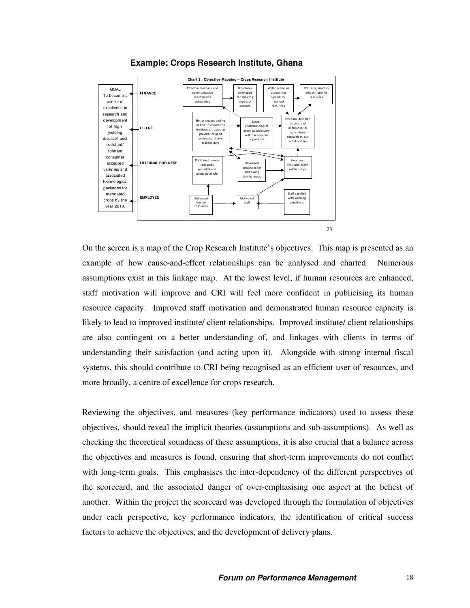

#### **Example: Crops Research Institute, Ghana**

On the screen is a map of the Crop Research Institute's objectives. This map is presented as an example of how cause-and-effect relationships can be analysed and charted. Numerous assumptions exist in this linkage map. At the lowest level, if human resources are enhanced, staff motivation will improve and CRI will feel more confident in publicising its human resource capacity. Improved staff motivation and demonstrated human resource capacity is likely to lead to improved institute/ client relationships. Improved institute/ client relationships are also contingent on a better understanding of, and linkages with clients in terms of understanding their satisfaction (and acting upon it). Alongside with strong internal fiscal systems, this should contribute to CRI being recognised as an efficient user of resources, and more broadly, a centre of excellence for crops research.

Reviewing the objectives, and measures (key performance indicators) used to assess these objectives, should reveal the implicit theories (assumptions and sub-assumptions). As well as checking the theoretical soundness of these assumptions, it is also crucial that a balance across the objectives and measures is found, ensuring that short-term improvements do not conflict with long-term goals. This emphasises the inter-dependency of the different perspectives of the scorecard, and the associated danger of over-emphasising one aspect at the behest of another. Within the project the scorecard was developed through the formulation of objectives under each perspective, key performance indicators, the identification of critical success factors to achieve the objectives, and the development of delivery plans.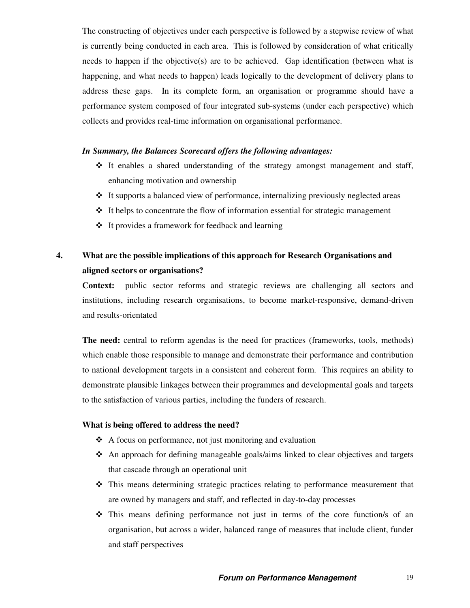The constructing of objectives under each perspective is followed by a stepwise review of what is currently being conducted in each area. This is followed by consideration of what critically needs to happen if the objective(s) are to be achieved. Gap identification (between what is happening, and what needs to happen) leads logically to the development of delivery plans to address these gaps. In its complete form, an organisation or programme should have a performance system composed of four integrated sub-systems (under each perspective) which collects and provides real-time information on organisational performance.

#### *In Summary, the Balances Scorecard offers the following advantages:*

- $\div$  It enables a shared understanding of the strategy amongst management and staff, enhancing motivation and ownership
- $\div$  It supports a balanced view of performance, internalizing previously neglected areas
- $\div$  It helps to concentrate the flow of information essential for strategic management
- $\cdot \cdot$  It provides a framework for feedback and learning

# **4. What are the possible implications of this approach for Research Organisations and aligned sectors or organisations?**

**Context:** public sector reforms and strategic reviews are challenging all sectors and institutions, including research organisations, to become market-responsive, demand-driven and results-orientated

**The need:** central to reform agendas is the need for practices (frameworks, tools, methods) which enable those responsible to manage and demonstrate their performance and contribution to national development targets in a consistent and coherent form. This requires an ability to demonstrate plausible linkages between their programmes and developmental goals and targets to the satisfaction of various parties, including the funders of research.

#### **What is being offered to address the need?**

- $\triangle$  A focus on performance, not just monitoring and evaluation
- $\triangle$  An approach for defining manageable goals/aims linked to clear objectives and targets that cascade through an operational unit
- This means determining strategic practices relating to performance measurement that are owned by managers and staff, and reflected in day-to-day processes
- This means defining performance not just in terms of the core function/s of an organisation, but across a wider, balanced range of measures that include client, funder and staff perspectives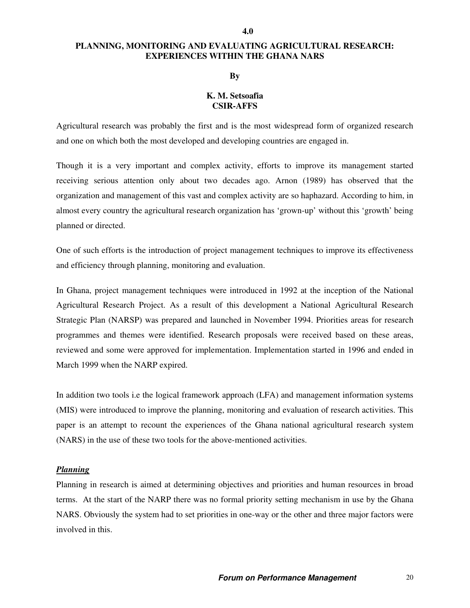#### **PLANNING, MONITORING AND EVALUATING AGRICULTURAL RESEARCH: EXPERIENCES WITHIN THE GHANA NARS**

#### **By**

## **K. M. Setsoafia CSIR-AFFS**

Agricultural research was probably the first and is the most widespread form of organized research and one on which both the most developed and developing countries are engaged in.

Though it is a very important and complex activity, efforts to improve its management started receiving serious attention only about two decades ago. Arnon (1989) has observed that the organization and management of this vast and complex activity are so haphazard. According to him, in almost every country the agricultural research organization has 'grown-up' without this 'growth' being planned or directed.

One of such efforts is the introduction of project management techniques to improve its effectiveness and efficiency through planning, monitoring and evaluation.

In Ghana, project management techniques were introduced in 1992 at the inception of the National Agricultural Research Project. As a result of this development a National Agricultural Research Strategic Plan (NARSP) was prepared and launched in November 1994. Priorities areas for research programmes and themes were identified. Research proposals were received based on these areas, reviewed and some were approved for implementation. Implementation started in 1996 and ended in March 1999 when the NARP expired.

In addition two tools i.e the logical framework approach (LFA) and management information systems (MIS) were introduced to improve the planning, monitoring and evaluation of research activities. This paper is an attempt to recount the experiences of the Ghana national agricultural research system (NARS) in the use of these two tools for the above-mentioned activities.

#### *Planning*

Planning in research is aimed at determining objectives and priorities and human resources in broad terms. At the start of the NARP there was no formal priority setting mechanism in use by the Ghana NARS. Obviously the system had to set priorities in one-way or the other and three major factors were involved in this.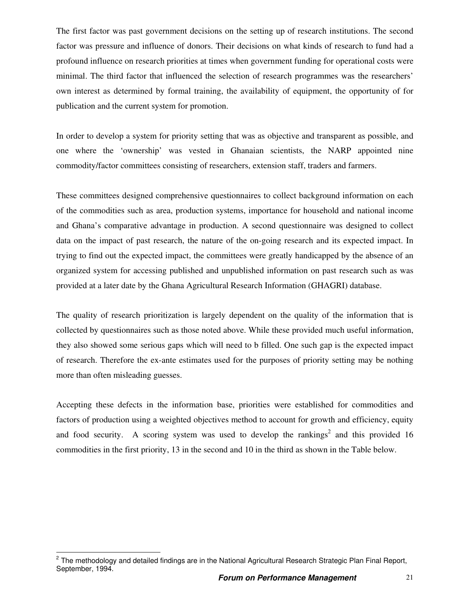The first factor was past government decisions on the setting up of research institutions. The second factor was pressure and influence of donors. Their decisions on what kinds of research to fund had a profound influence on research priorities at times when government funding for operational costs were minimal. The third factor that influenced the selection of research programmes was the researchers' own interest as determined by formal training, the availability of equipment, the opportunity of for publication and the current system for promotion.

In order to develop a system for priority setting that was as objective and transparent as possible, and one where the 'ownership' was vested in Ghanaian scientists, the NARP appointed nine commodity/factor committees consisting of researchers, extension staff, traders and farmers.

These committees designed comprehensive questionnaires to collect background information on each of the commodities such as area, production systems, importance for household and national income and Ghana's comparative advantage in production. A second questionnaire was designed to collect data on the impact of past research, the nature of the on-going research and its expected impact. In trying to find out the expected impact, the committees were greatly handicapped by the absence of an organized system for accessing published and unpublished information on past research such as was provided at a later date by the Ghana Agricultural Research Information (GHAGRI) database.

The quality of research prioritization is largely dependent on the quality of the information that is collected by questionnaires such as those noted above. While these provided much useful information, they also showed some serious gaps which will need to b filled. One such gap is the expected impact of research. Therefore the ex-ante estimates used for the purposes of priority setting may be nothing more than often misleading guesses.

Accepting these defects in the information base, priorities were established for commodities and factors of production using a weighted objectives method to account for growth and efficiency, equity and food security. A scoring system was used to develop the rankings<sup>2</sup> and this provided 16 commodities in the first priority, 13 in the second and 10 in the third as shown in the Table below.

**<sup>2</sup>**<br><sup>2</sup> The methodology and detailed findings are in the National Agricultural Research Strategic Plan Final Report, September, 1994.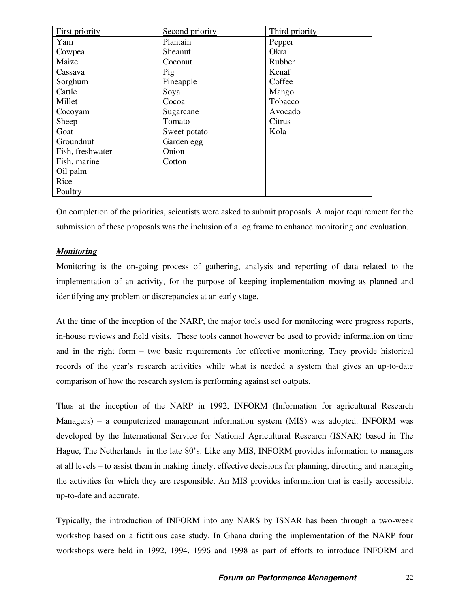| <b>First priority</b> | Second priority | Third priority |
|-----------------------|-----------------|----------------|
| Yam                   | Plantain        | Pepper         |
| Cowpea                | Sheanut         | Okra           |
| Maize                 | Coconut         | Rubber         |
| Cassava               | Pig             | Kenaf          |
| Sorghum               | Pineapple       | Coffee         |
| Cattle                | Soya            | Mango          |
| Millet                | Cocoa           | Tobacco        |
| Cocoyam               | Sugarcane       | Avocado        |
| Sheep                 | Tomato          | Citrus         |
| Goat                  | Sweet potato    | Kola           |
| Groundnut             | Garden egg      |                |
| Fish, freshwater      | Onion           |                |
| Fish, marine          | Cotton          |                |
| Oil palm              |                 |                |
| Rice                  |                 |                |
| Poultry               |                 |                |

On completion of the priorities, scientists were asked to submit proposals. A major requirement for the submission of these proposals was the inclusion of a log frame to enhance monitoring and evaluation.

## *Monitoring*

Monitoring is the on-going process of gathering, analysis and reporting of data related to the implementation of an activity, for the purpose of keeping implementation moving as planned and identifying any problem or discrepancies at an early stage.

At the time of the inception of the NARP, the major tools used for monitoring were progress reports, in-house reviews and field visits. These tools cannot however be used to provide information on time and in the right form – two basic requirements for effective monitoring. They provide historical records of the year's research activities while what is needed a system that gives an up-to-date comparison of how the research system is performing against set outputs.

Thus at the inception of the NARP in 1992, INFORM (Information for agricultural Research Managers) – a computerized management information system (MIS) was adopted. INFORM was developed by the International Service for National Agricultural Research (ISNAR) based in The Hague, The Netherlands in the late 80's. Like any MIS, INFORM provides information to managers at all levels – to assist them in making timely, effective decisions for planning, directing and managing the activities for which they are responsible. An MIS provides information that is easily accessible, up-to-date and accurate.

Typically, the introduction of INFORM into any NARS by ISNAR has been through a two-week workshop based on a fictitious case study. In Ghana during the implementation of the NARP four workshops were held in 1992, 1994, 1996 and 1998 as part of efforts to introduce INFORM and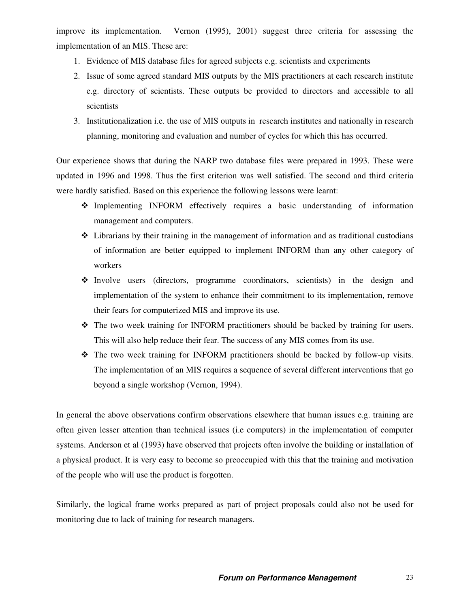improve its implementation. Vernon (1995), 2001) suggest three criteria for assessing the implementation of an MIS. These are:

- 1. Evidence of MIS database files for agreed subjects e.g. scientists and experiments
- 2. Issue of some agreed standard MIS outputs by the MIS practitioners at each research institute e.g. directory of scientists. These outputs be provided to directors and accessible to all scientists
- 3. Institutionalization i.e. the use of MIS outputs in research institutes and nationally in research planning, monitoring and evaluation and number of cycles for which this has occurred.

Our experience shows that during the NARP two database files were prepared in 1993. These were updated in 1996 and 1998. Thus the first criterion was well satisfied. The second and third criteria were hardly satisfied. Based on this experience the following lessons were learnt:

- Implementing INFORM effectively requires a basic understanding of information management and computers.
- $\div$  Librarians by their training in the management of information and as traditional custodians of information are better equipped to implement INFORM than any other category of workers
- $\div$  Involve users (directors, programme coordinators, scientists) in the design and implementation of the system to enhance their commitment to its implementation, remove their fears for computerized MIS and improve its use.
- The two week training for INFORM practitioners should be backed by training for users. This will also help reduce their fear. The success of any MIS comes from its use.
- The two week training for INFORM practitioners should be backed by follow-up visits. The implementation of an MIS requires a sequence of several different interventions that go beyond a single workshop (Vernon, 1994).

In general the above observations confirm observations elsewhere that human issues e.g. training are often given lesser attention than technical issues (i.e computers) in the implementation of computer systems. Anderson et al (1993) have observed that projects often involve the building or installation of a physical product. It is very easy to become so preoccupied with this that the training and motivation of the people who will use the product is forgotten.

Similarly, the logical frame works prepared as part of project proposals could also not be used for monitoring due to lack of training for research managers.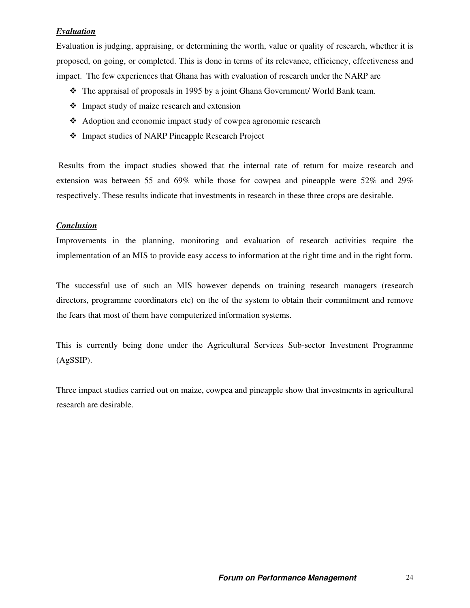## *Evaluation*

Evaluation is judging, appraising, or determining the worth, value or quality of research, whether it is proposed, on going, or completed. This is done in terms of its relevance, efficiency, effectiveness and impact. The few experiences that Ghana has with evaluation of research under the NARP are

- $\div$  The appraisal of proposals in 1995 by a joint Ghana Government/ World Bank team.
- Impact study of maize research and extension
- Adoption and economic impact study of cowpea agronomic research
- ❖ Impact studies of NARP Pineapple Research Project

 Results from the impact studies showed that the internal rate of return for maize research and extension was between 55 and 69% while those for cowpea and pineapple were 52% and 29% respectively. These results indicate that investments in research in these three crops are desirable.

## *Conclusion*

Improvements in the planning, monitoring and evaluation of research activities require the implementation of an MIS to provide easy access to information at the right time and in the right form.

The successful use of such an MIS however depends on training research managers (research directors, programme coordinators etc) on the of the system to obtain their commitment and remove the fears that most of them have computerized information systems.

This is currently being done under the Agricultural Services Sub-sector Investment Programme (AgSSIP).

Three impact studies carried out on maize, cowpea and pineapple show that investments in agricultural research are desirable.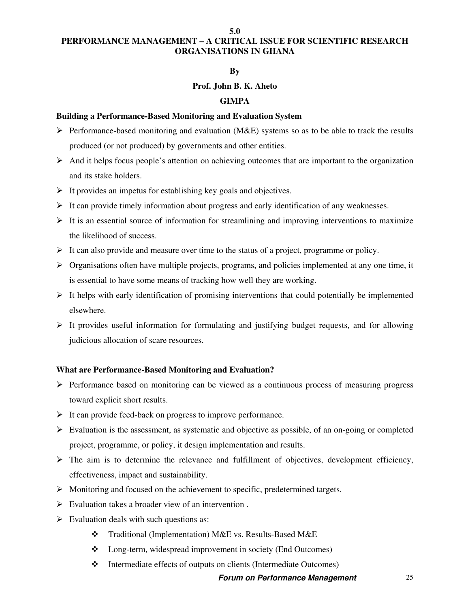**5.0**

## **PERFORMANCE MANAGEMENT – A CRITICAL ISSUE FOR SCIENTIFIC RESEARCH ORGANISATIONS IN GHANA**

#### **By**

#### **Prof. John B. K. Aheto**

## **GIMPA**

#### **Building a Performance-Based Monitoring and Evaluation System**

- $\triangleright$  Performance-based monitoring and evaluation (M&E) systems so as to be able to track the results produced (or not produced) by governments and other entities.
- $\triangleright$  And it helps focus people's attention on achieving outcomes that are important to the organization and its stake holders.
- $\triangleright$  It provides an impetus for establishing key goals and objectives.
- $\triangleright$  It can provide timely information about progress and early identification of any weaknesses.
- $\triangleright$  It is an essential source of information for streamlining and improving interventions to maximize the likelihood of success.
- $\triangleright$  It can also provide and measure over time to the status of a project, programme or policy.
- Organisations often have multiple projects, programs, and policies implemented at any one time, it is essential to have some means of tracking how well they are working.
- $\triangleright$  It helps with early identification of promising interventions that could potentially be implemented elsewhere.
- $\triangleright$  It provides useful information for formulating and justifying budget requests, and for allowing judicious allocation of scare resources.

## **What are Performance-Based Monitoring and Evaluation?**

- $\triangleright$  Performance based on monitoring can be viewed as a continuous process of measuring progress toward explicit short results.
- $\triangleright$  It can provide feed-back on progress to improve performance.
- $\triangleright$  Evaluation is the assessment, as systematic and objective as possible, of an on-going or completed project, programme, or policy, it design implementation and results.
- $\triangleright$  The aim is to determine the relevance and fulfillment of objectives, development efficiency, effectiveness, impact and sustainability.
- Monitoring and focused on the achievement to specific, predetermined targets.
- $\triangleright$  Evaluation takes a broader view of an intervention.
- $\triangleright$  Evaluation deals with such questions as:
	- Traditional (Implementation) M&E vs. Results-Based M&E
	- Long-term, widespread improvement in society (End Outcomes)
	- $\triangleleft$  Intermediate effects of outputs on clients (Intermediate Outcomes)

#### **Forum on Performance Management** 25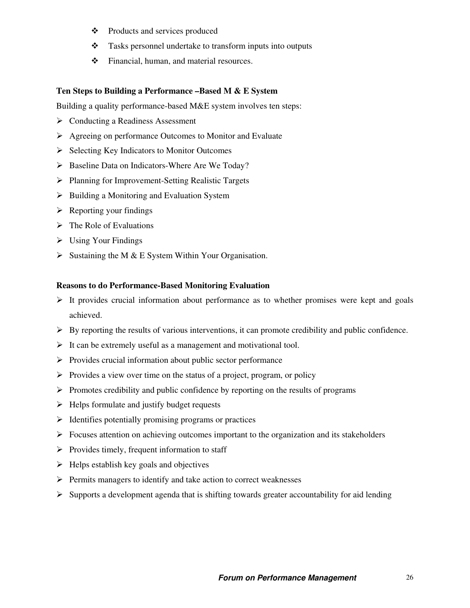- Products and services produced
- \* Tasks personnel undertake to transform inputs into outputs
- Financial, human, and material resources.

#### **Ten Steps to Building a Performance –Based M & E System**

Building a quality performance-based M&E system involves ten steps:

- $\triangleright$  Conducting a Readiness Assessment
- $\triangleright$  Agreeing on performance Outcomes to Monitor and Evaluate
- $\triangleright$  Selecting Key Indicators to Monitor Outcomes
- ▶ Baseline Data on Indicators-Where Are We Today?
- ▶ Planning for Improvement-Setting Realistic Targets
- $\triangleright$  Building a Monitoring and Evaluation System
- $\triangleright$  Reporting your findings
- $\triangleright$  The Role of Evaluations
- $\triangleright$  Using Your Findings
- Sustaining the M & E System Within Your Organisation.

#### **Reasons to do Performance-Based Monitoring Evaluation**

- $\triangleright$  It provides crucial information about performance as to whether promises were kept and goals achieved.
- $\triangleright$  By reporting the results of various interventions, it can promote credibility and public confidence.
- $\triangleright$  It can be extremely useful as a management and motivational tool.
- $\triangleright$  Provides crucial information about public sector performance
- $\triangleright$  Provides a view over time on the status of a project, program, or policy
- $\triangleright$  Promotes credibility and public confidence by reporting on the results of programs
- $\blacktriangleright$  Helps formulate and justify budget requests
- $\triangleright$  Identifies potentially promising programs or practices
- $\triangleright$  Focuses attention on achieving outcomes important to the organization and its stakeholders
- $\triangleright$  Provides timely, frequent information to staff
- $\blacktriangleright$  Helps establish key goals and objectives
- $\triangleright$  Permits managers to identify and take action to correct weaknesses
- $\triangleright$  Supports a development agenda that is shifting towards greater accountability for aid lending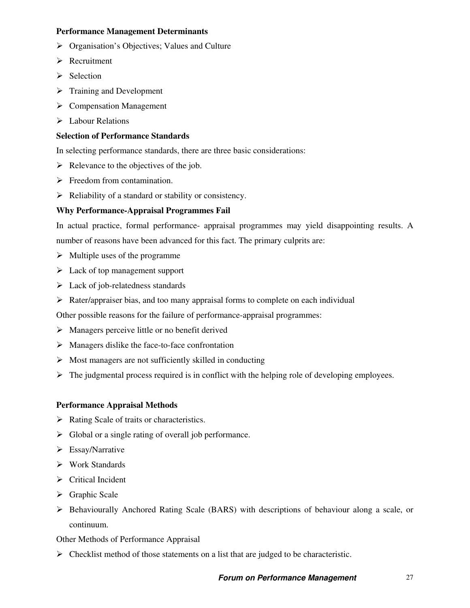#### **Performance Management Determinants**

- Organisation's Objectives; Values and Culture
- $\triangleright$  Recruitment
- $\triangleright$  Selection
- $\triangleright$  Training and Development
- $\triangleright$  Compensation Management
- **Exercise** Labour Relations

## **Selection of Performance Standards**

In selecting performance standards, there are three basic considerations:

- $\triangleright$  Relevance to the objectives of the job.
- $\triangleright$  Freedom from contamination.
- $\triangleright$  Reliability of a standard or stability or consistency.

## **Why Performance-Appraisal Programmes Fail**

In actual practice, formal performance- appraisal programmes may yield disappointing results. A number of reasons have been advanced for this fact. The primary culprits are:

- $\triangleright$  Multiple uses of the programme
- $\triangleright$  Lack of top management support
- $\triangleright$  Lack of job-relatedness standards
- $\triangleright$  Rater/appraiser bias, and too many appraisal forms to complete on each individual

Other possible reasons for the failure of performance-appraisal programmes:

- $\triangleright$  Managers perceive little or no benefit derived
- $\triangleright$  Managers dislike the face-to-face confrontation
- $\triangleright$  Most managers are not sufficiently skilled in conducting
- $\triangleright$  The judgmental process required is in conflict with the helping role of developing employees.

#### **Performance Appraisal Methods**

- $\triangleright$  Rating Scale of traits or characteristics.
- $\triangleright$  Global or a single rating of overall job performance.
- $\triangleright$  Essay/Narrative
- Work Standards
- $\triangleright$  Critical Incident
- Graphic Scale
- Behaviourally Anchored Rating Scale (BARS) with descriptions of behaviour along a scale, or continuum.

Other Methods of Performance Appraisal

 $\triangleright$  Checklist method of those statements on a list that are judged to be characteristic.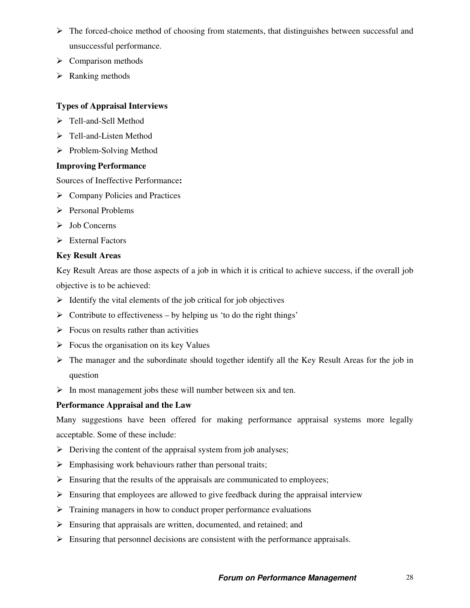- $\triangleright$  The forced-choice method of choosing from statements, that distinguishes between successful and unsuccessful performance.
- $\triangleright$  Comparison methods
- $\triangleright$  Ranking methods

## **Types of Appraisal Interviews**

- Tell-and-Sell Method
- > Tell-and-Listen Method
- $\triangleright$  Problem-Solving Method

## **Improving Performance**

Sources of Ineffective Performance**:** 

- $\triangleright$  Company Policies and Practices
- Personal Problems
- Job Concerns
- External Factors

## **Key Result Areas**

Key Result Areas are those aspects of a job in which it is critical to achieve success, if the overall job objective is to be achieved:

- $\triangleright$  Identify the vital elements of the job critical for job objectives
- $\triangleright$  Contribute to effectiveness by helping us 'to do the right things'
- $\triangleright$  Focus on results rather than activities
- $\triangleright$  Focus the organisation on its key Values
- $\triangleright$  The manager and the subordinate should together identify all the Key Result Areas for the job in question
- $\triangleright$  In most management jobs these will number between six and ten.

## **Performance Appraisal and the Law**

Many suggestions have been offered for making performance appraisal systems more legally acceptable. Some of these include:

- $\triangleright$  Deriving the content of the appraisal system from job analyses;
- $\triangleright$  Emphasising work behaviours rather than personal traits;
- $\triangleright$  Ensuring that the results of the appraisals are communicated to employees;
- $\triangleright$  Ensuring that employees are allowed to give feedback during the appraisal interview
- $\triangleright$  Training managers in how to conduct proper performance evaluations
- $\triangleright$  Ensuring that appraisals are written, documented, and retained; and
- $\triangleright$  Ensuring that personnel decisions are consistent with the performance appraisals.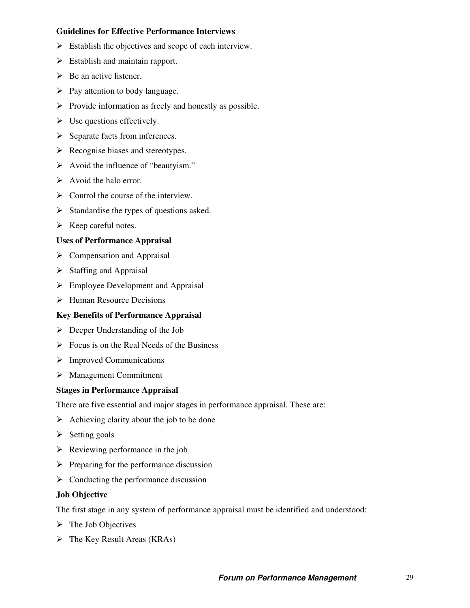#### **Guidelines for Effective Performance Interviews**

- $\triangleright$  Establish the objectives and scope of each interview.
- $\triangleright$  Establish and maintain rapport.
- $\triangleright$  Be an active listener.
- $\triangleright$  Pay attention to body language.
- $\triangleright$  Provide information as freely and honestly as possible.
- $\triangleright$  Use questions effectively.
- $\triangleright$  Separate facts from inferences.
- $\triangleright$  Recognise biases and stereotypes.
- $\triangleright$  Avoid the influence of "beautyism."
- $\triangleright$  Avoid the halo error.
- $\triangleright$  Control the course of the interview.
- $\triangleright$  Standardise the types of questions asked.
- $\triangleright$  Keep careful notes.

## **Uses of Performance Appraisal**

- $\triangleright$  Compensation and Appraisal
- $\triangleright$  Staffing and Appraisal
- $\triangleright$  Employee Development and Appraisal
- Human Resource Decisions

#### **Key Benefits of Performance Appraisal**

- $\triangleright$  Deeper Understanding of the Job
- $\triangleright$  Focus is on the Real Needs of the Business
- $\triangleright$  Improved Communications
- Management Commitment

#### **Stages in Performance Appraisal**

There are five essential and major stages in performance appraisal. These are:

- $\triangleright$  Achieving clarity about the job to be done
- $\triangleright$  Setting goals
- $\triangleright$  Reviewing performance in the job
- $\triangleright$  Preparing for the performance discussion
- $\triangleright$  Conducting the performance discussion

#### **Job Objective**

The first stage in any system of performance appraisal must be identified and understood:

- $\triangleright$  The Job Objectives
- $\triangleright$  The Key Result Areas (KRAs)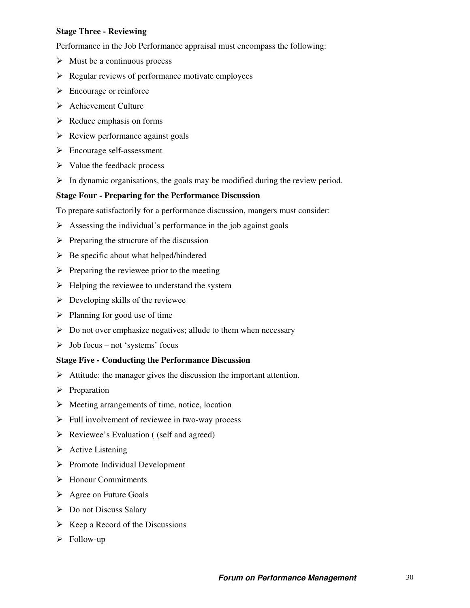## **Stage Three - Reviewing**

Performance in the Job Performance appraisal must encompass the following:

- $\triangleright$  Must be a continuous process
- $\triangleright$  Regular reviews of performance motivate employees
- $\triangleright$  Encourage or reinforce
- > Achievement Culture
- $\triangleright$  Reduce emphasis on forms
- $\triangleright$  Review performance against goals
- Encourage self-assessment
- $\triangleright$  Value the feedback process
- $\triangleright$  In dynamic organisations, the goals may be modified during the review period.

## **Stage Four - Preparing for the Performance Discussion**

To prepare satisfactorily for a performance discussion, mangers must consider:

- $\triangleright$  Assessing the individual's performance in the job against goals
- $\triangleright$  Preparing the structure of the discussion
- $\triangleright$  Be specific about what helped/hindered
- $\triangleright$  Preparing the reviewee prior to the meeting
- $\triangleright$  Helping the reviewee to understand the system
- $\triangleright$  Developing skills of the reviewee
- $\triangleright$  Planning for good use of time
- $\triangleright$  Do not over emphasize negatives; allude to them when necessary
- $\triangleright$  Job focus not 'systems' focus

#### **Stage Five - Conducting the Performance Discussion**

- $\triangleright$  Attitude: the manager gives the discussion the important attention.
- $\triangleright$  Preparation
- $\triangleright$  Meeting arrangements of time, notice, location
- $\triangleright$  Full involvement of reviewee in two-way process
- $\triangleright$  Reviewee's Evaluation ( (self and agreed)
- $\triangleright$  Active Listening
- $\triangleright$  Promote Individual Development
- > Honour Commitments
- $\triangleright$  Agree on Future Goals
- $\triangleright$  Do not Discuss Salary
- $\triangleright$  Keep a Record of the Discussions
- $\triangleright$  Follow-up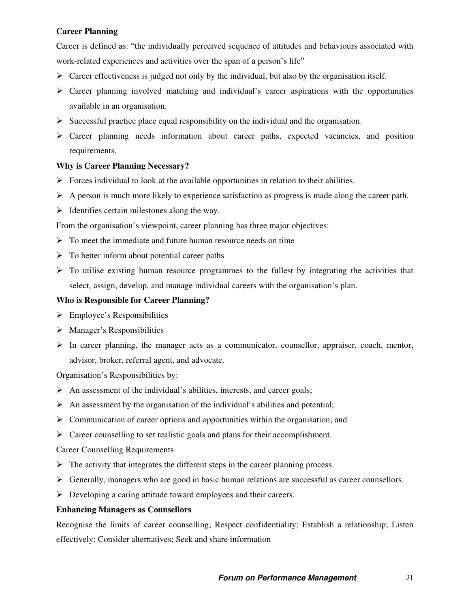## **Career Planning**

Career is defined as: "the individually perceived sequence of attitudes and behaviours associated with work-related experiences and activities over the span of a person's life"

- $\triangleright$  Career effectiveness is judged not only by the individual, but also by the organisation itself.
- $\triangleright$  Career planning involved matching and individual's career aspirations with the opportunities available in an organisation.
- $\triangleright$  Successful practice place equal responsibility on the individual and the organisation.
- Career planning needs information about career paths, expected vacancies, and position requirements.

## **Why is Career Planning Necessary?**

- $\triangleright$  Forces individual to look at the available opportunities in relation to their abilities.
- $\triangleright$  A person is much more likely to experience satisfaction as progress is made along the career path.
- $\triangleright$  Identifies certain milestones along the way.

From the organisation's viewpoint, career planning has three major objectives:

- $\triangleright$  To meet the immediate and future human resource needs on time
- $\triangleright$  To better inform about potential career paths
- $\triangleright$  To utilise existing human resource programmes to the fullest by integrating the activities that select, assign, develop, and manage individual careers with the organisation's plan.

## **Who is Responsible for Career Planning?**

- $\triangleright$  Employee's Responsibilities
- $\triangleright$  Manager's Responsibilities
- $\triangleright$  In career planning, the manager acts as a communicator, counsellor, appraiser, coach, mentor, advisor, broker, referral agent, and advocate.

Organisation's Responsibilities by:

- $\triangleright$  An assessment of the individual's abilities, interests, and career goals;
- $\triangleright$  An assessment by the organisation of the individual's abilities and potential;
- $\triangleright$  Communication of career options and opportunities within the organisation; and
- $\triangleright$  Career counselling to set realistic goals and plans for their accomplishment.

Career Counselling Requirements

- $\triangleright$  The activity that integrates the different steps in the career planning process.
- $\triangleright$  Generally, managers who are good in basic human relations are successful as career counsellors.
- Developing a caring attitude toward employees and their careers.

#### **Enhancing Managers as Counsellors**

Recognise the limits of career counselling; Respect confidentiality; Establish a relationship; Listen effectively; Consider alternatives; Seek and share information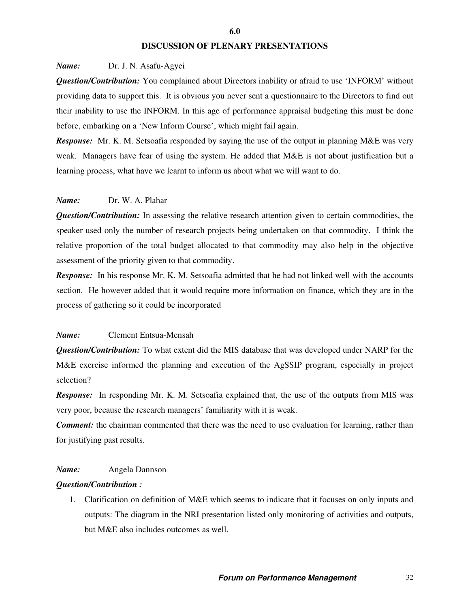#### **DISCUSSION OF PLENARY PRESENTATIONS**

#### *Name:* Dr. J. N. Asafu-Agyei

*Question/Contribution:* You complained about Directors inability or afraid to use 'INFORM' without providing data to support this. It is obvious you never sent a questionnaire to the Directors to find out their inability to use the INFORM. In this age of performance appraisal budgeting this must be done before, embarking on a 'New Inform Course', which might fail again.

*Response:* Mr. K. M. Setsoafia responded by saying the use of the output in planning M&E was very weak. Managers have fear of using the system. He added that M&E is not about justification but a learning process, what have we learnt to inform us about what we will want to do.

#### *Name:* Dr. W. A. Plahar

*Question/Contribution:* In assessing the relative research attention given to certain commodities, the speaker used only the number of research projects being undertaken on that commodity. I think the relative proportion of the total budget allocated to that commodity may also help in the objective assessment of the priority given to that commodity.

*Response:* In his response Mr. K. M. Setsoafia admitted that he had not linked well with the accounts section. He however added that it would require more information on finance, which they are in the process of gathering so it could be incorporated

#### *Name:* Clement Entsua-Mensah

*Question/Contribution:* To what extent did the MIS database that was developed under NARP for the M&E exercise informed the planning and execution of the AgSSIP program, especially in project selection?

*Response:* In responding Mr. K. M. Setsoafia explained that, the use of the outputs from MIS was very poor, because the research managers' familiarity with it is weak.

*Comment:* the chairman commented that there was the need to use evaluation for learning, rather than for justifying past results.

#### *Name:* Angela Dannson

#### *Question/Contribution :*

1. Clarification on definition of M&E which seems to indicate that it focuses on only inputs and outputs: The diagram in the NRI presentation listed only monitoring of activities and outputs, but M&E also includes outcomes as well.

#### **6.0**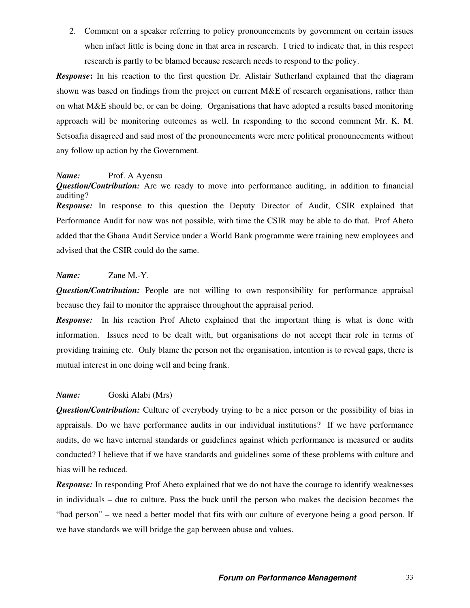2. Comment on a speaker referring to policy pronouncements by government on certain issues when infact little is being done in that area in research. I tried to indicate that, in this respect research is partly to be blamed because research needs to respond to the policy.

*Response***:** In his reaction to the first question Dr. Alistair Sutherland explained that the diagram shown was based on findings from the project on current M&E of research organisations, rather than on what M&E should be, or can be doing. Organisations that have adopted a results based monitoring approach will be monitoring outcomes as well. In responding to the second comment Mr. K. M. Setsoafia disagreed and said most of the pronouncements were mere political pronouncements without any follow up action by the Government.

#### *Name:* Prof. A Ayensu

*Question/Contribution:* Are we ready to move into performance auditing, in addition to financial auditing? *Response:* In response to this question the Deputy Director of Audit, CSIR explained that Performance Audit for now was not possible, with time the CSIR may be able to do that. Prof Aheto added that the Ghana Audit Service under a World Bank programme were training new employees and advised that the CSIR could do the same.

#### *Name:* Zane M.-Y.

*Question/Contribution:* People are not willing to own responsibility for performance appraisal because they fail to monitor the appraisee throughout the appraisal period.

*Response:* In his reaction Prof Aheto explained that the important thing is what is done with information. Issues need to be dealt with, but organisations do not accept their role in terms of providing training etc. Only blame the person not the organisation, intention is to reveal gaps, there is mutual interest in one doing well and being frank.

#### *Name:* Goski Alabi (Mrs)

*Question/Contribution:* Culture of everybody trying to be a nice person or the possibility of bias in appraisals. Do we have performance audits in our individual institutions? If we have performance audits, do we have internal standards or guidelines against which performance is measured or audits conducted? I believe that if we have standards and guidelines some of these problems with culture and bias will be reduced.

*Response:* In responding Prof Aheto explained that we do not have the courage to identify weaknesses in individuals – due to culture. Pass the buck until the person who makes the decision becomes the "bad person" – we need a better model that fits with our culture of everyone being a good person. If we have standards we will bridge the gap between abuse and values.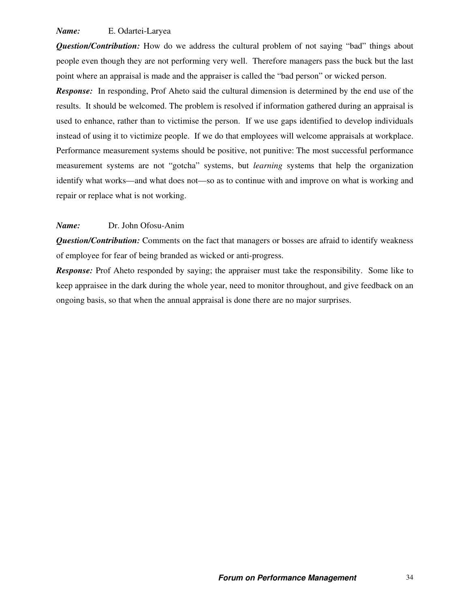#### *Name:* E. Odartei-Laryea

*Question/Contribution:* How do we address the cultural problem of not saying "bad" things about people even though they are not performing very well. Therefore managers pass the buck but the last point where an appraisal is made and the appraiser is called the "bad person" or wicked person.

*Response:* In responding, Prof Aheto said the cultural dimension is determined by the end use of the results. It should be welcomed. The problem is resolved if information gathered during an appraisal is used to enhance, rather than to victimise the person. If we use gaps identified to develop individuals instead of using it to victimize people. If we do that employees will welcome appraisals at workplace. Performance measurement systems should be positive, not punitive: The most successful performance measurement systems are not "gotcha" systems, but *learning* systems that help the organization identify what works—and what does not—so as to continue with and improve on what is working and repair or replace what is not working.

#### *Name:* Dr. John Ofosu-Anim

*Question/Contribution:* Comments on the fact that managers or bosses are afraid to identify weakness of employee for fear of being branded as wicked or anti-progress.

*Response:* Prof Aheto responded by saying; the appraiser must take the responsibility. Some like to keep appraisee in the dark during the whole year, need to monitor throughout, and give feedback on an ongoing basis, so that when the annual appraisal is done there are no major surprises.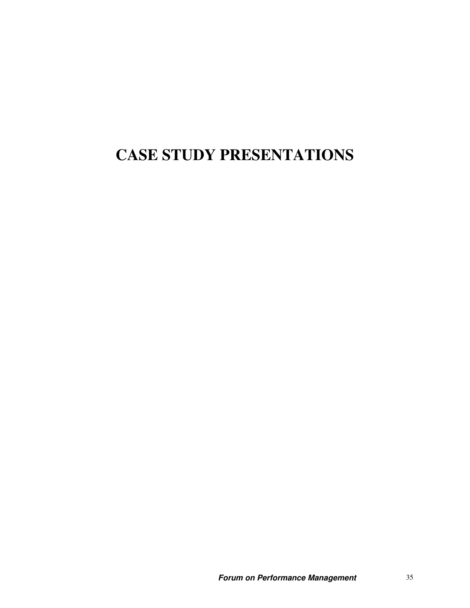# **CASE STUDY PRESENTATIONS**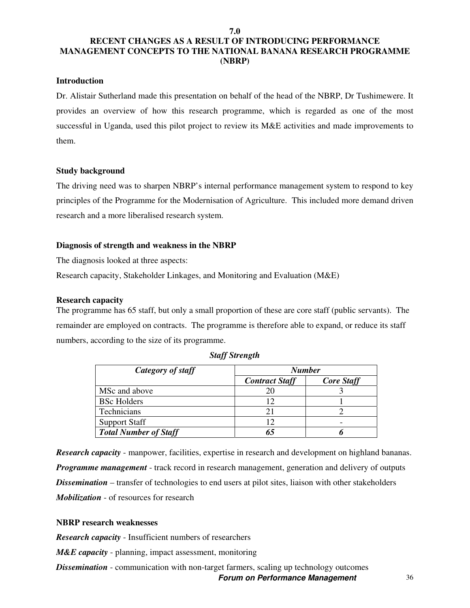# **7.0 RECENT CHANGES AS A RESULT OF INTRODUCING PERFORMANCE MANAGEMENT CONCEPTS TO THE NATIONAL BANANA RESEARCH PROGRAMME (NBRP)**

#### **Introduction**

Dr. Alistair Sutherland made this presentation on behalf of the head of the NBRP, Dr Tushimewere. It provides an overview of how this research programme, which is regarded as one of the most successful in Uganda, used this pilot project to review its M&E activities and made improvements to them.

#### **Study background**

The driving need was to sharpen NBRP's internal performance management system to respond to key principles of the Programme for the Modernisation of Agriculture. This included more demand driven research and a more liberalised research system.

#### **Diagnosis of strength and weakness in the NBRP**

The diagnosis looked at three aspects:

Research capacity, Stakeholder Linkages, and Monitoring and Evaluation (M&E)

#### **Research capacity**

The programme has 65 staff, but only a small proportion of these are core staff (public servants). The remainder are employed on contracts. The programme is therefore able to expand, or reduce its staff numbers, according to the size of its programme.

| Category of staff            | <b>Number</b>         |                   |
|------------------------------|-----------------------|-------------------|
|                              | <b>Contract Staff</b> | <b>Core Staff</b> |
| MSc and above                | 20                    |                   |
| <b>BSc Holders</b>           | 12                    |                   |
| Technicians                  | 21                    |                   |
| <b>Support Staff</b>         | 12                    |                   |
| <b>Total Number of Staff</b> | 65                    |                   |

|  | Staff Strength |
|--|----------------|
|--|----------------|

*Research capacity* - manpower, facilities, expertise in research and development on highland bananas. *Programme management* - track record in research management, generation and delivery of outputs *Dissemination* – transfer of technologies to end users at pilot sites, liaison with other stakeholders *Mobilization* - of resources for research

#### **NBRP research weaknesses**

*Research capacity* - Insufficient numbers of researchers

*M&E capacity* - planning, impact assessment, monitoring

**Forum on Performance Management** 36 *Dissemination* - communication with non-target farmers, scaling up technology outcomes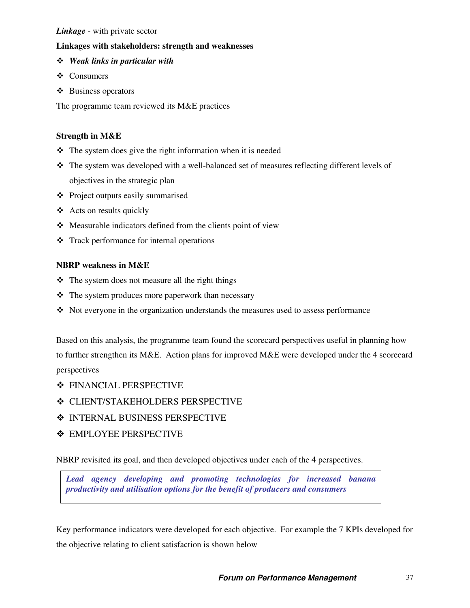#### *Linkage* - with private sector

# **Linkages with stakeholders: strength and weaknesses**

- *Weak links in particular with*
- Consumers
- ❖ Business operators

The programme team reviewed its M&E practices

## **Strength in M&E**

- $\triangleleft$  The system does give the right information when it is needed
- $\hat{\cdot}$  The system was developed with a well-balanced set of measures reflecting different levels of objectives in the strategic plan
- **❖** Project outputs easily summarised
- $\triangleleft$  Acts on results quickly
- $\triangleleft$  Measurable indicators defined from the clients point of view
- Track performance for internal operations

## **NBRP weakness in M&E**

- $\triangle$  The system does not measure all the right things
- $\triangle$  The system produces more paperwork than necessary
- $\div$  Not everyone in the organization understands the measures used to assess performance

Based on this analysis, the programme team found the scorecard perspectives useful in planning how to further strengthen its M&E. Action plans for improved M&E were developed under the 4 scorecard perspectives

- **❖ FINANCIAL PERSPECTIVE**
- **❖ CLIENT/STAKEHOLDERS PERSPECTIVE**
- $\div$  **INTERNAL BUSINESS PERSPECTIVE**
- EMPLOYEE PERSPECTIVE

NBRP revisited its goal, and then developed objectives under each of the 4 perspectives.

*Lead agency developing and promoting technologies for increased banana productivity and utilisation options for the benefit of producers and consumers* 

Key performance indicators were developed for each objective. For example the 7 KPIs developed for the objective relating to client satisfaction is shown below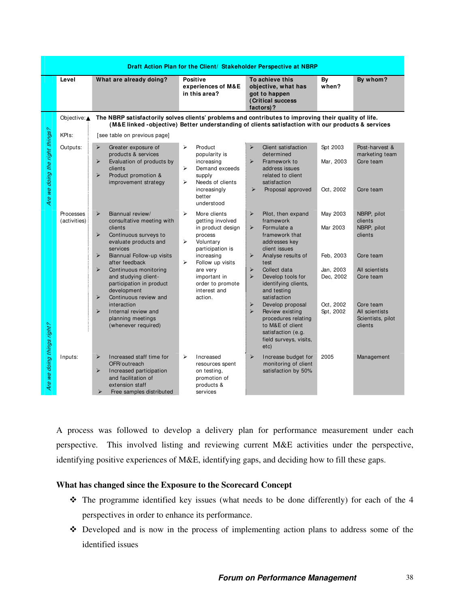|                                | Draft Action Plan for the Client/ Stakeholder Perspective at NBRP |                                                                                                                                                                                                                                                                                                                                                                                                                                                                                                                                    |                                                                                                                                                                                                                                                                       |                                                                                                                                                                                                                                                                                                                                                                                                                                                                                                                                   |                                                                                       |                                                                                                                                                             |  |
|--------------------------------|-------------------------------------------------------------------|------------------------------------------------------------------------------------------------------------------------------------------------------------------------------------------------------------------------------------------------------------------------------------------------------------------------------------------------------------------------------------------------------------------------------------------------------------------------------------------------------------------------------------|-----------------------------------------------------------------------------------------------------------------------------------------------------------------------------------------------------------------------------------------------------------------------|-----------------------------------------------------------------------------------------------------------------------------------------------------------------------------------------------------------------------------------------------------------------------------------------------------------------------------------------------------------------------------------------------------------------------------------------------------------------------------------------------------------------------------------|---------------------------------------------------------------------------------------|-------------------------------------------------------------------------------------------------------------------------------------------------------------|--|
|                                | Level                                                             | What are already doing?                                                                                                                                                                                                                                                                                                                                                                                                                                                                                                            | <b>Positive</b><br>experiences of M&E<br>in this area?                                                                                                                                                                                                                | To achieve this<br>objective, what has<br>got to happen<br>(Critical success<br>factors)?                                                                                                                                                                                                                                                                                                                                                                                                                                         | Βv<br>when?                                                                           | By whom?                                                                                                                                                    |  |
|                                | Objective: $\blacktriangle$                                       | The NBRP satisfactorily solves clients' problems and contributes to improving their quality of life.                                                                                                                                                                                                                                                                                                                                                                                                                               |                                                                                                                                                                                                                                                                       | (M&E linked -objective) Better understanding of clients satisfaction with our products & services                                                                                                                                                                                                                                                                                                                                                                                                                                 |                                                                                       |                                                                                                                                                             |  |
|                                | KPI <sub>s</sub> :                                                | [see table on previous page]                                                                                                                                                                                                                                                                                                                                                                                                                                                                                                       |                                                                                                                                                                                                                                                                       |                                                                                                                                                                                                                                                                                                                                                                                                                                                                                                                                   |                                                                                       |                                                                                                                                                             |  |
| Are we doing the right things? | Outputs:                                                          | $\blacktriangleright$<br>Greater exposure of<br>products & services<br>$\blacktriangleright$<br>Evaluation of products by<br>clients<br>$\blacktriangleright$<br>Product promotion &<br>improvement strategy                                                                                                                                                                                                                                                                                                                       | ⋗<br>Product<br>popularity is<br>increasing<br>↘<br>Demand exceeds<br>supply<br>Needs of clients<br>⋗<br>increasingly<br>better<br>understood                                                                                                                         | $\blacktriangleright$<br>Client satisfaction<br>determined<br>$\blacktriangleright$<br>Framework to<br>address issues<br>related to client<br>satisfaction<br>$\blacktriangleright$<br>Proposal approved                                                                                                                                                                                                                                                                                                                          | Spt 2003<br>Mar, 2003<br>Oct. 2002                                                    | Post-harvest &<br>marketing team<br>Core team<br>Core team                                                                                                  |  |
|                                | Processes<br>(activities)                                         | $\blacktriangleright$<br>Biannual review/<br>consultative meeting with<br>clients<br>$\blacktriangleright$<br>Continuous surveys to<br>evaluate products and<br>services<br>$\blacktriangleright$<br>Biannual Follow-up visits<br>after feedback<br>$\blacktriangleright$<br>Continuous monitoring<br>and studying client-<br>participation in product<br>development<br>$\blacktriangleright$<br>Continuous review and<br>interaction<br>$\blacktriangleright$<br>Internal review and<br>planning meetings<br>(whenever required) | $\blacktriangleright$<br>More clients<br>getting involved<br>in product design<br>process<br>⋗<br>Voluntary<br>participation is<br>increasing<br>$\blacktriangleright$<br>Follow up visits<br>are very<br>important in<br>order to promote<br>interest and<br>action. | $\blacktriangleright$<br>Pilot, then expand<br>framework<br>$\blacktriangleright$<br>Formulate a<br>framework that<br>addresses key<br>client issues<br>$\blacktriangleright$<br>Analyse results of<br>test<br>Collect data<br>$\blacktriangleright$<br>$\blacktriangleright$<br>Develop tools for<br>identifying clients,<br>and testing<br>satisfaction<br>Develop proposal<br>⋗<br>Review existing<br>$\blacktriangleright$<br>procedures relating<br>to M&E of client<br>satisfaction (e.g.<br>field surveys, visits,<br>etc) | May 2003<br>Mar 2003<br>Feb. 2003<br>Jan, 2003<br>Dec, 2002<br>Oct. 2002<br>Spt, 2002 | NBRP, pilot<br>clients<br>NBRP, pilot<br>clients<br>Core team<br>All scientists<br>Core team<br>Core team<br>All scientists<br>Scientists, pilot<br>clients |  |
| Are we doing things right?     | Inputs:                                                           | Increased staff time for<br>⋗<br>OFR/outreach<br>Increased participation<br>$\blacktriangleright$<br>and facilitation of<br>extension staff<br>Free samples distributed                                                                                                                                                                                                                                                                                                                                                            | ↘<br>Increased<br>resources spent<br>on testing,<br>promotion of<br>products &<br>services                                                                                                                                                                            | $\blacktriangleright$<br>Increase budget for<br>monitoring of client<br>satisfaction by 50%                                                                                                                                                                                                                                                                                                                                                                                                                                       | 2005                                                                                  | Management                                                                                                                                                  |  |

A process was followed to develop a delivery plan for performance measurement under each perspective. This involved listing and reviewing current M&E activities under the perspective, identifying positive experiences of M&E, identifying gaps, and deciding how to fill these gaps.

#### **What has changed since the Exposure to the Scorecard Concept**

- $\cdot \cdot$  The programme identified key issues (what needs to be done differently) for each of the 4 perspectives in order to enhance its performance.
- Developed and is now in the process of implementing action plans to address some of the identified issues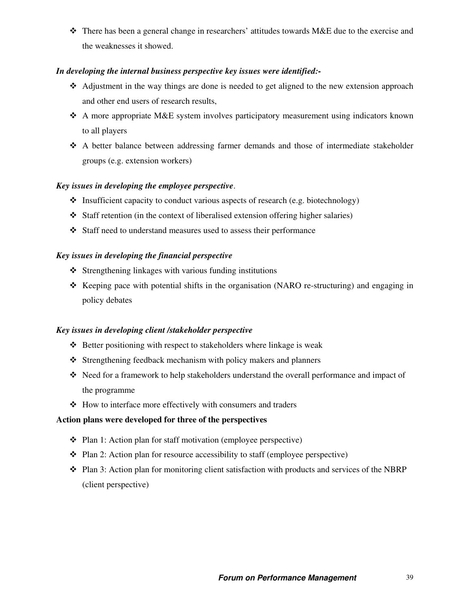$\hat{\cdot}$  There has been a general change in researchers' attitudes towards M&E due to the exercise and the weaknesses it showed.

# *In developing the internal business perspective key issues were identified:-*

- Adjustment in the way things are done is needed to get aligned to the new extension approach and other end users of research results,
- $\triangle$  A more appropriate M&E system involves participatory measurement using indicators known to all players
- A better balance between addressing farmer demands and those of intermediate stakeholder groups (e.g. extension workers)

# *Key issues in developing the employee perspective*.

- Insufficient capacity to conduct various aspects of research (e.g. biotechnology)
- $\div$  Staff retention (in the context of liberalised extension offering higher salaries)
- Staff need to understand measures used to assess their performance

# *Key issues in developing the financial perspective*

- $\triangleleft$  Strengthening linkages with various funding institutions
- $\div$  Keeping pace with potential shifts in the organisation (NARO re-structuring) and engaging in policy debates

# *Key issues in developing client /stakeholder perspective*

- $\triangle$  Better positioning with respect to stakeholders where linkage is weak
- $\triangle$  Strengthening feedback mechanism with policy makers and planners
- $\div$  Need for a framework to help stakeholders understand the overall performance and impact of the programme
- How to interface more effectively with consumers and traders

# **Action plans were developed for three of the perspectives**

- $\triangle$  Plan 1: Action plan for staff motivation (employee perspective)
- $\triangleleft$  Plan 2: Action plan for resource accessibility to staff (employee perspective)
- $\div$  Plan 3: Action plan for monitoring client satisfaction with products and services of the NBRP (client perspective)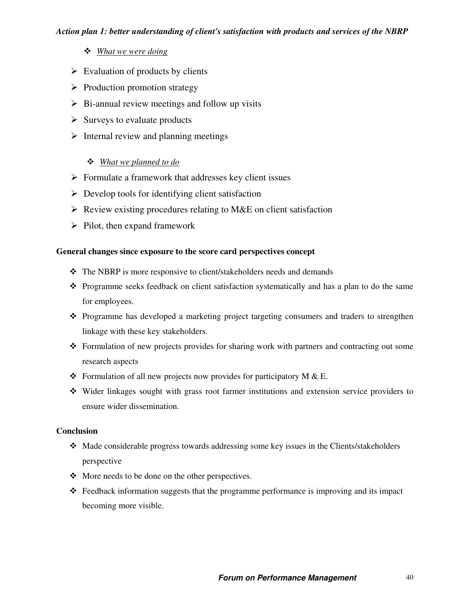# *What we were doing*

- $\triangleright$  Evaluation of products by clients
- $\triangleright$  Production promotion strategy
- $\triangleright$  Bi-annual review meetings and follow up visits
- $\triangleright$  Surveys to evaluate products
- $\triangleright$  Internal review and planning meetings

# *What we planned to do*

- $\triangleright$  Formulate a framework that addresses key client issues
- $\triangleright$  Develop tools for identifying client satisfaction
- $\triangleright$  Review existing procedures relating to M&E on client satisfaction
- $\triangleright$  Pilot, then expand framework

## **General changes since exposure to the score card perspectives concept**

- The NBRP is more responsive to client/stakeholders needs and demands
- Programme seeks feedback on client satisfaction systematically and has a plan to do the same for employees.
- Programme has developed a marketing project targeting consumers and traders to strengthen linkage with these key stakeholders.
- Formulation of new projects provides for sharing work with partners and contracting out some research aspects
- $\div$  Formulation of all new projects now provides for participatory M & E.
- $\div$  Wider linkages sought with grass root farmer institutions and extension service providers to ensure wider dissemination.

#### **Conclusion**

- $\bullet$  Made considerable progress towards addressing some key issues in the Clients/stakeholders perspective
- $\triangleleft$  More needs to be done on the other perspectives.
- $\div$  Feedback information suggests that the programme performance is improving and its impact becoming more visible.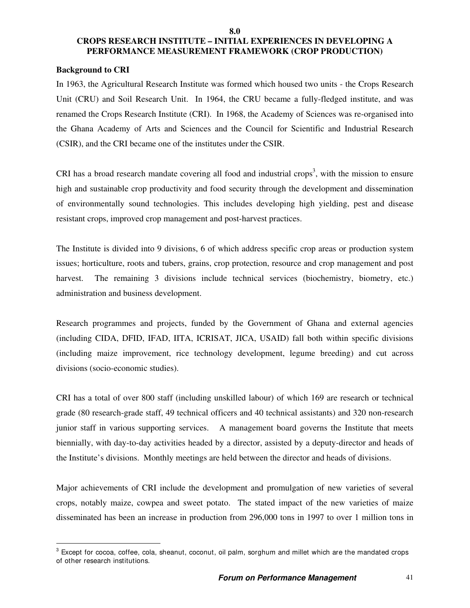#### **8.0 CROPS RESEARCH INSTITUTE – INITIAL EXPERIENCES IN DEVELOPING A PERFORMANCE MEASUREMENT FRAMEWORK (CROP PRODUCTION)**

#### **Background to CRI**

 $\overline{a}$ 

In 1963, the Agricultural Research Institute was formed which housed two units - the Crops Research Unit (CRU) and Soil Research Unit. In 1964, the CRU became a fully-fledged institute, and was renamed the Crops Research Institute (CRI). In 1968, the Academy of Sciences was re-organised into the Ghana Academy of Arts and Sciences and the Council for Scientific and Industrial Research (CSIR), and the CRI became one of the institutes under the CSIR.

CRI has a broad research mandate covering all food and industrial crops<sup>3</sup>, with the mission to ensure high and sustainable crop productivity and food security through the development and dissemination of environmentally sound technologies. This includes developing high yielding, pest and disease resistant crops, improved crop management and post-harvest practices.

The Institute is divided into 9 divisions, 6 of which address specific crop areas or production system issues; horticulture, roots and tubers, grains, crop protection, resource and crop management and post harvest. The remaining 3 divisions include technical services (biochemistry, biometry, etc.) administration and business development.

Research programmes and projects, funded by the Government of Ghana and external agencies (including CIDA, DFID, IFAD, IITA, ICRISAT, JICA, USAID) fall both within specific divisions (including maize improvement, rice technology development, legume breeding) and cut across divisions (socio-economic studies).

CRI has a total of over 800 staff (including unskilled labour) of which 169 are research or technical grade (80 research-grade staff, 49 technical officers and 40 technical assistants) and 320 non-research junior staff in various supporting services. A management board governs the Institute that meets biennially, with day-to-day activities headed by a director, assisted by a deputy-director and heads of the Institute's divisions. Monthly meetings are held between the director and heads of divisions.

Major achievements of CRI include the development and promulgation of new varieties of several crops, notably maize, cowpea and sweet potato. The stated impact of the new varieties of maize disseminated has been an increase in production from 296,000 tons in 1997 to over 1 million tons in

 $^3$  Except for cocoa, coffee, cola, sheanut, coconut, oil palm, sorghum and millet which are the mandated crops of other research institutions.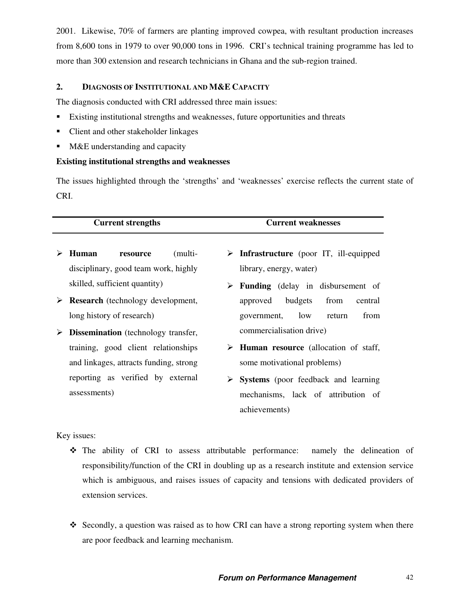2001. Likewise, 70% of farmers are planting improved cowpea, with resultant production increases from 8,600 tons in 1979 to over 90,000 tons in 1996. CRI's technical training programme has led to more than 300 extension and research technicians in Ghana and the sub-region trained.

## **2. DIAGNOSIS OF INSTITUTIONAL AND M&E CAPACITY**

The diagnosis conducted with CRI addressed three main issues:

- Existing institutional strengths and weaknesses, future opportunities and threats
- Client and other stakeholder linkages
- M&E understanding and capacity

#### **Existing institutional strengths and weaknesses**

The issues highlighted through the 'strengths' and 'weaknesses' exercise reflects the current state of CRI.

| <b>Current strengths</b> | <b>Current weaknesses</b> |
|--------------------------|---------------------------|

- **Human resource** (multidisciplinary, good team work, highly skilled, sufficient quantity)
- **Research** (technology development, long history of research)
- **Dissemination** (technology transfer, training, good client relationships and linkages, attracts funding, strong reporting as verified by external assessments)
- **Infrastructure** (poor IT, ill-equipped library, energy, water)
- **Funding** (delay in disbursement of approved budgets from central government, low return from commercialisation drive)
- **Human resource** (allocation of staff, some motivational problems)
- **Systems** (poor feedback and learning mechanisms, lack of attribution of achievements)

Key issues:

- The ability of CRI to assess attributable performance: namely the delineation of responsibility/function of the CRI in doubling up as a research institute and extension service which is ambiguous, and raises issues of capacity and tensions with dedicated providers of extension services.
- $\div$  Secondly, a question was raised as to how CRI can have a strong reporting system when there are poor feedback and learning mechanism.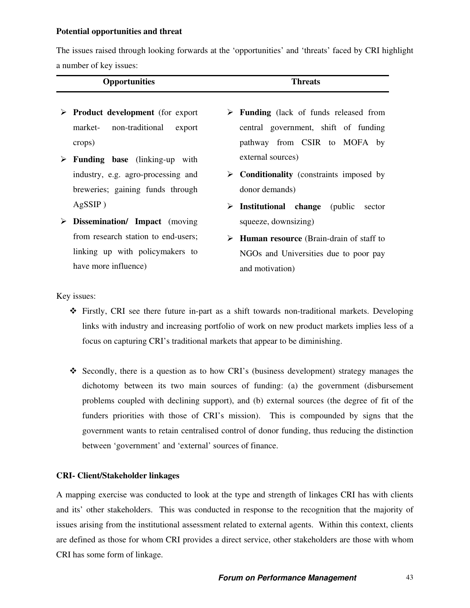#### **Potential opportunities and threat**

The issues raised through looking forwards at the 'opportunities' and 'threats' faced by CRI highlight a number of key issues:

| <b>Opportunities</b>                                                                     | <b>Threats</b>                                                                           |
|------------------------------------------------------------------------------------------|------------------------------------------------------------------------------------------|
| $\triangleright$ Product development (for export<br>non-traditional<br>market-<br>export | <b>Funding</b> (lack of funds released from<br>➤<br>central government, shift of funding |
| crops)                                                                                   | pathway from CSIR to MOFA by<br>external sources)                                        |
| <b>Funding base</b> (linking-up with<br>➤<br>industry, e.g. agro-processing and          | $\triangleright$ Conditionality (constraints imposed by                                  |
| breweries; gaining funds through<br>$AgSSIP$ )                                           | donor demands)<br>Institutional change (public<br>➤<br>sector                            |
| <b>Dissemination/</b> Impact (moving<br>➤                                                | squeeze, downsizing)                                                                     |
| from research station to end-users;                                                      | <b>Human resource</b> (Brain-drain of staff to<br>➤                                      |
| linking up with policymakers to                                                          | NGOs and Universities due to poor pay                                                    |
| have more influence)                                                                     | and motivation)                                                                          |

Key issues:

- Firstly, CRI see there future in-part as a shift towards non-traditional markets. Developing links with industry and increasing portfolio of work on new product markets implies less of a focus on capturing CRI's traditional markets that appear to be diminishing.
- $\div$  Secondly, there is a question as to how CRI's (business development) strategy manages the dichotomy between its two main sources of funding: (a) the government (disbursement problems coupled with declining support), and (b) external sources (the degree of fit of the funders priorities with those of CRI's mission). This is compounded by signs that the government wants to retain centralised control of donor funding, thus reducing the distinction between 'government' and 'external' sources of finance.

#### **CRI- Client/Stakeholder linkages**

A mapping exercise was conducted to look at the type and strength of linkages CRI has with clients and its' other stakeholders. This was conducted in response to the recognition that the majority of issues arising from the institutional assessment related to external agents. Within this context, clients are defined as those for whom CRI provides a direct service, other stakeholders are those with whom CRI has some form of linkage.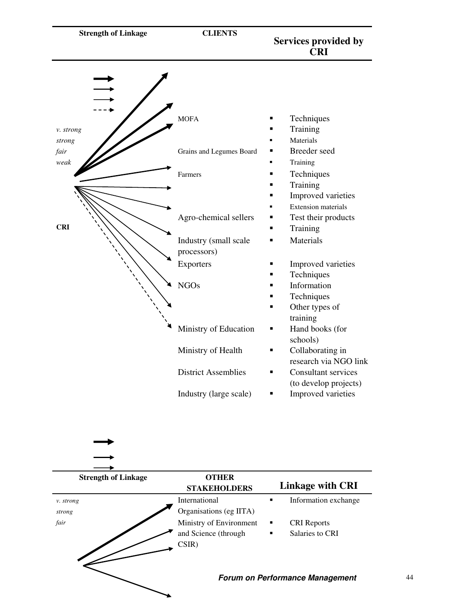| <b>Strength of Linkage</b> | <b>CLIENTS</b>             |                                                     |
|----------------------------|----------------------------|-----------------------------------------------------|
|                            |                            | <b>Services provided by</b><br><b>CRI</b>           |
|                            |                            |                                                     |
|                            | <b>MOFA</b>                | Techniques                                          |
| v. strong                  |                            | Training                                            |
| strong                     |                            | Materials                                           |
| fair                       | Grains and Legumes Board   | Breeder seed                                        |
| weak                       |                            | Training                                            |
|                            | Farmers                    | Techniques                                          |
|                            |                            | Training                                            |
|                            |                            | Improved varieties                                  |
|                            | Agro-chemical sellers      | <b>Extension</b> materials                          |
| <b>CRI</b>                 |                            | Test their products<br>Training                     |
|                            | Industry (small scale      | Materials                                           |
|                            | processors)                |                                                     |
|                            | Exporters                  | Improved varieties                                  |
|                            |                            | Techniques                                          |
|                            | <b>NGOs</b>                | Information                                         |
|                            |                            | Techniques                                          |
|                            |                            | Other types of                                      |
|                            |                            | training                                            |
|                            | Ministry of Education      | Hand books (for<br>schools)                         |
|                            | Ministry of Health         | Collaborating in<br>п<br>research via NGO link      |
|                            | <b>District Assemblies</b> | <b>Consultant services</b><br>(to develop projects) |
|                            | Industry (large scale)     | Improved varieties                                  |
|                            |                            |                                                     |

| <b>Strength of Linkage</b> | <b>OTHER</b><br><b>STAKEHOLDERS</b>                         | <b>Linkage with CRI</b>                         |    |
|----------------------------|-------------------------------------------------------------|-------------------------------------------------|----|
| v. strong<br>strong        | International<br>Organisations (eg IITA)                    | Information exchange                            |    |
| fair                       | Ministry of Environment<br>and Science (through<br>$CSIR$ ) | <b>CRI</b> Reports<br>п<br>Salaries to CRI<br>٠ |    |
|                            |                                                             | <b>Forum on Performance Management</b>          | 44 |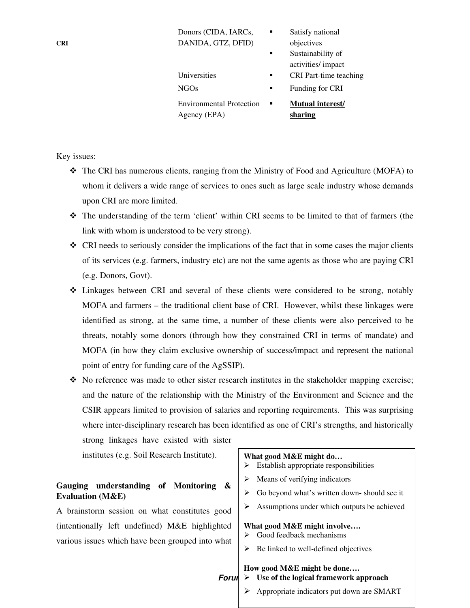| Donors (CIDA, IARCs,            | Satisfy national              |
|---------------------------------|-------------------------------|
| DANIDA, GTZ, DFID)              | objectives                    |
|                                 | Sustainability of             |
|                                 | activities/ impact            |
| Universities                    | <b>CRI</b> Part-time teaching |
| <b>NGOs</b>                     | Funding for CRI               |
| <b>Environmental Protection</b> | Mutual interest/              |
| Agency (EPA)                    | sharing                       |

Key issues:

- The CRI has numerous clients, ranging from the Ministry of Food and Agriculture (MOFA) to whom it delivers a wide range of services to ones such as large scale industry whose demands upon CRI are more limited.
- $\hat{\mathbf{v}}$  The understanding of the term 'client' within CRI seems to be limited to that of farmers (the link with whom is understood to be very strong).
- $\div$  CRI needs to seriously consider the implications of the fact that in some cases the major clients of its services (e.g. farmers, industry etc) are not the same agents as those who are paying CRI (e.g. Donors, Govt).
- $\div$  Linkages between CRI and several of these clients were considered to be strong, notably MOFA and farmers – the traditional client base of CRI. However, whilst these linkages were identified as strong, at the same time, a number of these clients were also perceived to be threats, notably some donors (through how they constrained CRI in terms of mandate) and MOFA (in how they claim exclusive ownership of success/impact and represent the national point of entry for funding care of the AgSSIP).
- $\bullet$  No reference was made to other sister research institutes in the stakeholder mapping exercise; and the nature of the relationship with the Ministry of the Environment and Science and the CSIR appears limited to provision of salaries and reporting requirements. This was surprising where inter-disciplinary research has been identified as one of CRI's strengths, and historically strong linkages have existed with sister

institutes (e.g. Soil Research Institute).

# **Gauging understanding of Monitoring & Evaluation (M&E)**

A brainstorm session on what constitutes good (intentionally left undefined) M&E highlighted various issues which have been grouped into what

# **What good M&E might do…**   $\triangleright$  Establish appropriate responsibilities  $\triangleright$  Means of verifying indicators  $\triangleright$  Go beyond what's written down-should see it Assumptions under which outputs be achieved

#### **What good M&E might involve….**

- Good feedback mechanisms
- $\triangleright$  Be linked to well-defined objectives

#### **How good M&E might be done….**

- **Formal**  $\triangleright$  Use of the logical framework approach
	- $\triangleright$  Appropriate indicators put down are SMART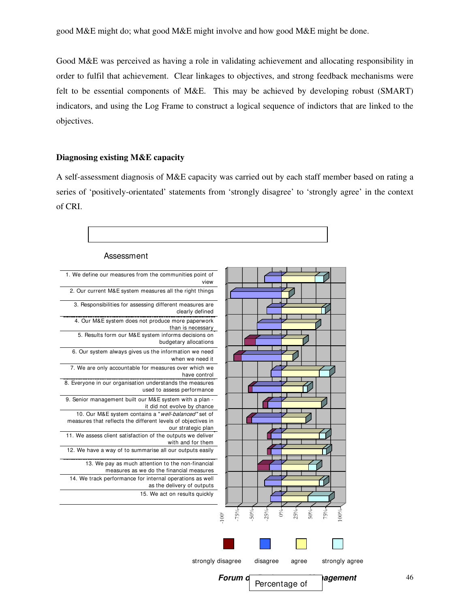good M&E might do; what good M&E might involve and how good M&E might be done.

Good M&E was perceived as having a role in validating achievement and allocating responsibility in order to fulfil that achievement. Clear linkages to objectives, and strong feedback mechanisms were felt to be essential components of M&E. This may be achieved by developing robust (SMART) indicators, and using the Log Frame to construct a logical sequence of indictors that are linked to the objectives.

#### **Diagnosing existing M&E capacity**

A self-assessment diagnosis of M&E capacity was carried out by each staff member based on rating a series of 'positively-orientated' statements from 'strongly disagree' to 'strongly agree' in the context of CRI.

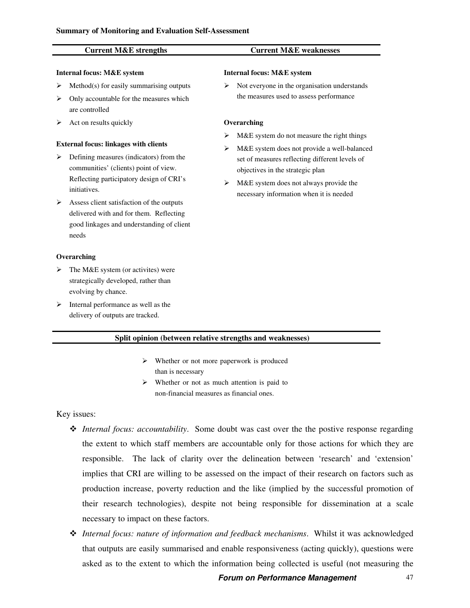#### **Summary of Monitoring and Evaluation Self-Assessment**

| <b>Current M&amp;E strengths</b><br><b>Internal focus: M&amp;E system</b> |                                                           | <b>Current M&amp;E weaknesses</b>                        |  |  |
|---------------------------------------------------------------------------|-----------------------------------------------------------|----------------------------------------------------------|--|--|
|                                                                           |                                                           | Internal focus: M&E system                               |  |  |
| ➤                                                                         | Method(s) for easily summarising outputs                  | Not everyone in the organisation understands<br>➤        |  |  |
| $\triangleright$                                                          | Only accountable for the measures which<br>are controlled | the measures used to assess performance                  |  |  |
| ≻                                                                         | Act on results quickly                                    | Overarching                                              |  |  |
|                                                                           |                                                           | M&E system do not measure the right things<br>➤          |  |  |
|                                                                           | <b>External focus: linkages with clients</b>              | M&E system does not provide a well-balanced<br>⋗         |  |  |
| ➤                                                                         | Defining measures (indicators) from the                   | set of measures reflecting different levels of           |  |  |
|                                                                           | communities' (clients) point of view.                     | objectives in the strategic plan                         |  |  |
|                                                                           | Reflecting participatory design of CRI's                  | $\mathbb{R}$ . MeE contains deep not elevent nuevale the |  |  |

 $\triangleright$  M&E system does not always provide the necessary information when it is needed

#### **Overarching**

needs

initiatives.

 $\triangleright$  The M&E system (or activites) were strategically developed, rather than evolving by chance.

 $\triangleright$  Assess client satisfaction of the outputs delivered with and for them. Reflecting good linkages and understanding of client

 $\triangleright$  Internal performance as well as the delivery of outputs are tracked.

#### **Split opinion (between relative strengths and weaknesses)**

- $\triangleright$  Whether or not more paperwork is produced than is necessary
- $\triangleright$  Whether or not as much attention is paid to non-financial measures as financial ones.

#### Key issues:

- *Internal focus: accountability*. Some doubt was cast over the the postive response regarding the extent to which staff members are accountable only for those actions for which they are responsible. The lack of clarity over the delineation between 'research' and 'extension' implies that CRI are willing to be assessed on the impact of their research on factors such as production increase, poverty reduction and the like (implied by the successful promotion of their research technologies), despite not being responsible for dissemination at a scale necessary to impact on these factors.
- *Internal focus: nature of information and feedback mechanisms*. Whilst it was acknowledged that outputs are easily summarised and enable responsiveness (acting quickly), questions were asked as to the extent to which the information being collected is useful (not measuring the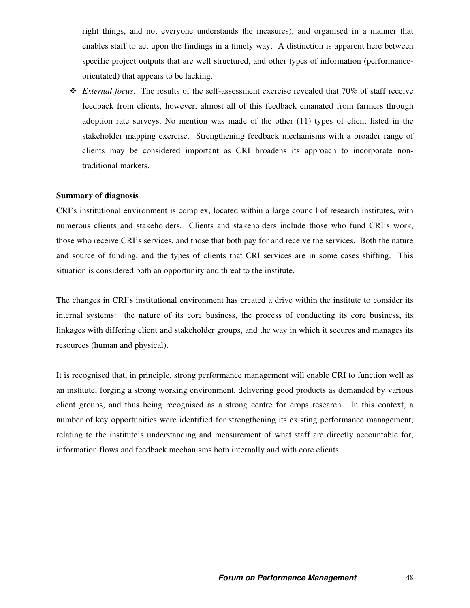right things, and not everyone understands the measures), and organised in a manner that enables staff to act upon the findings in a timely way. A distinction is apparent here between specific project outputs that are well structured, and other types of information (performanceorientated) that appears to be lacking.

 *External focus*. The results of the self-assessment exercise revealed that 70% of staff receive feedback from clients, however, almost all of this feedback emanated from farmers through adoption rate surveys. No mention was made of the other (11) types of client listed in the stakeholder mapping exercise. Strengthening feedback mechanisms with a broader range of clients may be considered important as CRI broadens its approach to incorporate nontraditional markets.

#### **Summary of diagnosis**

CRI's institutional environment is complex, located within a large council of research institutes, with numerous clients and stakeholders. Clients and stakeholders include those who fund CRI's work, those who receive CRI's services, and those that both pay for and receive the services. Both the nature and source of funding, and the types of clients that CRI services are in some cases shifting. This situation is considered both an opportunity and threat to the institute.

The changes in CRI's institutional environment has created a drive within the institute to consider its internal systems: the nature of its core business, the process of conducting its core business, its linkages with differing client and stakeholder groups, and the way in which it secures and manages its resources (human and physical).

It is recognised that, in principle, strong performance management will enable CRI to function well as an institute, forging a strong working environment, delivering good products as demanded by various client groups, and thus being recognised as a strong centre for crops research. In this context, a number of key opportunities were identified for strengthening its existing performance management; relating to the institute's understanding and measurement of what staff are directly accountable for, information flows and feedback mechanisms both internally and with core clients.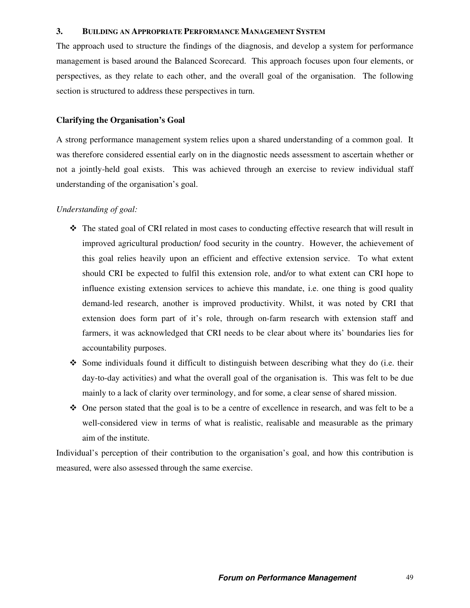#### **3. BUILDING AN APPROPRIATE PERFORMANCE MANAGEMENT SYSTEM**

The approach used to structure the findings of the diagnosis, and develop a system for performance management is based around the Balanced Scorecard. This approach focuses upon four elements, or perspectives, as they relate to each other, and the overall goal of the organisation. The following section is structured to address these perspectives in turn.

#### **Clarifying the Organisation's Goal**

A strong performance management system relies upon a shared understanding of a common goal. It was therefore considered essential early on in the diagnostic needs assessment to ascertain whether or not a jointly-held goal exists. This was achieved through an exercise to review individual staff understanding of the organisation's goal.

## *Understanding of goal:*

- $\div$  The stated goal of CRI related in most cases to conducting effective research that will result in improved agricultural production/ food security in the country. However, the achievement of this goal relies heavily upon an efficient and effective extension service. To what extent should CRI be expected to fulfil this extension role, and/or to what extent can CRI hope to influence existing extension services to achieve this mandate, i.e. one thing is good quality demand-led research, another is improved productivity. Whilst, it was noted by CRI that extension does form part of it's role, through on-farm research with extension staff and farmers, it was acknowledged that CRI needs to be clear about where its' boundaries lies for accountability purposes.
- Some individuals found it difficult to distinguish between describing what they do (i.e. their day-to-day activities) and what the overall goal of the organisation is. This was felt to be due mainly to a lack of clarity over terminology, and for some, a clear sense of shared mission.
- $\div$  One person stated that the goal is to be a centre of excellence in research, and was felt to be a well-considered view in terms of what is realistic, realisable and measurable as the primary aim of the institute.

Individual's perception of their contribution to the organisation's goal, and how this contribution is measured, were also assessed through the same exercise.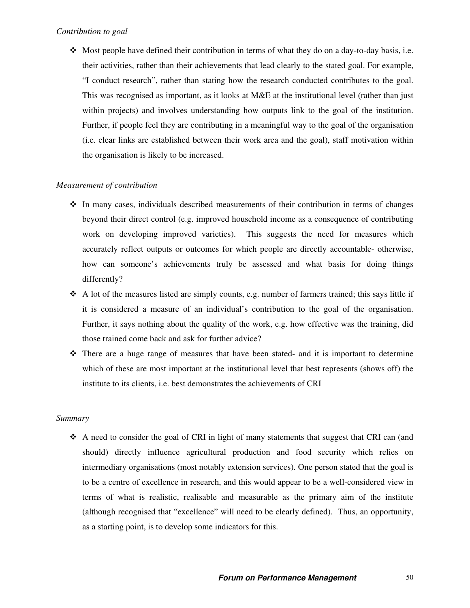$\bullet$  Most people have defined their contribution in terms of what they do on a day-to-day basis, i.e. their activities, rather than their achievements that lead clearly to the stated goal. For example, "I conduct research", rather than stating how the research conducted contributes to the goal. This was recognised as important, as it looks at M&E at the institutional level (rather than just within projects) and involves understanding how outputs link to the goal of the institution. Further, if people feel they are contributing in a meaningful way to the goal of the organisation (i.e. clear links are established between their work area and the goal), staff motivation within the organisation is likely to be increased.

#### *Measurement of contribution*

- $\div$  In many cases, individuals described measurements of their contribution in terms of changes beyond their direct control (e.g. improved household income as a consequence of contributing work on developing improved varieties). This suggests the need for measures which accurately reflect outputs or outcomes for which people are directly accountable- otherwise, how can someone's achievements truly be assessed and what basis for doing things differently?
- A lot of the measures listed are simply counts, e.g. number of farmers trained; this says little if it is considered a measure of an individual's contribution to the goal of the organisation. Further, it says nothing about the quality of the work, e.g. how effective was the training, did those trained come back and ask for further advice?
- $\hat{\cdot}$  There are a huge range of measures that have been stated- and it is important to determine which of these are most important at the institutional level that best represents (shows off) the institute to its clients, i.e. best demonstrates the achievements of CRI

#### *Summary*

 $\triangle$  A need to consider the goal of CRI in light of many statements that suggest that CRI can (and should) directly influence agricultural production and food security which relies on intermediary organisations (most notably extension services). One person stated that the goal is to be a centre of excellence in research, and this would appear to be a well-considered view in terms of what is realistic, realisable and measurable as the primary aim of the institute (although recognised that "excellence" will need to be clearly defined). Thus, an opportunity, as a starting point, is to develop some indicators for this.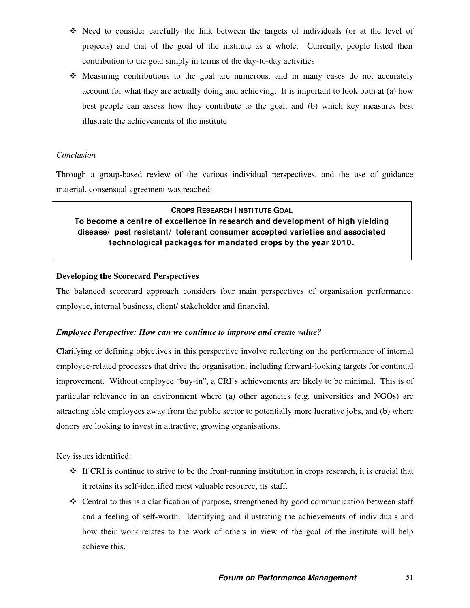- $\div$  Need to consider carefully the link between the targets of individuals (or at the level of projects) and that of the goal of the institute as a whole. Currently, people listed their contribution to the goal simply in terms of the day-to-day activities
- Measuring contributions to the goal are numerous, and in many cases do not accurately account for what they are actually doing and achieving. It is important to look both at (a) how best people can assess how they contribute to the goal, and (b) which key measures best illustrate the achievements of the institute

## *Conclusion*

Through a group-based review of the various individual perspectives, and the use of guidance material, consensual agreement was reached:

**CROPS RESEARCH I NSTI TUTE GOAL To become a centre of excellence in research and development of high yielding disease/ pest resistant/ tolerant consumer accepted varieties and associated technological packages for mandated crops by the year 2010.** 

## **Developing the Scorecard Perspectives**

The balanced scorecard approach considers four main perspectives of organisation performance: employee, internal business, client/ stakeholder and financial.

#### *Employee Perspective: How can we continue to improve and create value?*

Clarifying or defining objectives in this perspective involve reflecting on the performance of internal employee-related processes that drive the organisation, including forward-looking targets for continual improvement. Without employee "buy-in", a CRI's achievements are likely to be minimal. This is of particular relevance in an environment where (a) other agencies (e.g. universities and NGOs) are attracting able employees away from the public sector to potentially more lucrative jobs, and (b) where donors are looking to invest in attractive, growing organisations.

Key issues identified:

- $\triangle$  If CRI is continue to strive to be the front-running institution in crops research, it is crucial that it retains its self-identified most valuable resource, its staff.
- $\triangle$  Central to this is a clarification of purpose, strengthened by good communication between staff and a feeling of self-worth. Identifying and illustrating the achievements of individuals and how their work relates to the work of others in view of the goal of the institute will help achieve this.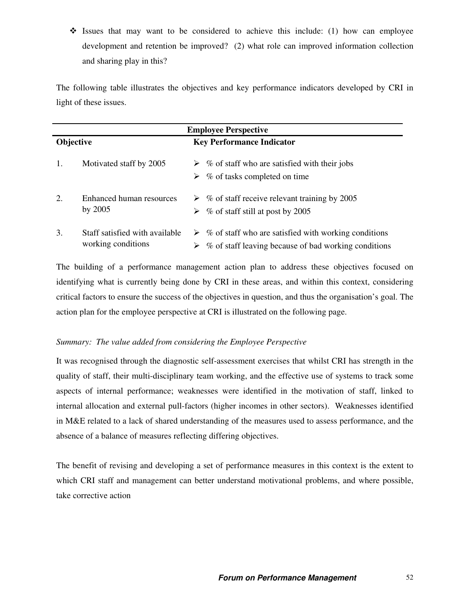$\div$  Issues that may want to be considered to achieve this include: (1) how can employee development and retention be improved? (2) what role can improved information collection and sharing play in this?

The following table illustrates the objectives and key performance indicators developed by CRI in light of these issues.

|           | <b>Employee Perspective</b>     |                                                                       |  |  |  |
|-----------|---------------------------------|-----------------------------------------------------------------------|--|--|--|
| Objective |                                 | <b>Key Performance Indicator</b>                                      |  |  |  |
| 1.        | Motivated staff by 2005         | $\triangleright$ % of staff who are satisfied with their jobs         |  |  |  |
|           |                                 | % of tasks completed on time<br>➤                                     |  |  |  |
| 2.        | <b>Enhanced human resources</b> | $\triangleright$ % of staff receive relevant training by 2005         |  |  |  |
|           | by $2005$                       | $\triangleright$ % of staff still at post by 2005                     |  |  |  |
| 3.        | Staff satisfied with available  | $\triangleright$ % of staff who are satisfied with working conditions |  |  |  |
|           | working conditions              | $\triangleright$ % of staff leaving because of bad working conditions |  |  |  |

The building of a performance management action plan to address these objectives focused on identifying what is currently being done by CRI in these areas, and within this context, considering critical factors to ensure the success of the objectives in question, and thus the organisation's goal. The action plan for the employee perspective at CRI is illustrated on the following page.

# *Summary: The value added from considering the Employee Perspective*

It was recognised through the diagnostic self-assessment exercises that whilst CRI has strength in the quality of staff, their multi-disciplinary team working, and the effective use of systems to track some aspects of internal performance; weaknesses were identified in the motivation of staff, linked to internal allocation and external pull-factors (higher incomes in other sectors). Weaknesses identified in M&E related to a lack of shared understanding of the measures used to assess performance, and the absence of a balance of measures reflecting differing objectives.

The benefit of revising and developing a set of performance measures in this context is the extent to which CRI staff and management can better understand motivational problems, and where possible, take corrective action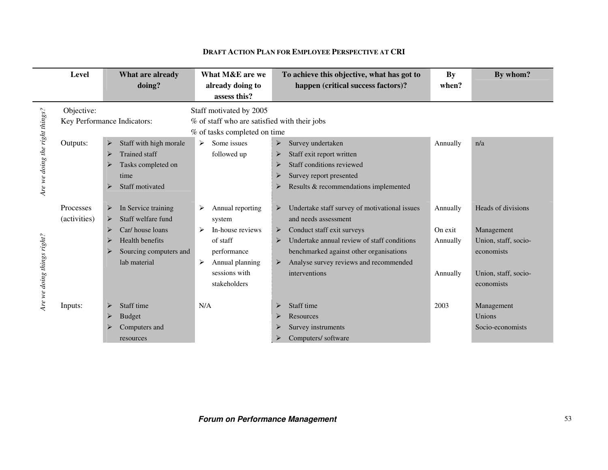|                                | <b>Level</b>              | What are already<br>doing?                                                                                                                    | What M&E are we<br>already doing to<br>assess this?                                                                                          | To achieve this objective, what has got to<br>happen (critical success factors)?                                                                                                                                                                                        | By<br>when?                                 | By whom?                                                                                                     |
|--------------------------------|---------------------------|-----------------------------------------------------------------------------------------------------------------------------------------------|----------------------------------------------------------------------------------------------------------------------------------------------|-------------------------------------------------------------------------------------------------------------------------------------------------------------------------------------------------------------------------------------------------------------------------|---------------------------------------------|--------------------------------------------------------------------------------------------------------------|
| Are we doing the right things? | Objective:<br>Outputs:    | Key Performance Indicators:<br>Staff with high morale<br>➤<br><b>Trained staff</b><br>➤<br>Tasks completed on<br>time<br>Staff motivated<br>≻ | Staff motivated by 2005<br>% of staff who are satisfied with their jobs<br>% of tasks completed on time<br>Some issues<br>⋗<br>followed up   | Survey undertaken<br>➤<br>Staff exit report written<br>➤<br>Staff conditions reviewed<br>Survey report presented<br>⋗<br>Results & recommendations implemented<br>⋗                                                                                                     | Annually                                    | n/a                                                                                                          |
| Are we doing things right?     | Processes<br>(activities) | In Service training<br>➤<br>Staff welfare fund<br>➤<br>Car/house loans<br>⋗<br>Health benefits<br>Sourcing computers and<br>➤<br>lab material | Annual reporting<br>➤<br>system<br>In-house reviews<br>⋗<br>of staff<br>performance<br>Annual planning<br>➤<br>sessions with<br>stakeholders | Undertake staff survey of motivational issues<br>⋗<br>and needs assessment<br>Conduct staff exit surveys<br>➤<br>Undertake annual review of staff conditions<br>⋗<br>benchmarked against other organisations<br>Analyse survey reviews and recommended<br>interventions | Annually<br>On exit<br>Annually<br>Annually | Heads of divisions<br>Management<br>Union, staff, socio-<br>economists<br>Union, staff, socio-<br>economists |
|                                | Inputs:                   | Staff time<br>≻<br><b>Budget</b><br>Computers and<br>resources                                                                                | N/A                                                                                                                                          | Staff time<br>⋗<br>Resources<br>Survey instruments<br>Computers/ software<br>⋗                                                                                                                                                                                          | 2003                                        | Management<br>Unions<br>Socio-economists                                                                     |

# **DRAFT ACTION PLAN FOR EMPLOYEE PERSPECTIVE AT CRI**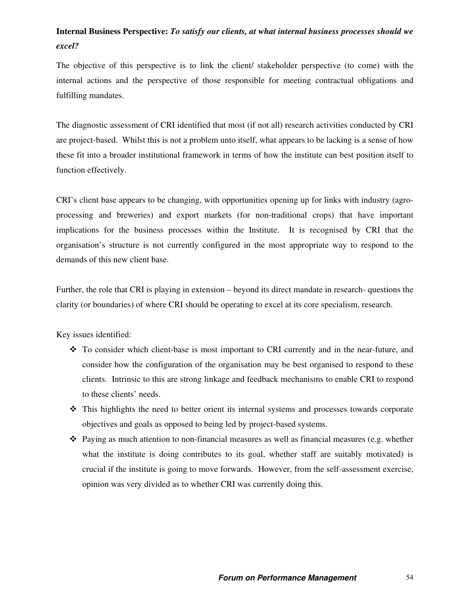# **Internal Business Perspective:** *To satisfy our clients, at what internal business processes should we excel?*

The objective of this perspective is to link the client/ stakeholder perspective (to come) with the internal actions and the perspective of those responsible for meeting contractual obligations and fulfilling mandates.

The diagnostic assessment of CRI identified that most (if not all) research activities conducted by CRI are project-based. Whilst this is not a problem unto itself, what appears to be lacking is a sense of how these fit into a broader institutional framework in terms of how the institute can best position itself to function effectively.

CRI's client base appears to be changing, with opportunities opening up for links with industry (agroprocessing and breweries) and export markets (for non-traditional crops) that have important implications for the business processes within the Institute. It is recognised by CRI that the organisation's structure is not currently configured in the most appropriate way to respond to the demands of this new client base.

Further, the role that CRI is playing in extension – beyond its direct mandate in research- questions the clarity (or boundaries) of where CRI should be operating to excel at its core specialism, research.

Key issues identified:

- To consider which client-base is most important to CRI currently and in the near-future, and consider how the configuration of the organisation may be best organised to respond to these clients. Intrinsic to this are strong linkage and feedback mechanisms to enable CRI to respond to these clients' needs.
- $\hat{\mathbf{v}}$ . This highlights the need to better orient its internal systems and processes towards corporate objectives and goals as opposed to being led by project-based systems.
- $\triangle$  Paying as much attention to non-financial measures as well as financial measures (e.g. whether what the institute is doing contributes to its goal, whether staff are suitably motivated) is crucial if the institute is going to move forwards. However, from the self-assessment exercise, opinion was very divided as to whether CRI was currently doing this.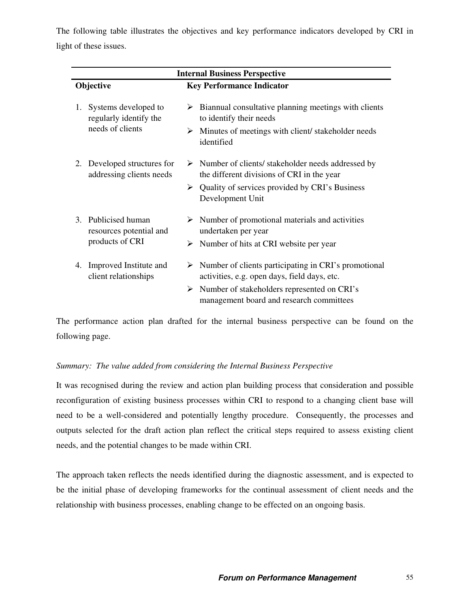The following table illustrates the objectives and key performance indicators developed by CRI in light of these issues.

|    | <b>Internal Business Perspective</b>                               |                                                                                                                                                                                                           |  |  |
|----|--------------------------------------------------------------------|-----------------------------------------------------------------------------------------------------------------------------------------------------------------------------------------------------------|--|--|
|    | <b>Key Performance Indicator</b><br>Objective                      |                                                                                                                                                                                                           |  |  |
| 1. | Systems developed to<br>regularly identify the<br>needs of clients | Biannual consultative planning meetings with clients<br>➤<br>to identify their needs<br>Minutes of meetings with client/stakeholder needs<br>➤<br>identified                                              |  |  |
|    | 2. Developed structures for<br>addressing clients needs            | $\triangleright$ Number of clients/ stakeholder needs addressed by<br>the different divisions of CRI in the year<br>Quality of services provided by CRI's Business<br>➤<br>Development Unit               |  |  |
| 3  | Publicised human<br>resources potential and<br>products of CRI     | Number of promotional materials and activities<br>➤<br>undertaken per year<br>Number of hits at CRI website per year<br>➤                                                                                 |  |  |
| 4. | Improved Institute and<br>client relationships                     | Number of clients participating in CRI's promotional<br>➤<br>activities, e.g. open days, field days, etc.<br>Number of stakeholders represented on CRI's<br>➤<br>management board and research committees |  |  |

The performance action plan drafted for the internal business perspective can be found on the following page.

# *Summary: The value added from considering the Internal Business Perspective*

It was recognised during the review and action plan building process that consideration and possible reconfiguration of existing business processes within CRI to respond to a changing client base will need to be a well-considered and potentially lengthy procedure. Consequently, the processes and outputs selected for the draft action plan reflect the critical steps required to assess existing client needs, and the potential changes to be made within CRI.

The approach taken reflects the needs identified during the diagnostic assessment, and is expected to be the initial phase of developing frameworks for the continual assessment of client needs and the relationship with business processes, enabling change to be effected on an ongoing basis.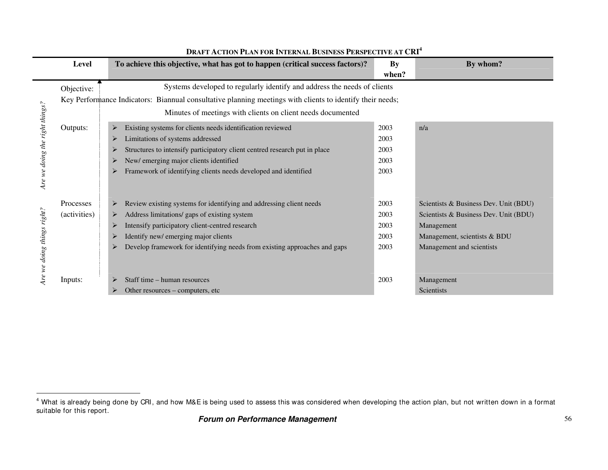|                                | Level        | To achieve this objective, what has got to happen (critical success factors)?                             | By<br>when? | By whom?                              |  |  |  |  |
|--------------------------------|--------------|-----------------------------------------------------------------------------------------------------------|-------------|---------------------------------------|--|--|--|--|
|                                | Objective:   | Systems developed to regularly identify and address the needs of clients                                  |             |                                       |  |  |  |  |
|                                |              | Key Performance Indicators: Biannual consultative planning meetings with clients to identify their needs; |             |                                       |  |  |  |  |
| Are we doing the right things? |              | Minutes of meetings with clients on client needs documented                                               |             |                                       |  |  |  |  |
|                                | Outputs:     | Existing systems for clients needs identification reviewed                                                | 2003        | n/a                                   |  |  |  |  |
|                                |              | Limitations of systems addressed                                                                          | 2003        |                                       |  |  |  |  |
|                                |              | Structures to intensify participatory client centred research put in place                                | 2003        |                                       |  |  |  |  |
|                                |              | New/emerging major clients identified<br>⋗                                                                | 2003        |                                       |  |  |  |  |
|                                |              | Framework of identifying clients needs developed and identified                                           | 2003        |                                       |  |  |  |  |
|                                |              |                                                                                                           |             |                                       |  |  |  |  |
|                                | Processes    | Review existing systems for identifying and addressing client needs                                       | 2003        | Scientists & Business Dev. Unit (BDU) |  |  |  |  |
| Are we doing things right?     | (activities) | Address limitations/ gaps of existing system<br>➤                                                         | 2003        | Scientists & Business Dev. Unit (BDU) |  |  |  |  |
|                                |              | Intensify participatory client-centred research<br>≻                                                      | 2003        | Management                            |  |  |  |  |
|                                |              | Identify new/emerging major clients                                                                       | 2003        | Management, scientists & BDU          |  |  |  |  |
|                                |              | Develop framework for identifying needs from existing approaches and gaps                                 | 2003        | Management and scientists             |  |  |  |  |
|                                |              |                                                                                                           |             |                                       |  |  |  |  |
|                                |              |                                                                                                           |             |                                       |  |  |  |  |
|                                | Inputs:      | Staff time – human resources                                                                              | 2003        | Management                            |  |  |  |  |
|                                |              | Other resources – computers, etc                                                                          |             | <b>Scientists</b>                     |  |  |  |  |

# **DRAFT ACTION PLAN FOR INTERNAL BUSINESS PERSPECTIVE AT CRI<sup>4</sup>**

what is already being done by CRI, and how M&E is being used to assess this was considered when developing the action plan, but not written down in a format " suitable for this report.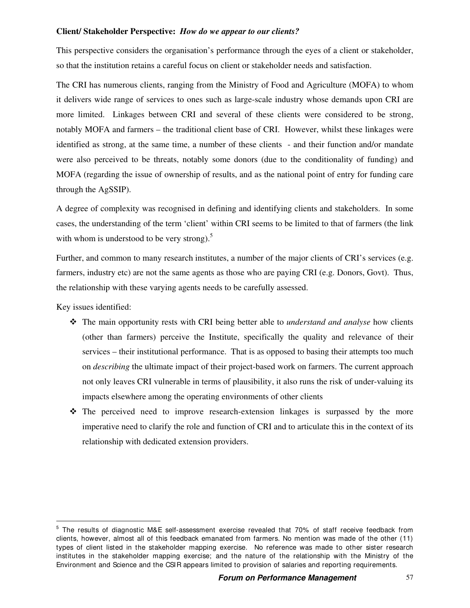#### **Client/ Stakeholder Perspective:** *How do we appear to our clients?*

This perspective considers the organisation's performance through the eyes of a client or stakeholder, so that the institution retains a careful focus on client or stakeholder needs and satisfaction.

The CRI has numerous clients, ranging from the Ministry of Food and Agriculture (MOFA) to whom it delivers wide range of services to ones such as large-scale industry whose demands upon CRI are more limited. Linkages between CRI and several of these clients were considered to be strong, notably MOFA and farmers – the traditional client base of CRI. However, whilst these linkages were identified as strong, at the same time, a number of these clients - and their function and/or mandate were also perceived to be threats, notably some donors (due to the conditionality of funding) and MOFA (regarding the issue of ownership of results, and as the national point of entry for funding care through the AgSSIP).

A degree of complexity was recognised in defining and identifying clients and stakeholders. In some cases, the understanding of the term 'client' within CRI seems to be limited to that of farmers (the link with whom is understood to be very strong). $5$ 

Further, and common to many research institutes, a number of the major clients of CRI's services (e.g. farmers, industry etc) are not the same agents as those who are paying CRI (e.g. Donors, Govt). Thus, the relationship with these varying agents needs to be carefully assessed.

Key issues identified:

 $\overline{a}$ 

- The main opportunity rests with CRI being better able to *understand and analyse* how clients (other than farmers) perceive the Institute, specifically the quality and relevance of their services – their institutional performance. That is as opposed to basing their attempts too much on *describing* the ultimate impact of their project-based work on farmers. The current approach not only leaves CRI vulnerable in terms of plausibility, it also runs the risk of under-valuing its impacts elsewhere among the operating environments of other clients
- $\hat{\mathbf{v}}$  The perceived need to improve research-extension linkages is surpassed by the more imperative need to clarify the role and function of CRI and to articulate this in the context of its relationship with dedicated extension providers.

<sup>&</sup>lt;sup>5</sup> The results of diagnostic M&E self-assessment exercise revealed that 70% of staff receive feedback from clients, however, almost all of this feedback emanated from farmers. No mention was made of the other (11) types of client listed in the stakeholder mapping exercise. No reference was made to other sister research institutes in the stakeholder mapping exercise; and the nature of the relationship with the Ministry of the Environment and Science and the CSIR appears limited to provision of salaries and reporting requirements.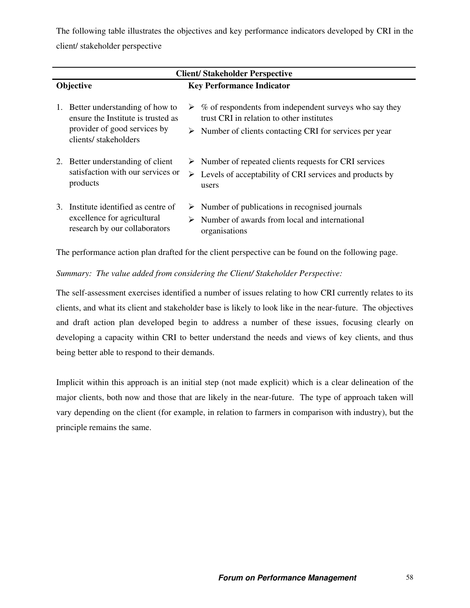The following table illustrates the objectives and key performance indicators developed by CRI in the client/ stakeholder perspective

| <b>Client/Stakeholder Perspective</b> |                                                                                                                              |                                                                                                                                                                                                 |  |  |
|---------------------------------------|------------------------------------------------------------------------------------------------------------------------------|-------------------------------------------------------------------------------------------------------------------------------------------------------------------------------------------------|--|--|
| Objective                             |                                                                                                                              | <b>Key Performance Indicator</b>                                                                                                                                                                |  |  |
| 1.                                    | Better understanding of how to<br>ensure the Institute is trusted as<br>provider of good services by<br>clients/stakeholders | $\triangleright$ % of respondents from independent surveys who say they<br>trust CRI in relation to other institutes<br>$\triangleright$ Number of clients contacting CRI for services per year |  |  |
|                                       | 2. Better understanding of client<br>satisfaction with our services or<br>products                                           | $\triangleright$ Number of repeated clients requests for CRI services<br>$\triangleright$ Levels of acceptability of CRI services and products by<br>users                                      |  |  |
| 3.                                    | Institute identified as centre of<br>excellence for agricultural<br>research by our collaborators                            | Number of publications in recognised journals<br>Number of awards from local and international<br>➤<br>organisations                                                                            |  |  |

The performance action plan drafted for the client perspective can be found on the following page.

## *Summary: The value added from considering the Client/ Stakeholder Perspective:*

The self-assessment exercises identified a number of issues relating to how CRI currently relates to its clients, and what its client and stakeholder base is likely to look like in the near-future. The objectives and draft action plan developed begin to address a number of these issues, focusing clearly on developing a capacity within CRI to better understand the needs and views of key clients, and thus being better able to respond to their demands.

Implicit within this approach is an initial step (not made explicit) which is a clear delineation of the major clients, both now and those that are likely in the near-future. The type of approach taken will vary depending on the client (for example, in relation to farmers in comparison with industry), but the principle remains the same.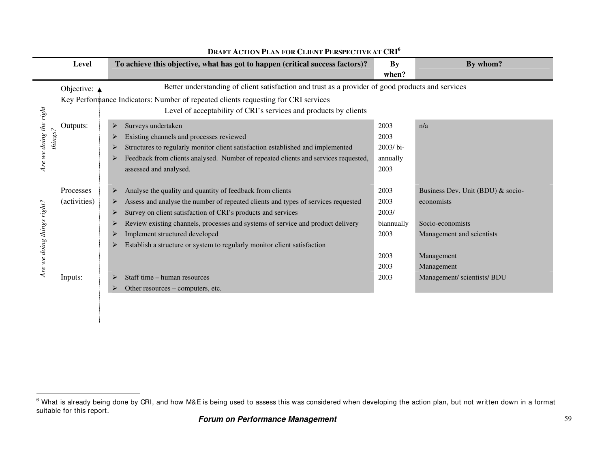|                            | Level                  | To achieve this objective, what has got to happen (critical success factors)?                     | By<br>when? | By whom?                            |  |  |  |  |
|----------------------------|------------------------|---------------------------------------------------------------------------------------------------|-------------|-------------------------------------|--|--|--|--|
|                            | Objective: $\triangle$ | Better understanding of client satisfaction and trust as a provider of good products and services |             |                                     |  |  |  |  |
|                            |                        | Key Performance Indicators: Number of repeated clients requesting for CRI services                |             |                                     |  |  |  |  |
| Are we doing the right     |                        | Level of acceptability of CRI's services and products by clients                                  |             |                                     |  |  |  |  |
|                            | Outputs:               | Surveys undertaken                                                                                | 2003        | n/a                                 |  |  |  |  |
| things?                    |                        | Existing channels and processes reviewed                                                          | 2003        |                                     |  |  |  |  |
|                            |                        | Structures to regularly monitor client satisfaction established and implemented                   | 2003/bi-    |                                     |  |  |  |  |
|                            |                        | Feedback from clients analysed. Number of repeated clients and services requested,                | annually    |                                     |  |  |  |  |
|                            |                        | assessed and analysed.                                                                            | 2003        |                                     |  |  |  |  |
|                            |                        |                                                                                                   |             |                                     |  |  |  |  |
|                            | Processes              | Analyse the quality and quantity of feedback from clients                                         | 2003        | Business Dev. Unit (BDU) $&$ socio- |  |  |  |  |
|                            | (activities)           | Assess and analyse the number of repeated clients and types of services requested<br>➤            | 2003        | economists                          |  |  |  |  |
|                            |                        | Survey on client satisfaction of CRI's products and services<br>➤                                 | 2003/       |                                     |  |  |  |  |
|                            |                        | Review existing channels, processes and systems of service and product delivery                   | biannually  | Socio-economists                    |  |  |  |  |
|                            |                        | Implement structured developed<br>⋗                                                               | 2003        | Management and scientists           |  |  |  |  |
|                            |                        | Establish a structure or system to regularly monitor client satisfaction                          |             |                                     |  |  |  |  |
| Are we doing things right? |                        |                                                                                                   | 2003        | Management                          |  |  |  |  |
|                            |                        |                                                                                                   | 2003        | Management                          |  |  |  |  |
|                            | Inputs:                | Staff time – human resources                                                                      | 2003        | Management/ scientists/ BDU         |  |  |  |  |
|                            |                        | Other resources – computers, etc.                                                                 |             |                                     |  |  |  |  |
|                            |                        |                                                                                                   |             |                                     |  |  |  |  |

# **DRAFT ACTION PLAN FOR CLIENT PERSPECTIVE AT CRI<sup>6</sup>**

what is already being done by CRI, and how M&E is being used to assess this was considered when developing the action plan, but not written down in a format "<br>A What is already being done by CRI, and how M&E is being used suitable for this report.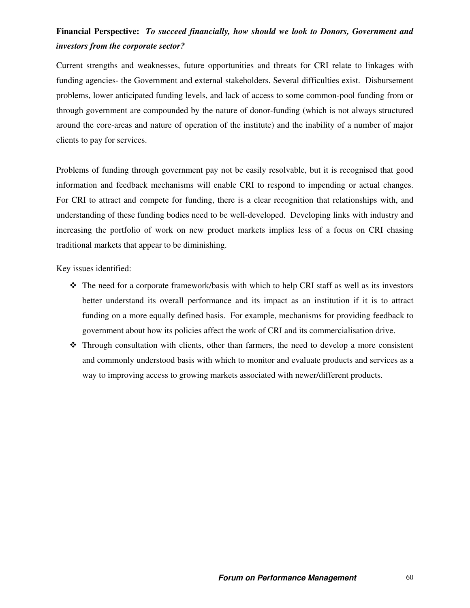# **Financial Perspective:** *To succeed financially, how should we look to Donors, Government and investors from the corporate sector?*

Current strengths and weaknesses, future opportunities and threats for CRI relate to linkages with funding agencies- the Government and external stakeholders. Several difficulties exist. Disbursement problems, lower anticipated funding levels, and lack of access to some common-pool funding from or through government are compounded by the nature of donor-funding (which is not always structured around the core-areas and nature of operation of the institute) and the inability of a number of major clients to pay for services.

Problems of funding through government pay not be easily resolvable, but it is recognised that good information and feedback mechanisms will enable CRI to respond to impending or actual changes. For CRI to attract and compete for funding, there is a clear recognition that relationships with, and understanding of these funding bodies need to be well-developed. Developing links with industry and increasing the portfolio of work on new product markets implies less of a focus on CRI chasing traditional markets that appear to be diminishing.

Key issues identified:

- $\hat{\cdot}$  The need for a corporate framework/basis with which to help CRI staff as well as its investors better understand its overall performance and its impact as an institution if it is to attract funding on a more equally defined basis. For example, mechanisms for providing feedback to government about how its policies affect the work of CRI and its commercialisation drive.
- Through consultation with clients, other than farmers, the need to develop a more consistent and commonly understood basis with which to monitor and evaluate products and services as a way to improving access to growing markets associated with newer/different products.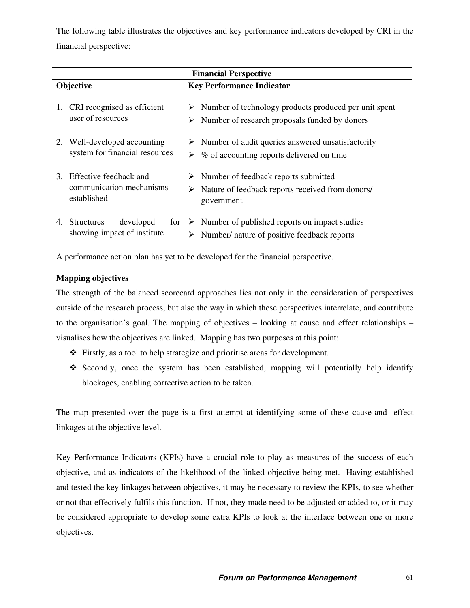The following table illustrates the objectives and key performance indicators developed by CRI in the financial perspective:

| <b>Financial Perspective</b> |                                                                   |                                                                                                                        |  |  |
|------------------------------|-------------------------------------------------------------------|------------------------------------------------------------------------------------------------------------------------|--|--|
| Objective                    |                                                                   | <b>Key Performance Indicator</b>                                                                                       |  |  |
| 1.                           | CRI recognised as efficient<br>user of resources                  | Number of technology products produced per unit spent<br>➤<br>Number of research proposals funded by donors<br>⋗       |  |  |
|                              | 2. Well-developed accounting<br>system for financial resources    | Number of audit queries answered unsatisfactorily<br>➤<br>% of accounting reports delivered on time<br>➤               |  |  |
| 3.                           | Effective feedback and<br>communication mechanisms<br>established | Number of feedback reports submitted<br>➤<br>Nature of feedback reports received from donors/<br>➤<br>government       |  |  |
| 4.                           | <b>Structures</b><br>developed<br>showing impact of institute     | for $\triangleright$ Number of published reports on impact studies<br>Number/ nature of positive feedback reports<br>➤ |  |  |

A performance action plan has yet to be developed for the financial perspective.

# **Mapping objectives**

The strength of the balanced scorecard approaches lies not only in the consideration of perspectives outside of the research process, but also the way in which these perspectives interrelate, and contribute to the organisation's goal. The mapping of objectives – looking at cause and effect relationships – visualises how the objectives are linked. Mapping has two purposes at this point:

- Firstly, as a tool to help strategize and prioritise areas for development.
- $\div$  Secondly, once the system has been established, mapping will potentially help identify blockages, enabling corrective action to be taken.

The map presented over the page is a first attempt at identifying some of these cause-and- effect linkages at the objective level.

Key Performance Indicators (KPIs) have a crucial role to play as measures of the success of each objective, and as indicators of the likelihood of the linked objective being met. Having established and tested the key linkages between objectives, it may be necessary to review the KPIs, to see whether or not that effectively fulfils this function. If not, they made need to be adjusted or added to, or it may be considered appropriate to develop some extra KPIs to look at the interface between one or more objectives.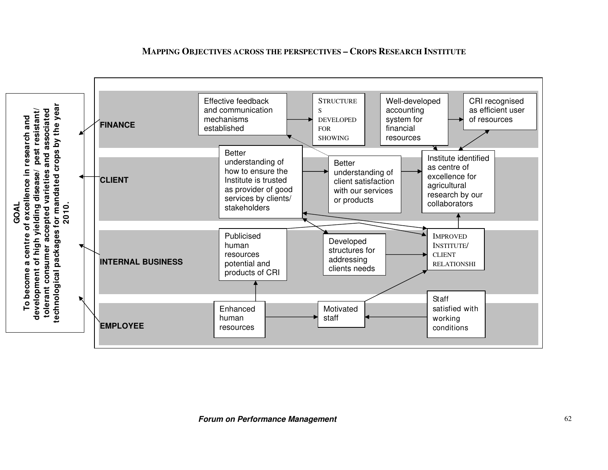# **MAPPING OBJECTIVES ACROSS THE PERSPECTIVES – CROPS RESEARCH INSTITUTE**

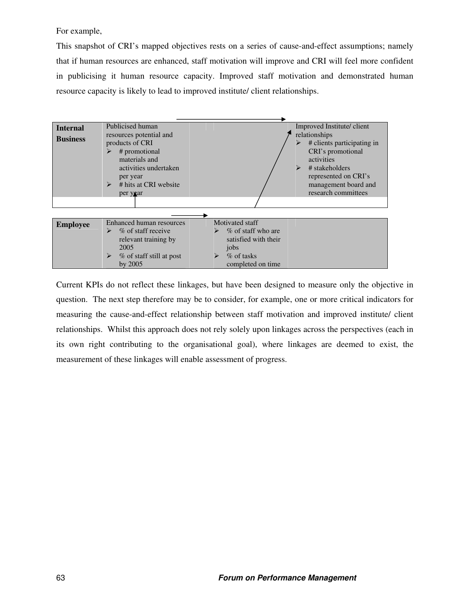For example,

This snapshot of CRI's mapped objectives rests on a series of cause-and-effect assumptions; namely that if human resources are enhanced, staff motivation will improve and CRI will feel more confident in publicising it human resource capacity. Improved staff motivation and demonstrated human resource capacity is likely to lead to improved institute/ client relationships.



Current KPIs do not reflect these linkages, but have been designed to measure only the objective in question. The next step therefore may be to consider, for example, one or more critical indicators for measuring the cause-and-effect relationship between staff motivation and improved institute/ client relationships. Whilst this approach does not rely solely upon linkages across the perspectives (each in its own right contributing to the organisational goal), where linkages are deemed to exist, the measurement of these linkages will enable assessment of progress.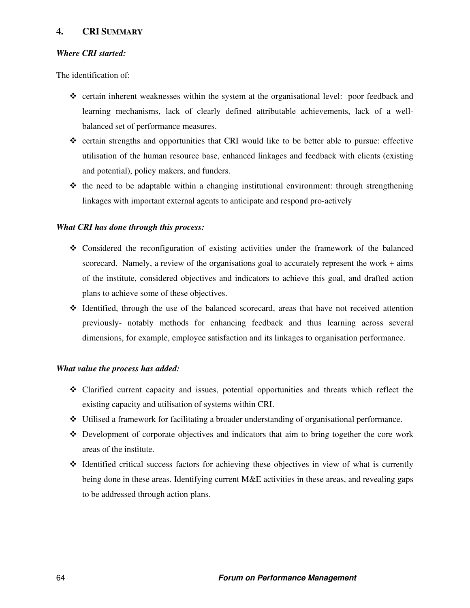# **4. CRI SUMMARY**

#### *Where CRI started:*

The identification of:

- $\div$  certain inherent weaknesses within the system at the organisational level: poor feedback and learning mechanisms, lack of clearly defined attributable achievements, lack of a wellbalanced set of performance measures.
- $\div$  certain strengths and opportunities that CRI would like to be better able to pursue: effective utilisation of the human resource base, enhanced linkages and feedback with clients (existing and potential), policy makers, and funders.
- $\cdot \cdot$  the need to be adaptable within a changing institutional environment: through strengthening linkages with important external agents to anticipate and respond pro-actively

#### *What CRI has done through this process:*

- Considered the reconfiguration of existing activities under the framework of the balanced scorecard. Namely, a review of the organisations goal to accurately represent the work + aims of the institute, considered objectives and indicators to achieve this goal, and drafted action plans to achieve some of these objectives.
- $\div$  Identified, through the use of the balanced scorecard, areas that have not received attention previously- notably methods for enhancing feedback and thus learning across several dimensions, for example, employee satisfaction and its linkages to organisation performance.

#### *What value the process has added:*

- Clarified current capacity and issues, potential opportunities and threats which reflect the existing capacity and utilisation of systems within CRI.
- $\bullet\bullet$  Utilised a framework for facilitating a broader understanding of organisational performance.
- Development of corporate objectives and indicators that aim to bring together the core work areas of the institute.
- $\triangle$  Identified critical success factors for achieving these objectives in view of what is currently being done in these areas. Identifying current M&E activities in these areas, and revealing gaps to be addressed through action plans.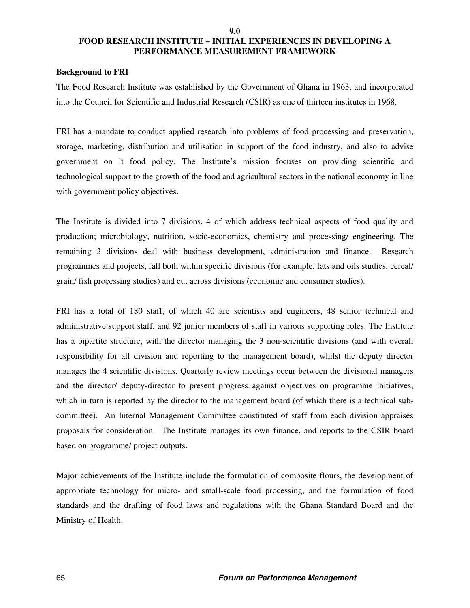# **9.0 FOOD RESEARCH INSTITUTE – INITIAL EXPERIENCES IN DEVELOPING A PERFORMANCE MEASUREMENT FRAMEWORK**

#### **Background to FRI**

The Food Research Institute was established by the Government of Ghana in 1963, and incorporated into the Council for Scientific and Industrial Research (CSIR) as one of thirteen institutes in 1968.

FRI has a mandate to conduct applied research into problems of food processing and preservation, storage, marketing, distribution and utilisation in support of the food industry, and also to advise government on it food policy. The Institute's mission focuses on providing scientific and technological support to the growth of the food and agricultural sectors in the national economy in line with government policy objectives.

The Institute is divided into 7 divisions, 4 of which address technical aspects of food quality and production; microbiology, nutrition, socio-economics, chemistry and processing/ engineering. The remaining 3 divisions deal with business development, administration and finance. Research programmes and projects, fall both within specific divisions (for example, fats and oils studies, cereal/ grain/ fish processing studies) and cut across divisions (economic and consumer studies).

FRI has a total of 180 staff, of which 40 are scientists and engineers, 48 senior technical and administrative support staff, and 92 junior members of staff in various supporting roles. The Institute has a bipartite structure, with the director managing the 3 non-scientific divisions (and with overall responsibility for all division and reporting to the management board), whilst the deputy director manages the 4 scientific divisions. Quarterly review meetings occur between the divisional managers and the director/ deputy-director to present progress against objectives on programme initiatives, which in turn is reported by the director to the management board (of which there is a technical subcommittee). An Internal Management Committee constituted of staff from each division appraises proposals for consideration. The Institute manages its own finance, and reports to the CSIR board based on programme/ project outputs.

Major achievements of the Institute include the formulation of composite flours, the development of appropriate technology for micro- and small-scale food processing, and the formulation of food standards and the drafting of food laws and regulations with the Ghana Standard Board and the Ministry of Health.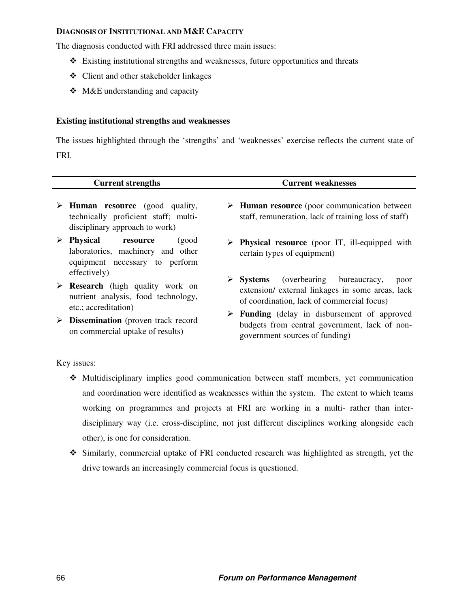#### **DIAGNOSIS OF INSTITUTIONAL AND M&E CAPACITY**

The diagnosis conducted with FRI addressed three main issues:

- Existing institutional strengths and weaknesses, future opportunities and threats
- Client and other stakeholder linkages
- M&E understanding and capacity

#### **Existing institutional strengths and weaknesses**

The issues highlighted through the 'strengths' and 'weaknesses' exercise reflects the current state of FRI.

| <b>Current strengths</b> |                                                                                                                                                                              | <b>Current weaknesses</b> |                                                                                                                                                                                                                   |
|--------------------------|------------------------------------------------------------------------------------------------------------------------------------------------------------------------------|---------------------------|-------------------------------------------------------------------------------------------------------------------------------------------------------------------------------------------------------------------|
|                          | $\triangleright$ <b>Human resource</b> (good quality,<br>technically proficient staff; multi-<br>disciplinary approach to work)                                              |                           | $\triangleright$ <b>Human resource</b> (poor communication between<br>staff, remuneration, lack of training loss of staff)                                                                                        |
|                          | $\triangleright$ Physical<br>resource<br>(good)<br>laboratories, machinery and other<br>equipment necessary to perform<br>effectively)                                       |                           | $\triangleright$ Physical resource (poor IT, ill-equipped with<br>certain types of equipment)                                                                                                                     |
|                          | $\triangleright$ <b>Research</b> (high quality work on<br>nutrient analysis, food technology,<br>etc.; accreditation)<br>$\triangleright$ Dissemination (proven track record | ➤                         | <b>Systems</b> (overbearing bureaucracy,<br>poor<br>extension/ external linkages in some areas, lack<br>of coordination, lack of commercial focus)<br>$\triangleright$ Funding (delay in disbursement of approved |
|                          | on commercial uptake of results)                                                                                                                                             |                           | budgets from central government, lack of non-<br>government sources of funding)                                                                                                                                   |

Key issues:

- Multidisciplinary implies good communication between staff members, yet communication and coordination were identified as weaknesses within the system. The extent to which teams working on programmes and projects at FRI are working in a multi- rather than interdisciplinary way (i.e. cross-discipline, not just different disciplines working alongside each other), is one for consideration.
- Similarly, commercial uptake of FRI conducted research was highlighted as strength, yet the drive towards an increasingly commercial focus is questioned.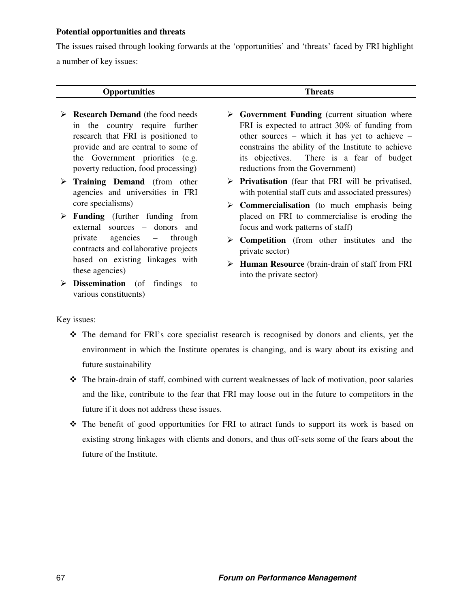#### **Potential opportunities and threats**

The issues raised through looking forwards at the 'opportunities' and 'threats' faced by FRI highlight a number of key issues:

| <b>Opportunities</b> | $\mathbf{L}$<br>cais |
|----------------------|----------------------|
|                      |                      |

- **Research Demand** (the food needs in the country require further research that FRI is positioned to provide and are central to some of the Government priorities (e.g. poverty reduction, food processing)
- **Training Demand** (from other agencies and universities in FRI core specialisms)
- **Funding** (further funding from external sources – donors and private agencies – through contracts and collaborative projects based on existing linkages with these agencies)
- **Dissemination** (of findings to various constituents)
- **Government Funding** (current situation where FRI is expected to attract 30% of funding from other sources – which it has yet to achieve – constrains the ability of the Institute to achieve its objectives. There is a fear of budget reductions from the Government)
- **Privatisation** (fear that FRI will be privatised, with potential staff cuts and associated pressures)
- **Commercialisation** (to much emphasis being placed on FRI to commercialise is eroding the focus and work patterns of staff)
- **Competition** (from other institutes and the private sector)
- **Human Resource** (brain-drain of staff from FRI into the private sector)

Key issues:

- $\hat{\mathbf{v}}$  The demand for FRI's core specialist research is recognised by donors and clients, yet the environment in which the Institute operates is changing, and is wary about its existing and future sustainability
- The brain-drain of staff, combined with current weaknesses of lack of motivation, poor salaries and the like, contribute to the fear that FRI may loose out in the future to competitors in the future if it does not address these issues.
- The benefit of good opportunities for FRI to attract funds to support its work is based on existing strong linkages with clients and donors, and thus off-sets some of the fears about the future of the Institute.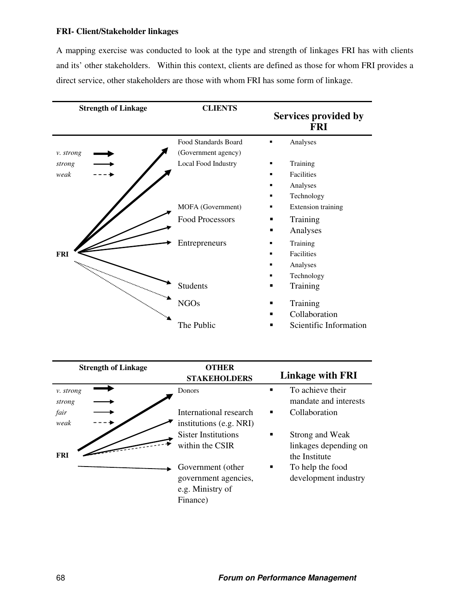# **FRI- Client/Stakeholder linkages**

A mapping exercise was conducted to look at the type and strength of linkages FRI has with clients and its' other stakeholders. Within this context, clients are defined as those for whom FRI provides a direct service, other stakeholders are those with whom FRI has some form of linkage.

| <b>Strength of Linkage</b>                                                                       | <b>CLIENTS</b>                                     | <b>Services provided by</b><br><b>FRI</b>                     |
|--------------------------------------------------------------------------------------------------|----------------------------------------------------|---------------------------------------------------------------|
| v. strong                                                                                        | <b>Food Standards Board</b><br>(Government agency) | Analyses                                                      |
| strong<br>weak                                                                                   | <b>Local Food Industry</b>                         | Training<br>Facilities<br>п<br>Analyses                       |
|                                                                                                  | MOFA (Government)<br>Food Processors               | Technology<br><b>Extension training</b><br>٠<br>Training<br>■ |
| <b>FRI</b>                                                                                       | Entrepreneurs                                      | Analyses<br>▪<br>Training<br>Facilities<br>п<br>Analyses<br>п |
| an an Santana.<br>Tanàna amin'ny faritr'i Nord-Amerika.<br>Tanàna amin'ny faritr'i Nord-Amerika. | <b>Students</b>                                    | Technology<br>п<br>Training<br>▪                              |
| ina manangang                                                                                    | <b>NGOs</b>                                        | Training<br>Collaboration                                     |
|                                                                                                  | The Public                                         | Scientific Information                                        |

| <b>Strength of Linkage</b> | OTHER<br><b>STAKEHOLDERS</b>                                              | <b>Linkage with FRI</b>                                                     |
|----------------------------|---------------------------------------------------------------------------|-----------------------------------------------------------------------------|
| v. strong<br>strong        | Donors                                                                    | To achieve their<br>п<br>mandate and interests                              |
| fair<br>weak               | International research<br>institutions (e.g. NRI)                         | Collaboration<br>$\blacksquare$                                             |
| <b>FRI</b>                 | <b>Sister Institutions</b><br>within the CSIR                             | Strong and Weak<br>$\blacksquare$<br>linkages depending on<br>the Institute |
|                            | Government (other<br>government agencies,<br>e.g. Ministry of<br>Finance) | To help the food<br>development industry                                    |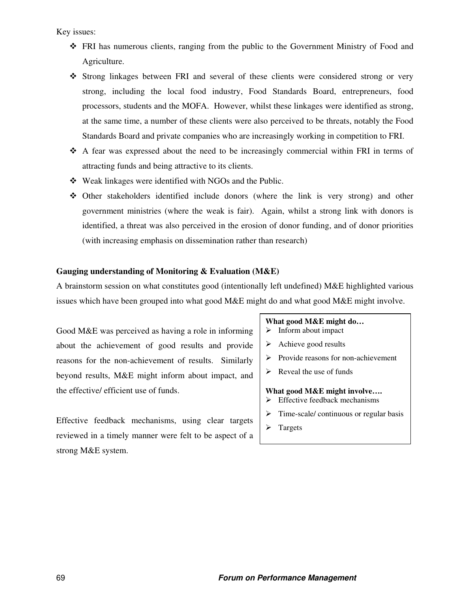Key issues:

- FRI has numerous clients, ranging from the public to the Government Ministry of Food and Agriculture.
- Strong linkages between FRI and several of these clients were considered strong or very strong, including the local food industry, Food Standards Board, entrepreneurs, food processors, students and the MOFA. However, whilst these linkages were identified as strong, at the same time, a number of these clients were also perceived to be threats, notably the Food Standards Board and private companies who are increasingly working in competition to FRI.
- $\triangle$  A fear was expressed about the need to be increasingly commercial within FRI in terms of attracting funds and being attractive to its clients.
- Weak linkages were identified with NGOs and the Public.
- Other stakeholders identified include donors (where the link is very strong) and other government ministries (where the weak is fair). Again, whilst a strong link with donors is identified, a threat was also perceived in the erosion of donor funding, and of donor priorities (with increasing emphasis on dissemination rather than research)

#### **Gauging understanding of Monitoring & Evaluation (M&E)**

A brainstorm session on what constitutes good (intentionally left undefined) M&E highlighted various issues which have been grouped into what good M&E might do and what good M&E might involve.

Good M&E was perceived as having a role in informing about the achievement of good results and provide reasons for the non-achievement of results. Similarly beyond results, M&E might inform about impact, and the effective/ efficient use of funds.

Effective feedback mechanisms, using clear targets reviewed in a timely manner were felt to be aspect of a strong M&E system.

#### **What good M&E might do…**

- $\triangleright$  Inform about impact
- $\triangleright$  Achieve good results
- $\triangleright$  Provide reasons for non-achievement
- $\triangleright$  Reveal the use of funds

#### **What good M&E might involve….**

- $\triangleright$  Effective feedback mechanisms
- $\triangleright$  Time-scale/ continuous or regular basis
- $\triangleright$  Targets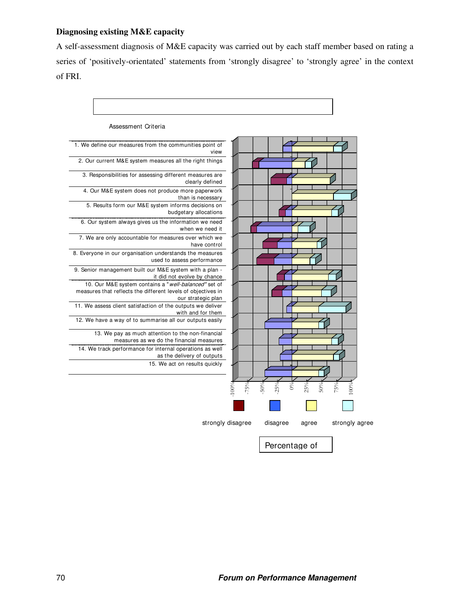#### **Diagnosing existing M&E capacity**

A self-assessment diagnosis of M&E capacity was carried out by each staff member based on rating a series of 'positively-orientated' statements from 'strongly disagree' to 'strongly agree' in the context of FRI.

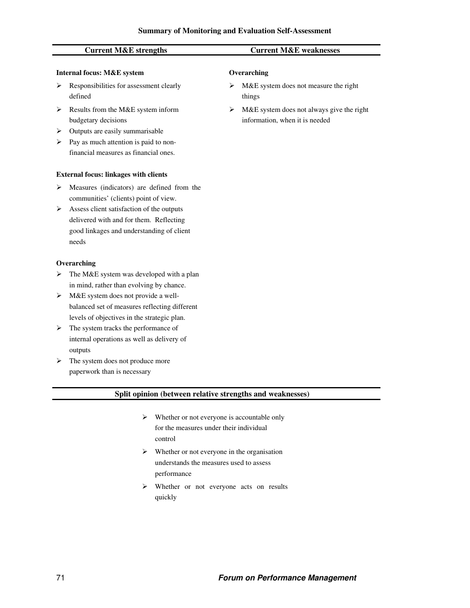| <b>Current M&amp;E strengths</b>                                                          | <b>Current M&amp;E weaknesses</b>                                                |
|-------------------------------------------------------------------------------------------|----------------------------------------------------------------------------------|
| <b>Internal focus: M&amp;E system</b>                                                     | Overarching                                                                      |
| Responsibilities for assessment clearly<br>➤<br>defined                                   | M&E system does not measure the right<br>⋗<br>things                             |
| Results from the M&E system inform<br>≻<br>budgetary decisions                            | M&E system does not always give the right<br>➤<br>information, when it is needed |
| Outputs are easily summarisable<br>≻                                                      |                                                                                  |
| Pay as much attention is paid to non-<br>⋗<br>financial measures as financial ones.       |                                                                                  |
| <b>External focus: linkages with clients</b>                                              |                                                                                  |
| Measures (indicators) are defined from the<br>≻<br>communities' (clients) point of view.  |                                                                                  |
| Assess client satisfaction of the outputs<br>➤<br>delivered with and for them. Reflecting |                                                                                  |
| good linkages and understanding of client                                                 |                                                                                  |
| needs                                                                                     |                                                                                  |
| Overarching                                                                               |                                                                                  |
| The M&E system was developed with a plan<br>≻                                             |                                                                                  |
| in mind, rather than evolving by chance.                                                  |                                                                                  |
| M&E system does not provide a well-<br>≻                                                  |                                                                                  |
| balanced set of measures reflecting different                                             |                                                                                  |
| levels of objectives in the strategic plan.                                               |                                                                                  |

- $\triangleright$  The system tracks the performance of internal operations as well as delivery of outputs
- $\triangleright$  The system does not produce more paperwork than is necessary

### **Split opinion (between relative strengths and weaknesses)**

- $\triangleright$  Whether or not everyone is accountable only for the measures under their individual control
- $\triangleright$  Whether or not everyone in the organisation understands the measures used to assess performance
- Whether or not everyone acts on results quickly

Ĭ.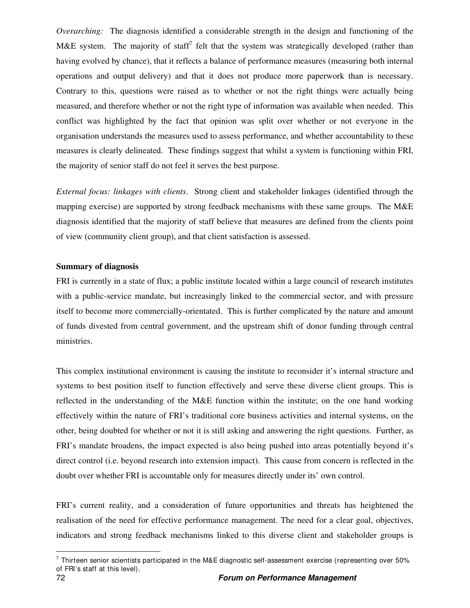*Overarching:* The diagnosis identified a considerable strength in the design and functioning of the M&E system. The majority of staff<sup>7</sup> felt that the system was strategically developed (rather than having evolved by chance), that it reflects a balance of performance measures (measuring both internal operations and output delivery) and that it does not produce more paperwork than is necessary. Contrary to this, questions were raised as to whether or not the right things were actually being measured, and therefore whether or not the right type of information was available when needed. This conflict was highlighted by the fact that opinion was split over whether or not everyone in the organisation understands the measures used to assess performance, and whether accountability to these measures is clearly delineated. These findings suggest that whilst a system is functioning within FRI, the majority of senior staff do not feel it serves the best purpose.

*External focus: linkages with clients*. Strong client and stakeholder linkages (identified through the mapping exercise) are supported by strong feedback mechanisms with these same groups. The M&E diagnosis identified that the majority of staff believe that measures are defined from the clients point of view (community client group), and that client satisfaction is assessed.

### **Summary of diagnosis**

FRI is currently in a state of flux; a public institute located within a large council of research institutes with a public-service mandate, but increasingly linked to the commercial sector, and with pressure itself to become more commercially-orientated. This is further complicated by the nature and amount of funds divested from central government, and the upstream shift of donor funding through central ministries.

This complex institutional environment is causing the institute to reconsider it's internal structure and systems to best position itself to function effectively and serve these diverse client groups. This is reflected in the understanding of the M&E function within the institute; on the one hand working effectively within the nature of FRI's traditional core business activities and internal systems, on the other, being doubted for whether or not it is still asking and answering the right questions. Further, as FRI's mandate broadens, the impact expected is also being pushed into areas potentially beyond it's direct control (i.e. beyond research into extension impact). This cause from concern is reflected in the doubt over whether FRI is accountable only for measures directly under its' own control.

FRI's current reality, and a consideration of future opportunities and threats has heightened the realisation of the need for effective performance management. The need for a clear goal, objectives, indicators and strong feedback mechanisms linked to this diverse client and stakeholder groups is

 $\overline{a}$ 

 $^7$  Thirteen senior scientists participated in the M&E diagnostic self-assessment exercise (representing over 50% of FRI's staff at this level).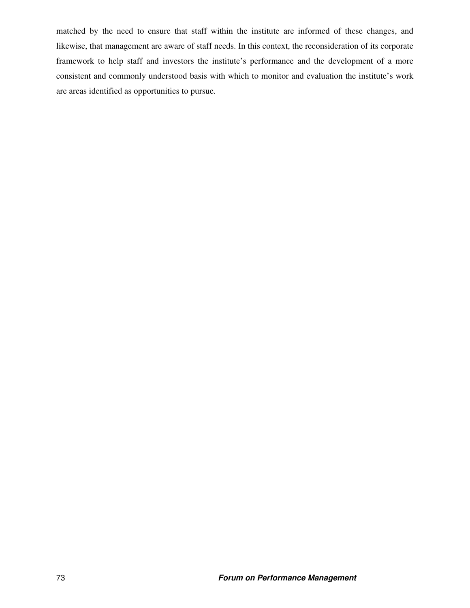matched by the need to ensure that staff within the institute are informed of these changes, and likewise, that management are aware of staff needs. In this context, the reconsideration of its corporate framework to help staff and investors the institute's performance and the development of a more consistent and commonly understood basis with which to monitor and evaluation the institute's work are areas identified as opportunities to pursue.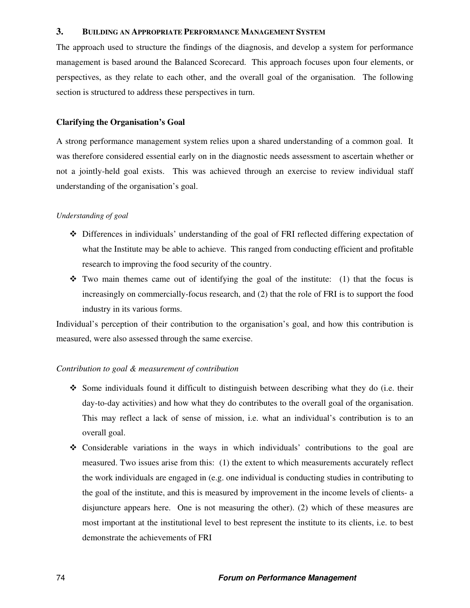#### **3. BUILDING AN APPROPRIATE PERFORMANCE MANAGEMENT SYSTEM**

The approach used to structure the findings of the diagnosis, and develop a system for performance management is based around the Balanced Scorecard. This approach focuses upon four elements, or perspectives, as they relate to each other, and the overall goal of the organisation. The following section is structured to address these perspectives in turn.

### **Clarifying the Organisation's Goal**

A strong performance management system relies upon a shared understanding of a common goal. It was therefore considered essential early on in the diagnostic needs assessment to ascertain whether or not a jointly-held goal exists. This was achieved through an exercise to review individual staff understanding of the organisation's goal.

### *Understanding of goal*

- Differences in individuals' understanding of the goal of FRI reflected differing expectation of what the Institute may be able to achieve. This ranged from conducting efficient and profitable research to improving the food security of the country.
- $\hat{\cdot}$  Two main themes came out of identifying the goal of the institute: (1) that the focus is increasingly on commercially-focus research, and (2) that the role of FRI is to support the food industry in its various forms.

Individual's perception of their contribution to the organisation's goal, and how this contribution is measured, were also assessed through the same exercise.

#### *Contribution to goal & measurement of contribution*

- Some individuals found it difficult to distinguish between describing what they do (i.e. their day-to-day activities) and how what they do contributes to the overall goal of the organisation. This may reflect a lack of sense of mission, i.e. what an individual's contribution is to an overall goal.
- $\bullet$  Considerable variations in the ways in which individuals' contributions to the goal are measured. Two issues arise from this: (1) the extent to which measurements accurately reflect the work individuals are engaged in (e.g. one individual is conducting studies in contributing to the goal of the institute, and this is measured by improvement in the income levels of clients- a disjuncture appears here. One is not measuring the other). (2) which of these measures are most important at the institutional level to best represent the institute to its clients, i.e. to best demonstrate the achievements of FRI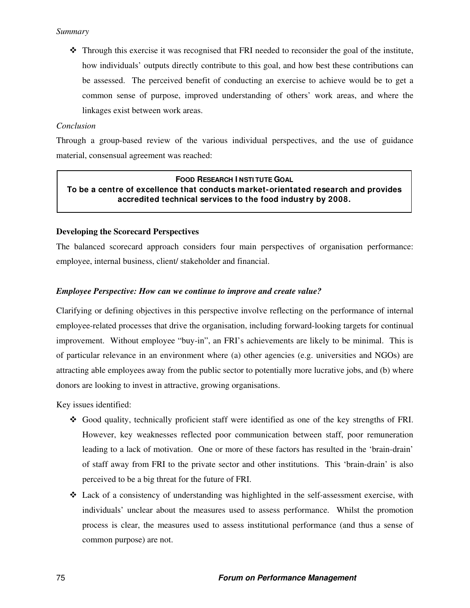*Summary* 

 Through this exercise it was recognised that FRI needed to reconsider the goal of the institute, how individuals' outputs directly contribute to this goal, and how best these contributions can be assessed. The perceived benefit of conducting an exercise to achieve would be to get a common sense of purpose, improved understanding of others' work areas, and where the linkages exist between work areas.

### *Conclusion*

Through a group-based review of the various individual perspectives, and the use of guidance material, consensual agreement was reached:

# **FOOD RESEARCH I NSTI TUTE GOAL**

**To be a centre of excellence that conducts market-orientated research and provides accredited technical services to the food industry by 2008.**

### **Developing the Scorecard Perspectives**

The balanced scorecard approach considers four main perspectives of organisation performance: employee, internal business, client/ stakeholder and financial.

### *Employee Perspective: How can we continue to improve and create value?*

Clarifying or defining objectives in this perspective involve reflecting on the performance of internal employee-related processes that drive the organisation, including forward-looking targets for continual improvement. Without employee "buy-in", an FRI's achievements are likely to be minimal. This is of particular relevance in an environment where (a) other agencies (e.g. universities and NGOs) are attracting able employees away from the public sector to potentially more lucrative jobs, and (b) where donors are looking to invest in attractive, growing organisations.

Key issues identified:

- Good quality, technically proficient staff were identified as one of the key strengths of FRI. However, key weaknesses reflected poor communication between staff, poor remuneration leading to a lack of motivation. One or more of these factors has resulted in the 'brain-drain' of staff away from FRI to the private sector and other institutions. This 'brain-drain' is also perceived to be a big threat for the future of FRI.
- Lack of a consistency of understanding was highlighted in the self-assessment exercise, with individuals' unclear about the measures used to assess performance. Whilst the promotion process is clear, the measures used to assess institutional performance (and thus a sense of common purpose) are not.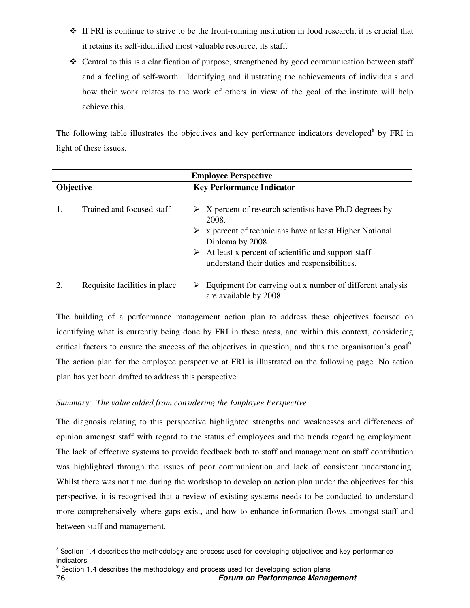- $\div$  If FRI is continue to strive to be the front-running institution in food research, it is crucial that it retains its self-identified most valuable resource, its staff.
- $\triangle$  Central to this is a clarification of purpose, strengthened by good communication between staff and a feeling of self-worth. Identifying and illustrating the achievements of individuals and how their work relates to the work of others in view of the goal of the institute will help achieve this.

The following table illustrates the objectives and key performance indicators developed<sup>8</sup> by FRI in light of these issues.

| <b>Employee Perspective</b> |                               |                                                                                                                                                                                                                                                                                                        |  |  |
|-----------------------------|-------------------------------|--------------------------------------------------------------------------------------------------------------------------------------------------------------------------------------------------------------------------------------------------------------------------------------------------------|--|--|
| Objective                   |                               | <b>Key Performance Indicator</b>                                                                                                                                                                                                                                                                       |  |  |
| 1.                          | Trained and focused staff     | $\triangleright$ X percent of research scientists have Ph.D degrees by<br>2008.<br>$\triangleright$ x percent of technicians have at least Higher National<br>Diploma by 2008.<br>$\triangleright$ At least x percent of scientific and support staff<br>understand their duties and responsibilities. |  |  |
| 2.                          | Requisite facilities in place | Equipment for carrying out x number of different analysis<br>➤<br>are available by 2008.                                                                                                                                                                                                               |  |  |

The building of a performance management action plan to address these objectives focused on identifying what is currently being done by FRI in these areas, and within this context, considering critical factors to ensure the success of the objectives in question, and thus the organisation's goal<sup>9</sup>. The action plan for the employee perspective at FRI is illustrated on the following page. No action plan has yet been drafted to address this perspective.

# *Summary: The value added from considering the Employee Perspective*

The diagnosis relating to this perspective highlighted strengths and weaknesses and differences of opinion amongst staff with regard to the status of employees and the trends regarding employment. The lack of effective systems to provide feedback both to staff and management on staff contribution was highlighted through the issues of poor communication and lack of consistent understanding. Whilst there was not time during the workshop to develop an action plan under the objectives for this perspective, it is recognised that a review of existing systems needs to be conducted to understand more comprehensively where gaps exist, and how to enhance information flows amongst staff and between staff and management.

76 **Forum on Performance Management**  $9$  Section 1.4 describes the methodology and process used for developing action plans

 $\overline{a}$  $8$  Section 1.4 describes the methodology and process used for developing objectives and key performance indicators.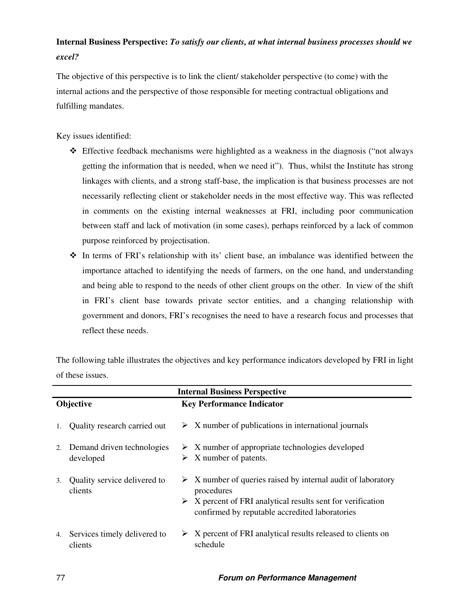# **Internal Business Perspective:** *To satisfy our clients, at what internal business processes should we excel?*

The objective of this perspective is to link the client/ stakeholder perspective (to come) with the internal actions and the perspective of those responsible for meeting contractual obligations and fulfilling mandates.

Key issues identified:

- Effective feedback mechanisms were highlighted as a weakness in the diagnosis ("not always getting the information that is needed, when we need it"). Thus, whilst the Institute has strong linkages with clients, and a strong staff-base, the implication is that business processes are not necessarily reflecting client or stakeholder needs in the most effective way. This was reflected in comments on the existing internal weaknesses at FRI, including poor communication between staff and lack of motivation (in some cases), perhaps reinforced by a lack of common purpose reinforced by projectisation.
- $\hat{\mathbf{v}}$  In terms of FRI's relationship with its' client base, an imbalance was identified between the importance attached to identifying the needs of farmers, on the one hand, and understanding and being able to respond to the needs of other client groups on the other. In view of the shift in FRI's client base towards private sector entities, and a changing relationship with government and donors, FRI's recognises the need to have a research focus and processes that reflect these needs.

The following table illustrates the objectives and key performance indicators developed by FRI in light of these issues.

|    | <b>Internal Business Perspective</b>       |                                  |                                                                                                                                                                                                                           |  |  |
|----|--------------------------------------------|----------------------------------|---------------------------------------------------------------------------------------------------------------------------------------------------------------------------------------------------------------------------|--|--|
|    | Objective                                  | <b>Key Performance Indicator</b> |                                                                                                                                                                                                                           |  |  |
|    | Quality research carried out               |                                  | $\triangleright$ X number of publications in international journals                                                                                                                                                       |  |  |
|    | 2. Demand driven technologies<br>developed |                                  | $\triangleright$ X number of appropriate technologies developed<br>$\triangleright$ X number of patents.                                                                                                                  |  |  |
| 3. | Quality service delivered to<br>clients    |                                  | $\triangleright$ X number of queries raised by internal audit of laboratory<br>procedures<br>$\triangleright$ X percent of FRI analytical results sent for verification<br>confirmed by reputable accredited laboratories |  |  |
| 4. | Services timely delivered to<br>clients    |                                  | $\triangleright$ X percent of FRI analytical results released to clients on<br>schedule                                                                                                                                   |  |  |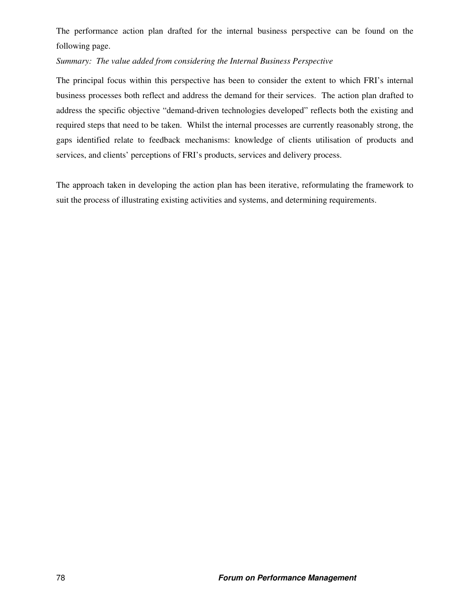The performance action plan drafted for the internal business perspective can be found on the following page.

# *Summary: The value added from considering the Internal Business Perspective*

The principal focus within this perspective has been to consider the extent to which FRI's internal business processes both reflect and address the demand for their services. The action plan drafted to address the specific objective "demand-driven technologies developed" reflects both the existing and required steps that need to be taken. Whilst the internal processes are currently reasonably strong, the gaps identified relate to feedback mechanisms: knowledge of clients utilisation of products and services, and clients' perceptions of FRI's products, services and delivery process.

The approach taken in developing the action plan has been iterative, reformulating the framework to suit the process of illustrating existing activities and systems, and determining requirements.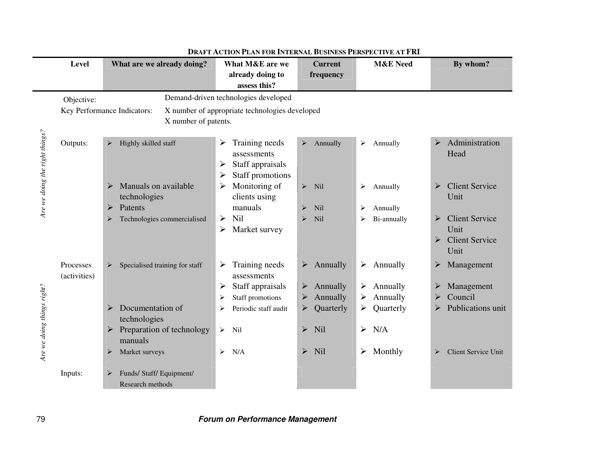|                                | Level                     | What are we already doing?                                | What M&E are we<br>already doing to<br>assess this?                                                      | <b>Current</b><br>frequency                          | <b>M&amp;E</b> Need            | By whom?                                                                                                         |
|--------------------------------|---------------------------|-----------------------------------------------------------|----------------------------------------------------------------------------------------------------------|------------------------------------------------------|--------------------------------|------------------------------------------------------------------------------------------------------------------|
|                                | Objective:                |                                                           | Demand-driven technologies developed                                                                     |                                                      |                                |                                                                                                                  |
|                                |                           | Key Performance Indicators:<br>X number of patents.       | X number of appropriate technologies developed                                                           |                                                      |                                |                                                                                                                  |
| Are we doing the right things? | Outputs:                  | Highly skilled staff<br>$\blacktriangleright$             | Training needs<br>➤<br>assessments<br>Staff appraisals<br>$\blacktriangleright$<br>Staff promotions<br>≻ | Annually<br>➤                                        | Annually<br>➤                  | Administration<br>➤<br>Head                                                                                      |
|                                |                           | Manuals on available<br>➤<br>technologies<br>Patents<br>➤ | Monitoring of<br>➤<br>clients using<br>manuals                                                           | $\triangleright$ Nil<br>Nil<br>$\blacktriangleright$ | ≻<br>Annually<br>⋗<br>Annually | $\blacktriangleright$<br><b>Client Service</b><br>Unit                                                           |
|                                |                           | Technologies commercialised<br>➤                          | Nil<br>$\blacktriangleright$<br>➤<br>Market survey                                                       | $\triangleright$<br>Nil                              | Bi-annually<br>⋗               | $\blacktriangleright$<br><b>Client Service</b><br>Unit<br><b>Client Service</b><br>$\blacktriangleright$<br>Unit |
|                                | Processes<br>(activities) | Specialised training for staff<br>➤                       | Training needs<br>➤<br>assessments                                                                       | $\triangleright$ Annually                            | $\triangleright$ Annually      | Management<br>➤                                                                                                  |
|                                |                           |                                                           | Staff appraisals<br>$\blacktriangleright$<br>Staff promotions<br>≻                                       | Annually<br>$\blacktriangleright$<br>Annually<br>➤   | ➤<br>Annually<br>Annually<br>➤ | ➤<br>Management<br>⋗<br>Council                                                                                  |
| Are we doing things right?     |                           | Documentation of<br>➤<br>technologies                     | Periodic staff audit<br>≻                                                                                | Quarterly<br>$\blacktriangleright$                   | Quarterly<br>➤                 | Publications unit                                                                                                |
|                                |                           | Preparation of technology<br>➤<br>manuals                 | $\blacktriangleright$<br>Nil                                                                             | $\triangleright$ Nil                                 | $\blacktriangleright$<br>N/A   |                                                                                                                  |
|                                |                           | Market surveys<br>➤                                       | $\blacktriangleright$<br>N/A                                                                             | Nil<br>$\triangleright$                              | ➤<br>Monthly                   | $\blacktriangleright$<br><b>Client Service Unit</b>                                                              |
|                                | Inputs:                   | Funds/ Staff/ Equipment/<br>➤<br>Research methods         |                                                                                                          |                                                      |                                |                                                                                                                  |

## **DRAFT ACTION PLAN FOR INTERNAL BUSINESS PERSPECTIVE AT FRI**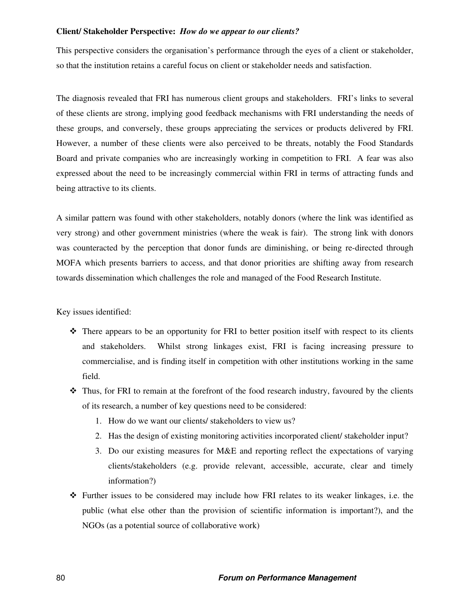#### **Client/ Stakeholder Perspective:** *How do we appear to our clients?*

This perspective considers the organisation's performance through the eyes of a client or stakeholder, so that the institution retains a careful focus on client or stakeholder needs and satisfaction.

The diagnosis revealed that FRI has numerous client groups and stakeholders. FRI's links to several of these clients are strong, implying good feedback mechanisms with FRI understanding the needs of these groups, and conversely, these groups appreciating the services or products delivered by FRI. However, a number of these clients were also perceived to be threats, notably the Food Standards Board and private companies who are increasingly working in competition to FRI. A fear was also expressed about the need to be increasingly commercial within FRI in terms of attracting funds and being attractive to its clients.

A similar pattern was found with other stakeholders, notably donors (where the link was identified as very strong) and other government ministries (where the weak is fair). The strong link with donors was counteracted by the perception that donor funds are diminishing, or being re-directed through MOFA which presents barriers to access, and that donor priorities are shifting away from research towards dissemination which challenges the role and managed of the Food Research Institute.

Key issues identified:

- $\hat{\cdot}$  There appears to be an opportunity for FRI to better position itself with respect to its clients and stakeholders. Whilst strong linkages exist, FRI is facing increasing pressure to commercialise, and is finding itself in competition with other institutions working in the same field.
- $\div$  Thus, for FRI to remain at the forefront of the food research industry, favoured by the clients of its research, a number of key questions need to be considered:
	- 1. How do we want our clients/ stakeholders to view us?
	- 2. Has the design of existing monitoring activities incorporated client/ stakeholder input?
	- 3. Do our existing measures for M&E and reporting reflect the expectations of varying clients/stakeholders (e.g. provide relevant, accessible, accurate, clear and timely information?)
- $\div$  Further issues to be considered may include how FRI relates to its weaker linkages, i.e. the public (what else other than the provision of scientific information is important?), and the NGOs (as a potential source of collaborative work)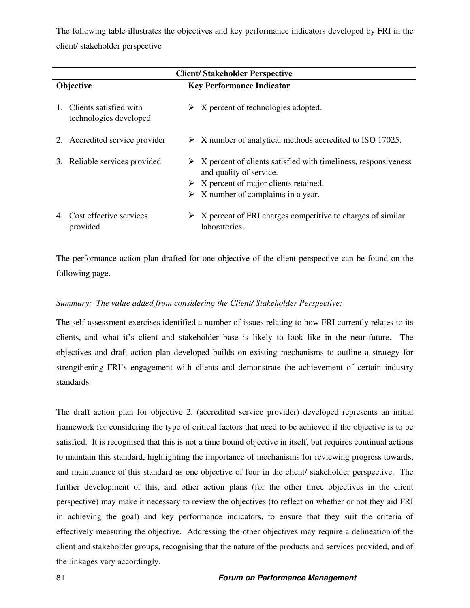The following table illustrates the objectives and key performance indicators developed by FRI in the client/ stakeholder perspective

| <b>Client/Stakeholder Perspective</b>               |                                                                                                            |  |  |  |  |
|-----------------------------------------------------|------------------------------------------------------------------------------------------------------------|--|--|--|--|
| Objective                                           | <b>Key Performance Indicator</b>                                                                           |  |  |  |  |
| 1. Clients satisfied with<br>technologies developed | $\triangleright$ X percent of technologies adopted.                                                        |  |  |  |  |
| 2. Accredited service provider                      | $\triangleright$ X number of analytical methods accredited to ISO 17025.                                   |  |  |  |  |
| 3. Reliable services provided                       | $\triangleright$ X percent of clients satisfied with timeliness, responsiveness<br>and quality of service. |  |  |  |  |
|                                                     | $\triangleright$ X percent of major clients retained.                                                      |  |  |  |  |
|                                                     | X number of complaints in a year.<br>➤                                                                     |  |  |  |  |
| 4. Cost effective services<br>provided              | X percent of FRI charges competitive to charges of similar<br>➤<br>laboratories.                           |  |  |  |  |

The performance action plan drafted for one objective of the client perspective can be found on the following page.

## *Summary: The value added from considering the Client/ Stakeholder Perspective:*

The self-assessment exercises identified a number of issues relating to how FRI currently relates to its clients, and what it's client and stakeholder base is likely to look like in the near-future. The objectives and draft action plan developed builds on existing mechanisms to outline a strategy for strengthening FRI's engagement with clients and demonstrate the achievement of certain industry standards.

The draft action plan for objective 2. (accredited service provider) developed represents an initial framework for considering the type of critical factors that need to be achieved if the objective is to be satisfied. It is recognised that this is not a time bound objective in itself, but requires continual actions to maintain this standard, highlighting the importance of mechanisms for reviewing progress towards, and maintenance of this standard as one objective of four in the client/ stakeholder perspective. The further development of this, and other action plans (for the other three objectives in the client perspective) may make it necessary to review the objectives (to reflect on whether or not they aid FRI in achieving the goal) and key performance indicators, to ensure that they suit the criteria of effectively measuring the objective. Addressing the other objectives may require a delineation of the client and stakeholder groups, recognising that the nature of the products and services provided, and of the linkages vary accordingly.

### 81 **Forum on Performance Management**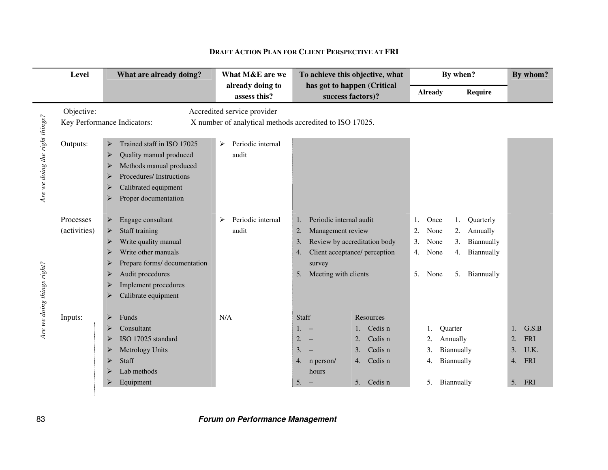|                                | What are already doing?<br>Level |                                                                                                 | What M&E are we                  | To achieve this objective, what                         | By when?                       | By whom?         |
|--------------------------------|----------------------------------|-------------------------------------------------------------------------------------------------|----------------------------------|---------------------------------------------------------|--------------------------------|------------------|
|                                |                                  |                                                                                                 | already doing to<br>assess this? | has got to happen (Critical<br>success factors)?        | <b>Already</b><br>Require      |                  |
|                                | Objective:                       |                                                                                                 | Accredited service provider      |                                                         |                                |                  |
|                                |                                  | Key Performance Indicators:                                                                     |                                  | X number of analytical methods accredited to ISO 17025. |                                |                  |
| Are we doing the right things? | Outputs:                         | Trained staff in ISO 17025<br>⋗<br>Quality manual produced<br>➤<br>Methods manual produced<br>➤ | Periodic internal<br>⋗<br>audit  |                                                         |                                |                  |
|                                |                                  | Procedures/Instructions<br>➤<br>Calibrated equipment<br>⋗<br>Proper documentation<br>➤          |                                  |                                                         |                                |                  |
|                                | Processes                        | Engage consultant<br>➤                                                                          | Periodic internal<br>⋗           | Periodic internal audit<br>1.                           | 1.<br>Once<br>Quarterly<br>1.  |                  |
|                                | (activities)                     | Staff training<br>≻                                                                             | audit                            | Management review<br>2.                                 | Annually<br>2.<br>None<br>2.   |                  |
|                                |                                  | Write quality manual<br>⋗                                                                       |                                  | Review by accreditation body<br>3.                      | 3.<br>None<br>Biannually<br>3. |                  |
|                                |                                  | Write other manuals<br>⋗                                                                        |                                  | Client acceptance/ perception<br>4.                     | None<br>Biannually<br>4.<br>4. |                  |
|                                |                                  | Prepare forms/ documentation<br>⋗                                                               |                                  | survey                                                  |                                |                  |
|                                |                                  | Audit procedures<br>⋗<br>Implement procedures<br>⋗                                              |                                  | 5. Meeting with clients                                 | 5.<br>5.<br>Biannually<br>None |                  |
|                                |                                  | Calibrate equipment<br>➤                                                                        |                                  |                                                         |                                |                  |
|                                |                                  |                                                                                                 |                                  |                                                         |                                |                  |
| Are we doing things right?     | Inputs:                          | Funds<br>➤                                                                                      | N/A                              | <b>Staff</b><br>Resources                               |                                |                  |
|                                |                                  | Consultant<br>⋗                                                                                 |                                  | Cedis n<br>$1. -$<br>1.                                 | Quarter<br>1.                  | G.S.B<br>1.      |
|                                |                                  | ISO 17025 standard                                                                              |                                  | 2.<br>Cedis n<br>2.<br>$\sim$                           | 2.<br>Annually                 | 2.<br><b>FRI</b> |
|                                |                                  | Metrology Units<br>➤                                                                            |                                  | 3.<br>Cedis n<br>3.<br>$\overline{\phantom{0}}$         | Biannually<br>3.               | U.K.<br>3.       |
|                                |                                  | Staff<br>⋗                                                                                      |                                  | Cedis n<br>4. n person/<br>4.                           | Biannually<br>4.               | FRI<br>4.        |
|                                |                                  | Lab methods                                                                                     |                                  | hours                                                   |                                |                  |
|                                |                                  | Equipment                                                                                       |                                  | 5.<br>5.<br>Cedis n                                     | 5.<br>Biannually               | 5.<br>FRI        |

# **DRAFT ACTION PLAN FOR CLIENT PERSPECTIVE AT FRI**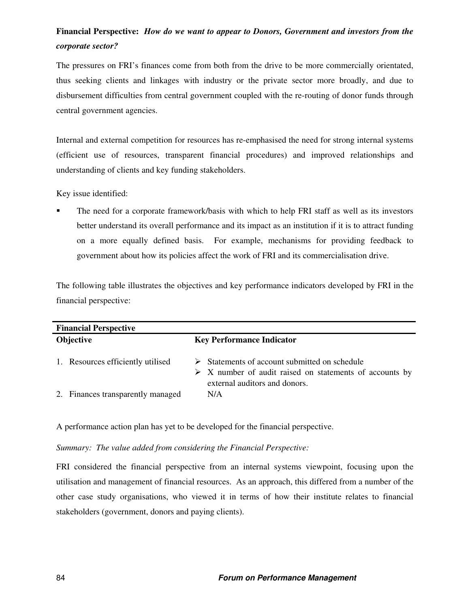# **Financial Perspective:** *How do we want to appear to Donors, Government and investors from the corporate sector?*

The pressures on FRI's finances come from both from the drive to be more commercially orientated, thus seeking clients and linkages with industry or the private sector more broadly, and due to disbursement difficulties from central government coupled with the re-routing of donor funds through central government agencies.

Internal and external competition for resources has re-emphasised the need for strong internal systems (efficient use of resources, transparent financial procedures) and improved relationships and understanding of clients and key funding stakeholders.

Key issue identified:

 The need for a corporate framework/basis with which to help FRI staff as well as its investors better understand its overall performance and its impact as an institution if it is to attract funding on a more equally defined basis. For example, mechanisms for providing feedback to government about how its policies affect the work of FRI and its commercialisation drive.

The following table illustrates the objectives and key performance indicators developed by FRI in the financial perspective:

| <b>Financial Perspective</b>      |  |                                                                                                                                                                         |  |
|-----------------------------------|--|-------------------------------------------------------------------------------------------------------------------------------------------------------------------------|--|
| <b>Objective</b>                  |  | <b>Key Performance Indicator</b>                                                                                                                                        |  |
| 1. Resources efficiently utilised |  | $\triangleright$ Statements of account submitted on schedule<br>$\triangleright$ X number of audit raised on statements of accounts by<br>external auditors and donors. |  |
| 2. Finances transparently managed |  | N/A                                                                                                                                                                     |  |

A performance action plan has yet to be developed for the financial perspective.

# *Summary: The value added from considering the Financial Perspective:*

FRI considered the financial perspective from an internal systems viewpoint, focusing upon the utilisation and management of financial resources. As an approach, this differed from a number of the other case study organisations, who viewed it in terms of how their institute relates to financial stakeholders (government, donors and paying clients).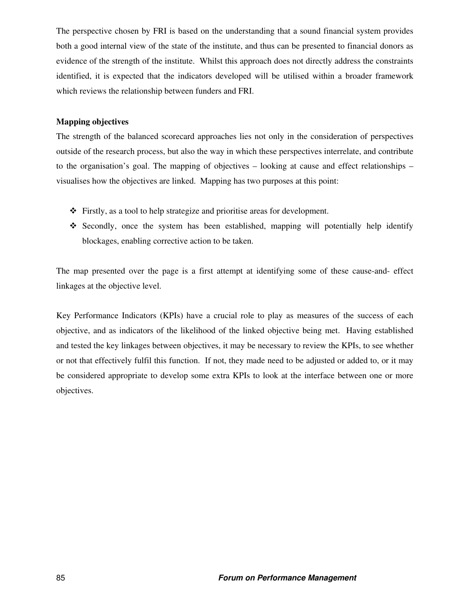The perspective chosen by FRI is based on the understanding that a sound financial system provides both a good internal view of the state of the institute, and thus can be presented to financial donors as evidence of the strength of the institute. Whilst this approach does not directly address the constraints identified, it is expected that the indicators developed will be utilised within a broader framework which reviews the relationship between funders and FRI.

### **Mapping objectives**

The strength of the balanced scorecard approaches lies not only in the consideration of perspectives outside of the research process, but also the way in which these perspectives interrelate, and contribute to the organisation's goal. The mapping of objectives – looking at cause and effect relationships – visualises how the objectives are linked. Mapping has two purposes at this point:

- $\div$  Firstly, as a tool to help strategize and prioritise areas for development.
- Secondly, once the system has been established, mapping will potentially help identify blockages, enabling corrective action to be taken.

The map presented over the page is a first attempt at identifying some of these cause-and- effect linkages at the objective level.

Key Performance Indicators (KPIs) have a crucial role to play as measures of the success of each objective, and as indicators of the likelihood of the linked objective being met. Having established and tested the key linkages between objectives, it may be necessary to review the KPIs, to see whether or not that effectively fulfil this function. If not, they made need to be adjusted or added to, or it may be considered appropriate to develop some extra KPIs to look at the interface between one or more objectives.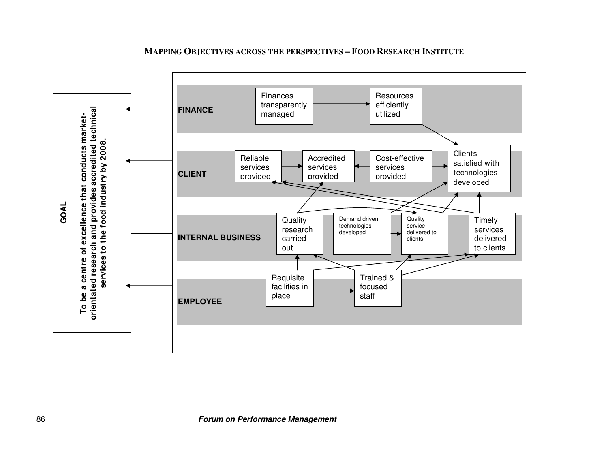# **MAPPING OBJECTIVES ACROSS THE PERSPECTIVES – FOOD RESEARCH INSTITUTE**

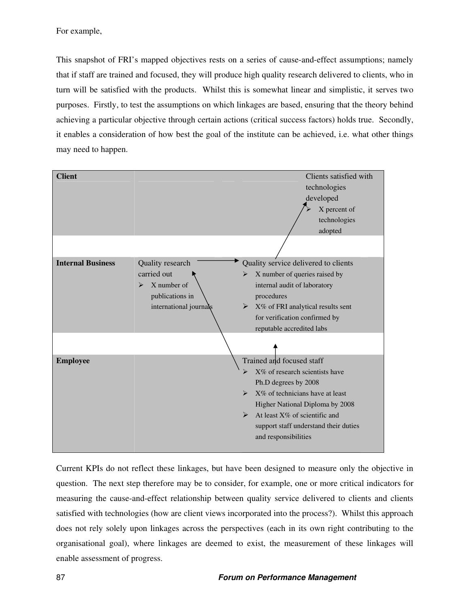For example,

This snapshot of FRI's mapped objectives rests on a series of cause-and-effect assumptions; namely that if staff are trained and focused, they will produce high quality research delivered to clients, who in turn will be satisfied with the products. Whilst this is somewhat linear and simplistic, it serves two purposes. Firstly, to test the assumptions on which linkages are based, ensuring that the theory behind achieving a particular objective through certain actions (critical success factors) holds true. Secondly, it enables a consideration of how best the goal of the institute can be achieved, i.e. what other things may need to happen.



Current KPIs do not reflect these linkages, but have been designed to measure only the objective in question. The next step therefore may be to consider, for example, one or more critical indicators for measuring the cause-and-effect relationship between quality service delivered to clients and clients satisfied with technologies (how are client views incorporated into the process?). Whilst this approach does not rely solely upon linkages across the perspectives (each in its own right contributing to the organisational goal), where linkages are deemed to exist, the measurement of these linkages will enable assessment of progress.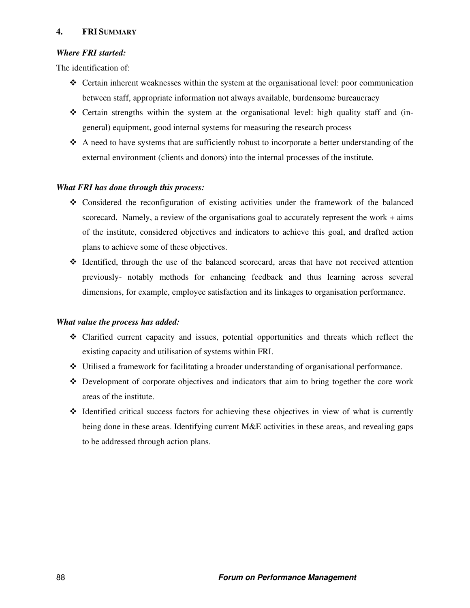# *Where FRI started:*

The identification of:

- $\bullet$  Certain inherent weaknesses within the system at the organisational level: poor communication between staff, appropriate information not always available, burdensome bureaucracy
- $\div$  Certain strengths within the system at the organisational level: high quality staff and (ingeneral) equipment, good internal systems for measuring the research process
- $\triangle$  A need to have systems that are sufficiently robust to incorporate a better understanding of the external environment (clients and donors) into the internal processes of the institute.

# *What FRI has done through this process:*

- Considered the reconfiguration of existing activities under the framework of the balanced scorecard. Namely, a review of the organisations goal to accurately represent the work + aims of the institute, considered objectives and indicators to achieve this goal, and drafted action plans to achieve some of these objectives.
- Identified, through the use of the balanced scorecard, areas that have not received attention previously- notably methods for enhancing feedback and thus learning across several dimensions, for example, employee satisfaction and its linkages to organisation performance.

# *What value the process has added:*

- Clarified current capacity and issues, potential opportunities and threats which reflect the existing capacity and utilisation of systems within FRI.
- Utilised a framework for facilitating a broader understanding of organisational performance.
- $\triangle$  Development of corporate objectives and indicators that aim to bring together the core work areas of the institute.
- $\triangle$  Identified critical success factors for achieving these objectives in view of what is currently being done in these areas. Identifying current M&E activities in these areas, and revealing gaps to be addressed through action plans.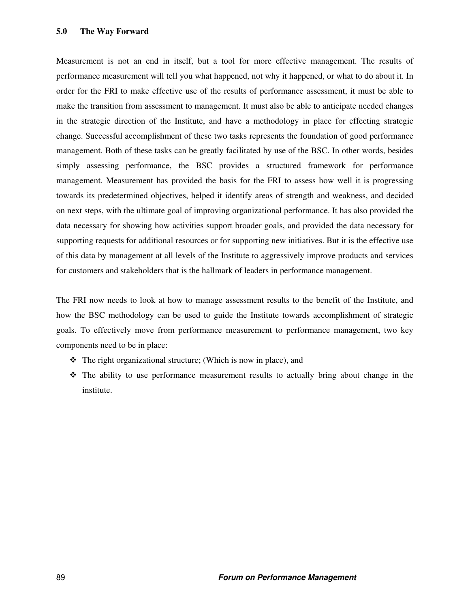### **5.0 The Way Forward**

Measurement is not an end in itself, but a tool for more effective management. The results of performance measurement will tell you what happened, not why it happened, or what to do about it. In order for the FRI to make effective use of the results of performance assessment, it must be able to make the transition from assessment to management. It must also be able to anticipate needed changes in the strategic direction of the Institute, and have a methodology in place for effecting strategic change. Successful accomplishment of these two tasks represents the foundation of good performance management. Both of these tasks can be greatly facilitated by use of the BSC. In other words, besides simply assessing performance, the BSC provides a structured framework for performance management. Measurement has provided the basis for the FRI to assess how well it is progressing towards its predetermined objectives, helped it identify areas of strength and weakness, and decided on next steps, with the ultimate goal of improving organizational performance. It has also provided the data necessary for showing how activities support broader goals, and provided the data necessary for supporting requests for additional resources or for supporting new initiatives. But it is the effective use of this data by management at all levels of the Institute to aggressively improve products and services for customers and stakeholders that is the hallmark of leaders in performance management.

The FRI now needs to look at how to manage assessment results to the benefit of the Institute, and how the BSC methodology can be used to guide the Institute towards accomplishment of strategic goals. To effectively move from performance measurement to performance management, two key components need to be in place:

- $\triangle$  The right organizational structure; (Which is now in place), and
- $\hat{\cdot}$  The ability to use performance measurement results to actually bring about change in the institute.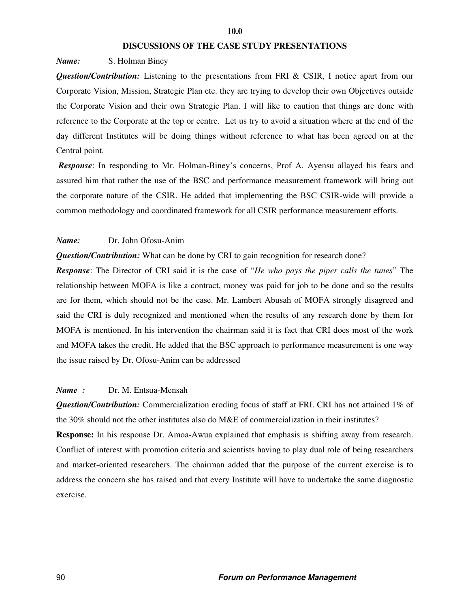#### **DISCUSSIONS OF THE CASE STUDY PRESENTATIONS**

**10.0** 

#### *Name:* S. Holman Biney

*Question/Contribution:* Listening to the presentations from FRI & CSIR, I notice apart from our Corporate Vision, Mission, Strategic Plan etc. they are trying to develop their own Objectives outside the Corporate Vision and their own Strategic Plan. I will like to caution that things are done with reference to the Corporate at the top or centre. Let us try to avoid a situation where at the end of the day different Institutes will be doing things without reference to what has been agreed on at the Central point.

*Response*: In responding to Mr. Holman-Biney's concerns, Prof A. Ayensu allayed his fears and assured him that rather the use of the BSC and performance measurement framework will bring out the corporate nature of the CSIR. He added that implementing the BSC CSIR-wide will provide a common methodology and coordinated framework for all CSIR performance measurement efforts.

#### *Name:* Dr. John Ofosu-Anim

#### *Question/Contribution:* What can be done by CRI to gain recognition for research done?

*Response*: The Director of CRI said it is the case of "*He who pays the piper calls the tunes*" The relationship between MOFA is like a contract, money was paid for job to be done and so the results are for them, which should not be the case. Mr. Lambert Abusah of MOFA strongly disagreed and said the CRI is duly recognized and mentioned when the results of any research done by them for MOFA is mentioned. In his intervention the chairman said it is fact that CRI does most of the work and MOFA takes the credit. He added that the BSC approach to performance measurement is one way the issue raised by Dr. Ofosu-Anim can be addressed

#### *Name :* Dr. M. Entsua-Mensah

*Question/Contribution:* Commercialization eroding focus of staff at FRI. CRI has not attained 1% of the 30% should not the other institutes also do M&E of commercialization in their institutes?

**Response:** In his response Dr. Amoa-Awua explained that emphasis is shifting away from research. Conflict of interest with promotion criteria and scientists having to play dual role of being researchers and market-oriented researchers. The chairman added that the purpose of the current exercise is to address the concern she has raised and that every Institute will have to undertake the same diagnostic exercise.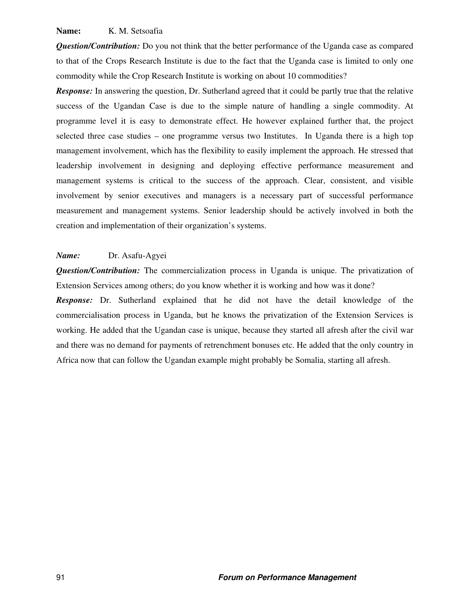### Name: **K. M. Setsoafia**

*Question/Contribution:* Do you not think that the better performance of the Uganda case as compared to that of the Crops Research Institute is due to the fact that the Uganda case is limited to only one commodity while the Crop Research Institute is working on about 10 commodities?

*Response:* In answering the question, Dr. Sutherland agreed that it could be partly true that the relative success of the Ugandan Case is due to the simple nature of handling a single commodity. At programme level it is easy to demonstrate effect. He however explained further that, the project selected three case studies – one programme versus two Institutes. In Uganda there is a high top management involvement, which has the flexibility to easily implement the approach. He stressed that leadership involvement in designing and deploying effective performance measurement and management systems is critical to the success of the approach. Clear, consistent, and visible involvement by senior executives and managers is a necessary part of successful performance measurement and management systems. Senior leadership should be actively involved in both the creation and implementation of their organization's systems.

#### *Name:* Dr. Asafu-Agyei

*Question/Contribution:* The commercialization process in Uganda is unique. The privatization of Extension Services among others; do you know whether it is working and how was it done?

*Response:* Dr. Sutherland explained that he did not have the detail knowledge of the commercialisation process in Uganda, but he knows the privatization of the Extension Services is working. He added that the Ugandan case is unique, because they started all afresh after the civil war and there was no demand for payments of retrenchment bonuses etc. He added that the only country in Africa now that can follow the Ugandan example might probably be Somalia, starting all afresh.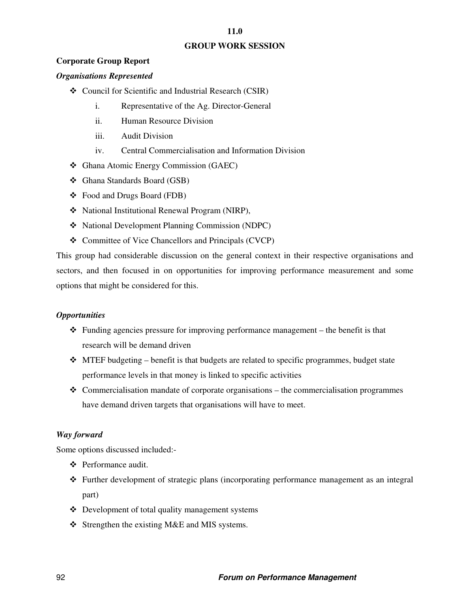# **11.0**

## **GROUP WORK SESSION**

# **Corporate Group Report**

# *Organisations Represented*

- Council for Scientific and Industrial Research (CSIR)
	- i. Representative of the Ag. Director-General
	- ii. Human Resource Division
	- iii. Audit Division
	- iv. Central Commercialisation and Information Division
- Ghana Atomic Energy Commission (GAEC)
- Ghana Standards Board (GSB)
- Food and Drugs Board (FDB)
- National Institutional Renewal Program (NIRP),
- National Development Planning Commission (NDPC)
- Committee of Vice Chancellors and Principals (CVCP)

This group had considerable discussion on the general context in their respective organisations and sectors, and then focused in on opportunities for improving performance measurement and some options that might be considered for this.

### *Opportunities*

- $\div$  Funding agencies pressure for improving performance management the benefit is that research will be demand driven
- $\triangle$  MTEF budgeting benefit is that budgets are related to specific programmes, budget state performance levels in that money is linked to specific activities
- $\triangle$  Commercialisation mandate of corporate organisations the commercialisation programmes have demand driven targets that organisations will have to meet.

# *Way forward*

Some options discussed included:-

- Performance audit.
- Further development of strategic plans (incorporating performance management as an integral part)
- Development of total quality management systems
- $\triangle$  Strengthen the existing M&E and MIS systems.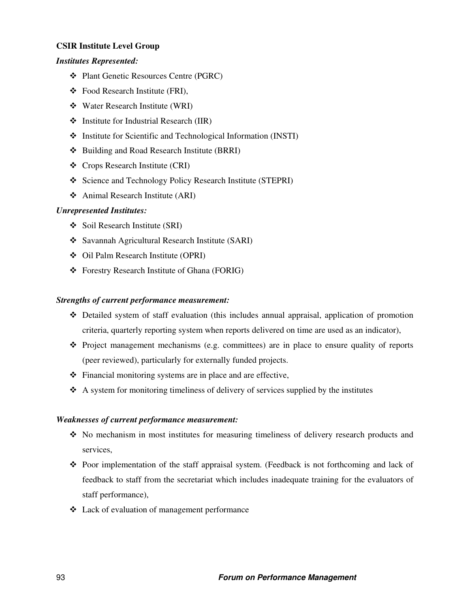# **CSIR Institute Level Group**

### *Institutes Represented:*

- Plant Genetic Resources Centre (PGRC)
- Food Research Institute (FRI),
- Water Research Institute (WRI)
- Institute for Industrial Research (IIR)
- $\div$  Institute for Scientific and Technological Information (INSTI)
- Building and Road Research Institute (BRRI)
- Crops Research Institute (CRI)
- Science and Technology Policy Research Institute (STEPRI)
- Animal Research Institute (ARI)

### *Unrepresented Institutes:*

- Soil Research Institute (SRI)
- Savannah Agricultural Research Institute (SARI)
- Oil Palm Research Institute (OPRI)
- Forestry Research Institute of Ghana (FORIG)

### *Strengths of current performance measurement:*

- Detailed system of staff evaluation (this includes annual appraisal, application of promotion criteria, quarterly reporting system when reports delivered on time are used as an indicator),
- $\div$  Project management mechanisms (e.g. committees) are in place to ensure quality of reports (peer reviewed), particularly for externally funded projects.
- $\div$  Financial monitoring systems are in place and are effective,
- $\triangle$  A system for monitoring timeliness of delivery of services supplied by the institutes

### *Weaknesses of current performance measurement:*

- No mechanism in most institutes for measuring timeliness of delivery research products and services,
- Poor implementation of the staff appraisal system. (Feedback is not forthcoming and lack of feedback to staff from the secretariat which includes inadequate training for the evaluators of staff performance),
- Lack of evaluation of management performance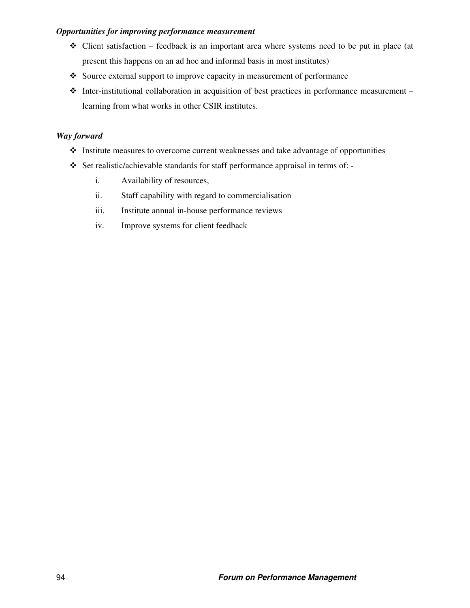### *Opportunities for improving performance measurement*

- $\triangle$  Client satisfaction feedback is an important area where systems need to be put in place (at present this happens on an ad hoc and informal basis in most institutes)
- Source external support to improve capacity in measurement of performance
- $\triangle$  Inter-institutional collaboration in acquisition of best practices in performance measurement learning from what works in other CSIR institutes.

# *Way forward*

- Institute measures to overcome current weaknesses and take advantage of opportunities
- Set realistic/achievable standards for staff performance appraisal in terms of:
	- i. Availability of resources,
	- ii. Staff capability with regard to commercialisation
	- iii. Institute annual in-house performance reviews
	- iv. Improve systems for client feedback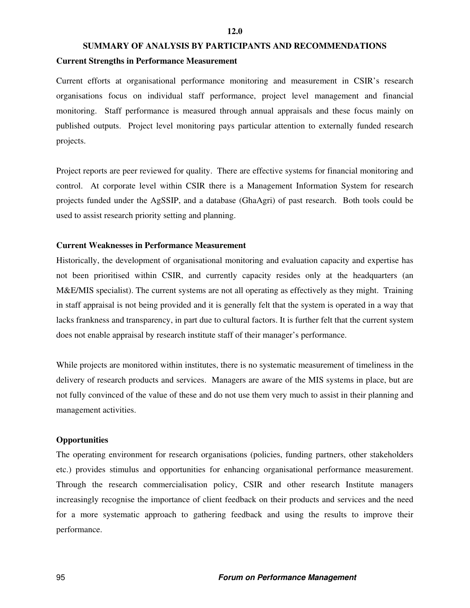#### **12.0**

#### **SUMMARY OF ANALYSIS BY PARTICIPANTS AND RECOMMENDATIONS**

#### **Current Strengths in Performance Measurement**

Current efforts at organisational performance monitoring and measurement in CSIR's research organisations focus on individual staff performance, project level management and financial monitoring. Staff performance is measured through annual appraisals and these focus mainly on published outputs. Project level monitoring pays particular attention to externally funded research projects.

Project reports are peer reviewed for quality. There are effective systems for financial monitoring and control. At corporate level within CSIR there is a Management Information System for research projects funded under the AgSSIP, and a database (GhaAgri) of past research. Both tools could be used to assist research priority setting and planning.

#### **Current Weaknesses in Performance Measurement**

Historically, the development of organisational monitoring and evaluation capacity and expertise has not been prioritised within CSIR, and currently capacity resides only at the headquarters (an M&E/MIS specialist). The current systems are not all operating as effectively as they might. Training in staff appraisal is not being provided and it is generally felt that the system is operated in a way that lacks frankness and transparency, in part due to cultural factors. It is further felt that the current system does not enable appraisal by research institute staff of their manager's performance.

While projects are monitored within institutes, there is no systematic measurement of timeliness in the delivery of research products and services. Managers are aware of the MIS systems in place, but are not fully convinced of the value of these and do not use them very much to assist in their planning and management activities.

#### **Opportunities**

The operating environment for research organisations (policies, funding partners, other stakeholders etc.) provides stimulus and opportunities for enhancing organisational performance measurement. Through the research commercialisation policy, CSIR and other research Institute managers increasingly recognise the importance of client feedback on their products and services and the need for a more systematic approach to gathering feedback and using the results to improve their performance.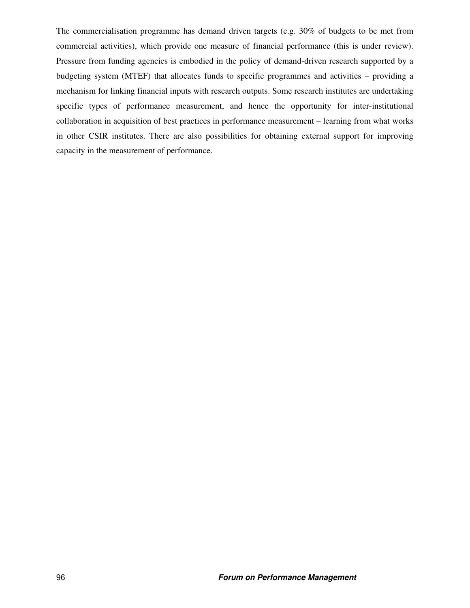The commercialisation programme has demand driven targets (e.g. 30% of budgets to be met from commercial activities), which provide one measure of financial performance (this is under review). Pressure from funding agencies is embodied in the policy of demand-driven research supported by a budgeting system (MTEF) that allocates funds to specific programmes and activities – providing a mechanism for linking financial inputs with research outputs. Some research institutes are undertaking specific types of performance measurement, and hence the opportunity for inter-institutional collaboration in acquisition of best practices in performance measurement – learning from what works in other CSIR institutes. There are also possibilities for obtaining external support for improving capacity in the measurement of performance.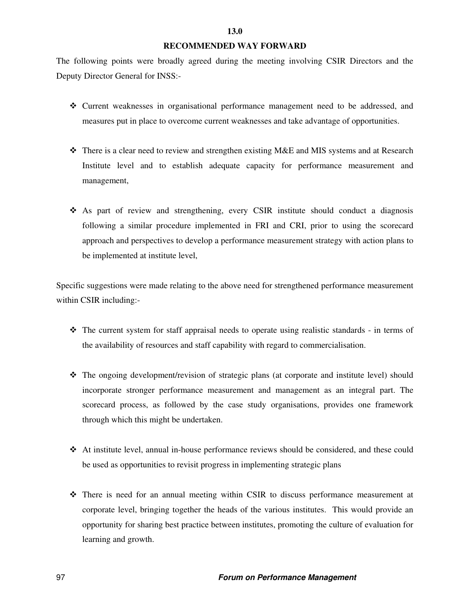# **13.0**

### **RECOMMENDED WAY FORWARD**

The following points were broadly agreed during the meeting involving CSIR Directors and the Deputy Director General for INSS:-

- Current weaknesses in organisational performance management need to be addressed, and measures put in place to overcome current weaknesses and take advantage of opportunities.
- There is a clear need to review and strengthen existing M&E and MIS systems and at Research Institute level and to establish adequate capacity for performance measurement and management,
- As part of review and strengthening, every CSIR institute should conduct a diagnosis following a similar procedure implemented in FRI and CRI, prior to using the scorecard approach and perspectives to develop a performance measurement strategy with action plans to be implemented at institute level,

Specific suggestions were made relating to the above need for strengthened performance measurement within CSIR including:-

- $\hat{\cdot}$  The current system for staff appraisal needs to operate using realistic standards in terms of the availability of resources and staff capability with regard to commercialisation.
- $\hat{\cdot}$  The ongoing development/revision of strategic plans (at corporate and institute level) should incorporate stronger performance measurement and management as an integral part. The scorecard process, as followed by the case study organisations, provides one framework through which this might be undertaken.
- At institute level, annual in-house performance reviews should be considered, and these could be used as opportunities to revisit progress in implementing strategic plans
- $\div$  There is need for an annual meeting within CSIR to discuss performance measurement at corporate level, bringing together the heads of the various institutes. This would provide an opportunity for sharing best practice between institutes, promoting the culture of evaluation for learning and growth.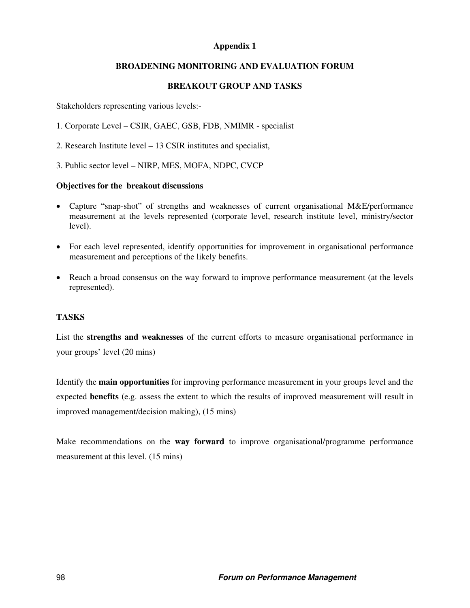# **Appendix 1**

## **BROADENING MONITORING AND EVALUATION FORUM**

### **BREAKOUT GROUP AND TASKS**

Stakeholders representing various levels:-

- 1. Corporate Level CSIR, GAEC, GSB, FDB, NMIMR specialist
- 2. Research Institute level 13 CSIR institutes and specialist,

3. Public sector level – NIRP, MES, MOFA, NDPC, CVCP

## **Objectives for the breakout discussions**

- Capture "snap-shot" of strengths and weaknesses of current organisational M&E/performance measurement at the levels represented (corporate level, research institute level, ministry/sector level).
- For each level represented, identify opportunities for improvement in organisational performance measurement and perceptions of the likely benefits.
- Reach a broad consensus on the way forward to improve performance measurement (at the levels represented).

## **TASKS**

List the **strengths and weaknesses** of the current efforts to measure organisational performance in your groups' level (20 mins)

Identify the **main opportunities** for improving performance measurement in your groups level and the expected **benefits (**e.g. assess the extent to which the results of improved measurement will result in improved management/decision making), (15 mins)

Make recommendations on the **way forward** to improve organisational/programme performance measurement at this level. (15 mins)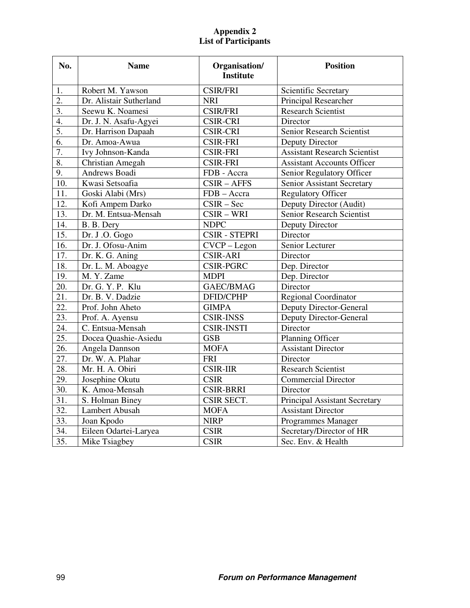# **Appendix 2 List of Participants**

| No.               | <b>Name</b>             | Organisation/<br><b>Institute</b> | <b>Position</b>                     |
|-------------------|-------------------------|-----------------------------------|-------------------------------------|
| 1.                | Robert M. Yawson        | <b>CSIR/FRI</b>                   | <b>Scientific Secretary</b>         |
| 2.                | Dr. Alistair Sutherland | <b>NRI</b>                        | Principal Researcher                |
| 3.                | Seewu K. Noamesi        | <b>CSIR/FRI</b>                   | <b>Research Scientist</b>           |
| 4.                | Dr. J. N. Asafu-Agyei   | <b>CSIR-CRI</b>                   | Director                            |
| 5.                | Dr. Harrison Dapaah     | <b>CSIR-CRI</b>                   | Senior Research Scientist           |
| $\overline{6}$ .  | Dr. Amoa-Awua           | <b>CSIR-FRI</b>                   | Deputy Director                     |
| 7.                | Ivy Johnson-Kanda       | <b>CSIR-FRI</b>                   | <b>Assistant Research Scientist</b> |
| 8.                | <b>Christian Amegah</b> | <b>CSIR-FRI</b>                   | <b>Assistant Accounts Officer</b>   |
| 9.                | Andrews Boadi           | FDB - Accra                       | Senior Regulatory Officer           |
| 10.               | Kwasi Setsoafia         | $CSIR-AFFS$                       | Senior Assistant Secretary          |
| 11.               | Goski Alabi (Mrs)       | $FDB - Accra$                     | <b>Regulatory Officer</b>           |
| 12.               | Kofi Ampem Darko        | $CSIR - Sec$                      | Deputy Director (Audit)             |
| 13.               | Dr. M. Entsua-Mensah    | CSIR - WRI                        | Senior Research Scientist           |
| 14.               | B. B. Dery              | <b>NDPC</b>                       | Deputy Director                     |
| 15.               | Dr. J.O. Gogo           | <b>CSIR - STEPRI</b>              | Director                            |
| 16.               | Dr. J. Ofosu-Anim       | $CVCP - Legon$                    | Senior Lecturer                     |
| 17.               | Dr. K. G. Aning         | <b>CSIR-ARI</b>                   | Director                            |
| 18.               | Dr. L. M. Aboagye       | <b>CSIR-PGRC</b>                  | Dep. Director                       |
| 19.               | M.Y.Zame                | <b>MDPI</b>                       | Dep. Director                       |
| 20.               | Dr. G. Y. P. Klu        | GAEC/BMAG                         | Director                            |
| 21.               | Dr. B. V. Dadzie        | DFID/CPHP                         | <b>Regional Coordinator</b>         |
| 22.               | Prof. John Aheto        | <b>GIMPA</b>                      | Deputy Director-General             |
| 23.               | Prof. A. Ayensu         | <b>CSIR-INSS</b>                  | <b>Deputy Director-General</b>      |
| 24.               | C. Entsua-Mensah        | <b>CSIR-INSTI</b>                 | Director                            |
| $\overline{25}$ . | Docea Quashie-Asiedu    | <b>GSB</b>                        | Planning Officer                    |
| 26.               | Angela Dannson          | <b>MOFA</b>                       | <b>Assistant Director</b>           |
| 27.               | Dr. W. A. Plahar        | <b>FRI</b>                        | Director                            |
| 28.               | Mr. H. A. Obiri         | <b>CSIR-IIR</b>                   | <b>Research Scientist</b>           |
| 29.               | Josephine Okutu         | <b>CSIR</b>                       | <b>Commercial Director</b>          |
| 30.               | K. Amoa-Mensah          | <b>CSIR-BRRI</b>                  | Director                            |
| 31.               | S. Holman Biney         | CSIR SECT.                        | Principal Assistant Secretary       |
| $\overline{32}$ . | Lambert Abusah          | <b>MOFA</b>                       | <b>Assistant Director</b>           |
| 33.               | Joan Kpodo              | <b>NIRP</b>                       | Programmes Manager                  |
| 34.               | Eileen Odartei-Laryea   | <b>CSIR</b>                       | Secretary/Director of HR            |
| 35.               | Mike Tsiagbey           | <b>CSIR</b>                       | Sec. Env. & Health                  |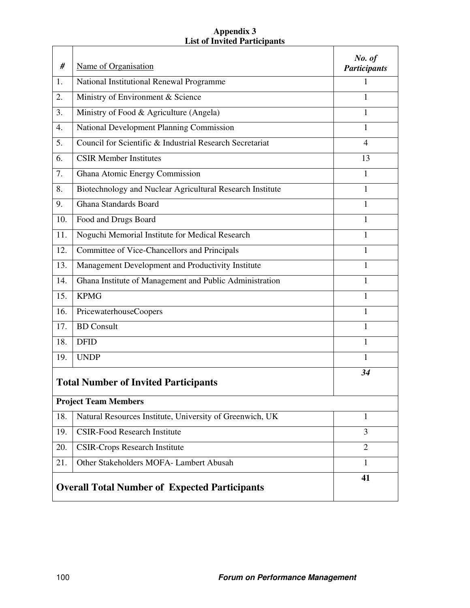# **Appendix 3 List of Invited Participants**

| #                | Name of Organisation                                      | No. of<br><b>Participants</b> |
|------------------|-----------------------------------------------------------|-------------------------------|
| 1.               | National Institutional Renewal Programme                  | 1                             |
| 2.               | Ministry of Environment & Science                         |                               |
| 3.               | Ministry of Food & Agriculture (Angela)                   | 1                             |
| $\overline{4}$ . | National Development Planning Commission                  | 1                             |
| 5.               | Council for Scientific & Industrial Research Secretariat  | 4                             |
| 6.               | <b>CSIR Member Institutes</b>                             | 13                            |
| 7.               | Ghana Atomic Energy Commission                            | 1                             |
| 8.               | Biotechnology and Nuclear Agricultural Research Institute | 1                             |
| 9.               | Ghana Standards Board                                     | 1                             |
| 10.              | Food and Drugs Board                                      | 1                             |
| 11.              | Noguchi Memorial Institute for Medical Research           | $\mathbf{1}$                  |
| 12.              | Committee of Vice-Chancellors and Principals              | 1                             |
| 13.              | Management Development and Productivity Institute         | 1                             |
| 14.              | Ghana Institute of Management and Public Administration   | 1                             |
| 15.              | <b>KPMG</b>                                               | 1                             |
| 16.              | PricewaterhouseCoopers                                    | 1                             |
| 17.              | <b>BD</b> Consult                                         | 1                             |
| 18.              | <b>DFID</b>                                               | 1                             |
| 19.              | <b>UNDP</b>                                               | 1                             |
|                  | <b>Total Number of Invited Participants</b>               | 34                            |
|                  | <b>Project Team Members</b>                               |                               |
| 18.              | Natural Resources Institute, University of Greenwich, UK  | 1                             |
| 19.              | <b>CSIR-Food Research Institute</b>                       | 3                             |
| 20.              | <b>CSIR-Crops Research Institute</b>                      | $\overline{2}$                |
| 21.              | Other Stakeholders MOFA- Lambert Abusah                   | 1                             |
|                  | <b>Overall Total Number of Expected Participants</b>      | 41                            |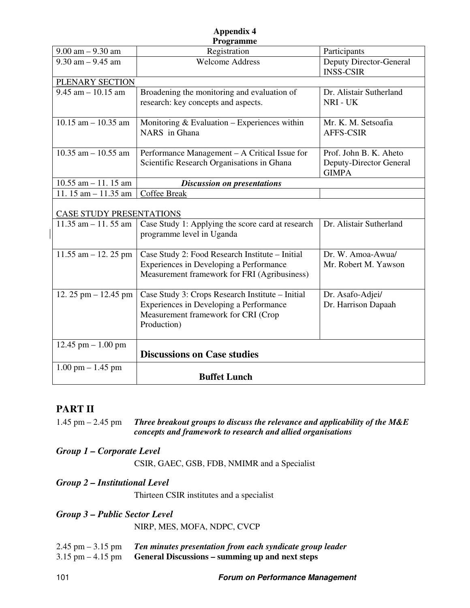#### **Appendix 4 Programme**

| <b>Programme</b>         |                                                                                                                                                   |                                                                   |  |  |  |
|--------------------------|---------------------------------------------------------------------------------------------------------------------------------------------------|-------------------------------------------------------------------|--|--|--|
| $9.00$ am $-9.30$ am     | Registration                                                                                                                                      | Participants                                                      |  |  |  |
| $9.30$ am $-9.45$ am     | <b>Welcome Address</b>                                                                                                                            | Deputy Director-General<br><b>INSS-CSIR</b>                       |  |  |  |
| PLENARY SECTION          |                                                                                                                                                   |                                                                   |  |  |  |
| $9.45$ am $-10.15$ am    | Broadening the monitoring and evaluation of<br>research: key concepts and aspects.                                                                | Dr. Alistair Sutherland<br>NRI - UK                               |  |  |  |
| $10.15$ am $- 10.35$ am  | Monitoring $& Evaluation - Experiences within$<br>NARS in Ghana                                                                                   | Mr. K. M. Setsoafia<br><b>AFFS-CSIR</b>                           |  |  |  |
| $10.35$ am $- 10.55$ am  | Performance Management – A Critical Issue for<br>Scientific Research Organisations in Ghana                                                       | Prof. John B. K. Aheto<br>Deputy-Director General<br><b>GIMPA</b> |  |  |  |
| $10.55$ am $-11.15$ am   | <b>Discussion on presentations</b>                                                                                                                |                                                                   |  |  |  |
| 11.15 am $- 11.35$ am    | <b>Coffee Break</b>                                                                                                                               |                                                                   |  |  |  |
| CASE STUDY PRESENTATIONS |                                                                                                                                                   |                                                                   |  |  |  |
| $11.35$ am $-11.55$ am   | Case Study 1: Applying the score card at research<br>programme level in Uganda                                                                    | Dr. Alistair Sutherland                                           |  |  |  |
| $11.55$ am $-12.25$ pm   | Case Study 2: Food Research Institute - Initial<br>Experiences in Developing a Performance<br>Measurement framework for FRI (Agribusiness)        | Dr. W. Amoa-Awua/<br>Mr. Robert M. Yawson                         |  |  |  |
| 12.25 pm $-$ 12.45 pm    | Case Study 3: Crops Research Institute – Initial<br>Experiences in Developing a Performance<br>Measurement framework for CRI (Crop<br>Production) | Dr. Asafo-Adjei/<br>Dr. Harrison Dapaah                           |  |  |  |
| $12.45$ pm $-1.00$ pm    | <b>Discussions on Case studies</b>                                                                                                                |                                                                   |  |  |  |
| $1.00$ pm $- 1.45$ pm    | <b>Buffet Lunch</b>                                                                                                                               |                                                                   |  |  |  |

# **PART II**

1.45 pm – 2.45 pm *Three breakout groups to discuss the relevance and applicability of the M&E concepts and framework to research and allied organisations*

# *Group 1 – Corporate Level*

CSIR, GAEC, GSB, FDB, NMIMR and a Specialist

# *Group 2 – Institutional Level*

Thirteen CSIR institutes and a specialist

# *Group 3 – Public Sector Level*

NIRP, MES, MOFA, NDPC, CVCP

| $2.45$ pm $-3.15$ pm | Ten minutes presentation from each syndicate group leader            |
|----------------------|----------------------------------------------------------------------|
|                      | $3.15$ pm $-4.15$ pm General Discussions – summing up and next steps |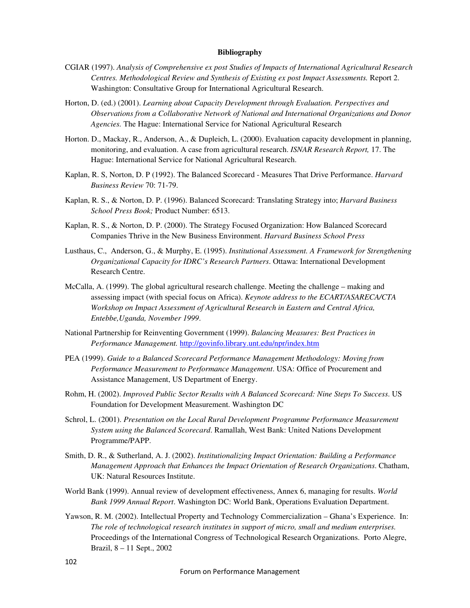#### **Bibliography**

- CGIAR (1997). *Analysis of Comprehensive ex post Studies of Impacts of International Agricultural Research Centres. Methodological Review and Synthesis of Existing ex post Impact Assessments.* Report 2. Washington: Consultative Group for International Agricultural Research.
- Horton, D. (ed.) (2001). *Learning about Capacity Development through Evaluation. Perspectives and Observations from a Collaborative Network of National and International Organizations and Donor Agencies.* The Hague: International Service for National Agricultural Research
- Horton. D., Mackay, R., Anderson, A., & Dupleich, L. (2000). Evaluation capacity development in planning, monitoring, and evaluation. A case from agricultural research. *ISNAR Research Report,* 17. The Hague: International Service for National Agricultural Research.
- Kaplan, R. S, Norton, D. P (1992). The Balanced Scorecard Measures That Drive Performance. *Harvard Business Review* 70: 71-79.
- Kaplan, R. S., & Norton, D. P. (1996). Balanced Scorecard: Translating Strategy into; *Harvard Business School Press Book;* Product Number: 6513.
- Kaplan, R. S., & Norton, D. P. (2000). The Strategy Focused Organization: How Balanced Scorecard Companies Thrive in the New Business Environment. *Harvard Business School Press*
- Lusthaus, C., Anderson, G., & Murphy, E. (1995). *Institutional Assessment. A Framework for Strengthening Organizational Capacity for IDRC's Research Partners*. Ottawa: International Development Research Centre.
- McCalla, A. (1999). The global agricultural research challenge. Meeting the challenge making and assessing impact (with special focus on Africa). *Keynote address to the ECART/ASARECA/CTA Workshop on Impact Assessment of Agricultural Research in Eastern and Central Africa, Entebbe,Uganda, November 1999*.
- National Partnership for Reinventing Government (1999). *Balancing Measures: Best Practices in Performance Management.* http://govinfo.library.unt.edu/npr/index.htm
- PEA (1999). *Guide to a Balanced Scorecard Performance Management Methodology: Moving from Performance Measurement to Performance Management*. USA: Office of Procurement and Assistance Management, US Department of Energy.
- Rohm, H. (2002). *Improved Public Sector Results with A Balanced Scorecard: Nine Steps To Success*. US Foundation for Development Measurement. Washington DC
- Schrol, L. (2001). *Presentation on the Local Rural Development Programme Performance Measurement System using the Balanced Scorecard*. Ramallah, West Bank: United Nations Development Programme/PAPP.
- Smith, D. R., & Sutherland, A. J. (2002). *Institutionalizing Impact Orientation: Building a Performance Management Approach that Enhances the Impact Orientation of Research Organizations*. Chatham, UK: Natural Resources Institute.
- World Bank (1999). Annual review of development effectiveness, Annex 6, managing for results. *World Bank 1999 Annual Report*. Washington DC: World Bank, Operations Evaluation Department.
- Yawson, R. M. (2002). Intellectual Property and Technology Commercialization Ghana's Experience. In: *The role of technological research institutes in support of micro, small and medium enterprises.* Proceedings of the International Congress of Technological Research Organizations. Porto Alegre, Brazil, 8 – 11 Sept., 2002